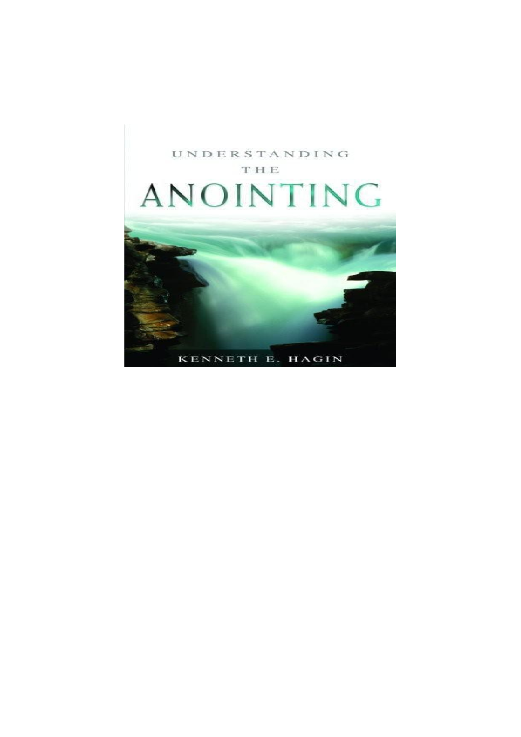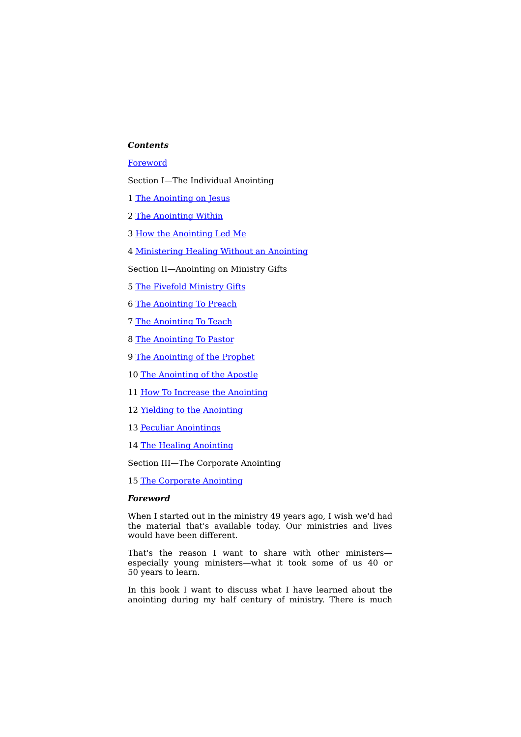# *Contents*

# Foreword

Section I—The Individual Anointing

1 The Anointing on Jesus

2 The Anointing Within

3 How the Anointing Led Me

4 Ministering Healing Without an Anointing

Section II—Anointing on Ministry Gifts

5 The Fivefold Ministry Gifts

6 The Anointing To Preach

7 The Anointing To Teach

8 The Anointing To Pastor

9 The Anointing of the Prophet

10 The Anointing of the Apostle

11 How To Increase the Anointing

12 Yielding to the Anointing

13 Peculiar Anointings

14 The Healing Anointing

Section III—The Corporate Anointing

15 The Corporate Anointing

## *Foreword*

When I started out in the ministry 49 years ago, I wish we'd had the material that's available today. Our ministries and lives would have been different.

That's the reason I want to share with other ministers especially young ministers—what it took some of us 40 or 50 years to learn.

In this book I want to discuss what I have learned about the anointing during my half century of ministry. There is much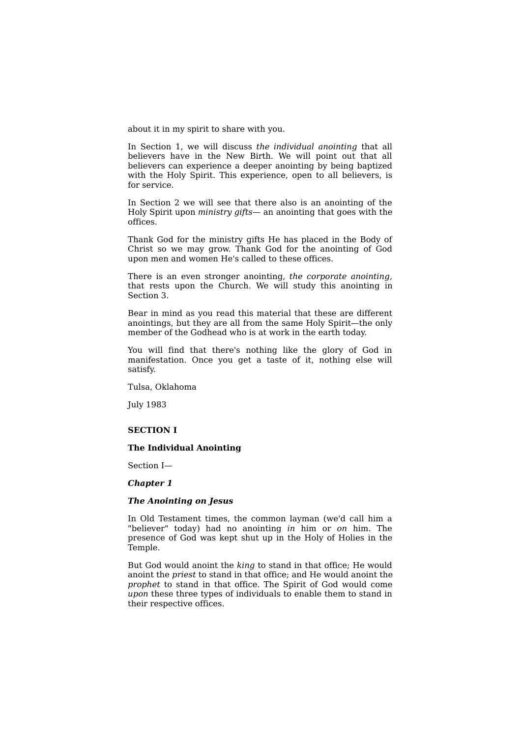about it in my spirit to share with you.

In Section 1, we will discuss *the individual anointing* that all believers have in the New Birth. We will point out that all believers can experience a deeper anointing by being baptized with the Holy Spirit. This experience, open to all believers, is for service.

In Section 2 we will see that there also is an anointing of the Holy Spirit upon *ministry gifts—* an anointing that goes with the offices.

Thank God for the ministry gifts He has placed in the Body of Christ so we may grow. Thank God for the anointing of God upon men and women He's called to these offices.

There is an even stronger anointing, *the corporate anointing,* that rests upon the Church. We will study this anointing in Section 3.

Bear in mind as you read this material that these are different anointings, but they are all from the same Holy Spirit—the only member of the Godhead who is at work in the earth today.

You will find that there's nothing like the glory of God in manifestation. Once you get a taste of it, nothing else will satisfy.

Tulsa, Oklahoma

July 1983

## **SECTION I**

# **The Individual Anointing**

Section I—

#### *Chapter 1*

#### *The Anointing on Jesus*

In Old Testament times, the common layman (we'd call him a "believer" today) had no anointing *in* him or *on* him. The presence of God was kept shut up in the Holy of Holies in the Temple.

But God would anoint the *king* to stand in that office; He would anoint the *priest* to stand in that office; and He would anoint the *prophet* to stand in that office. The Spirit of God would come *upon* these three types of individuals to enable them to stand in their respective offices.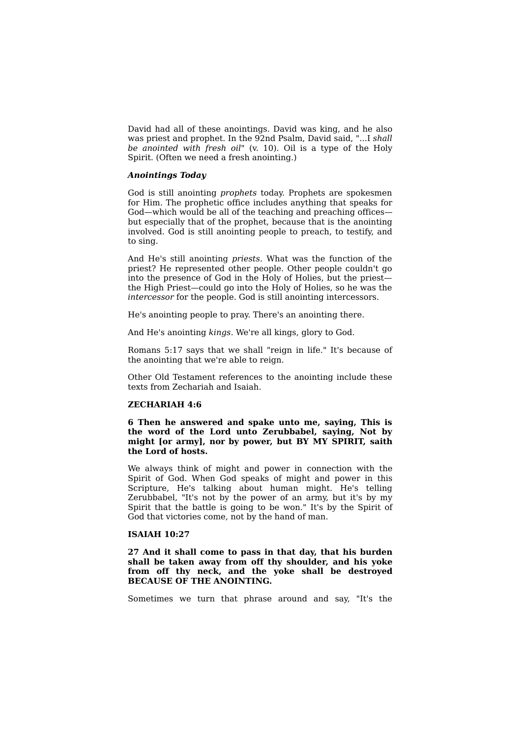David had all of these anointings. David was king, and he also was priest and prophet. In the 92nd Psalm, David said, "...I *shall be anointed with fresh oil"* (v. 10). Oil is a type of the Holy Spirit. (Often we need a fresh anointing.)

#### *Anointings Today*

God is still anointing *prophets* today. Prophets are spokesmen for Him. The prophetic office includes anything that speaks for God—which would be all of the teaching and preaching offices but especially that of the prophet, because that is the anointing involved. God is still anointing people to preach, to testify, and to sing.

And He's still anointing *priests.* What was the function of the priest? He represented other people. Other people couldn't go into the presence of God in the Holy of Holies, but the priest the High Priest—could go into the Holy of Holies, so he was the *intercessor* for the people. God is still anointing intercessors.

He's anointing people to pray. There's an anointing there.

And He's anointing *kings.* We're all kings, glory to God.

Romans 5:17 says that we shall "reign in life." It's because of the anointing that we're able to reign.

Other Old Testament references to the anointing include these texts from Zechariah and Isaiah.

#### **ZECHARIAH 4:6**

### **6 Then he answered and spake unto me, saying, This is the word of the Lord unto Zerubbabel, saying, Not by might [or army], nor by power, but BY MY SPIRIT, saith the Lord of hosts.**

We always think of might and power in connection with the Spirit of God. When God speaks of might and power in this Scripture, He's talking about human might. He's telling Zerubbabel, "It's not by the power of an army, but it's by my Spirit that the battle is going to be won." It's by the Spirit of God that victories come, not by the hand of man.

### **ISAIAH 10:27**

**27 And it shall come to pass in that day, that his burden shall be taken away from off thy shoulder, and his yoke from off thy neck, and the yoke shall be destroyed BECAUSE OF THE ANOINTING.**

Sometimes we turn that phrase around and say, "It's the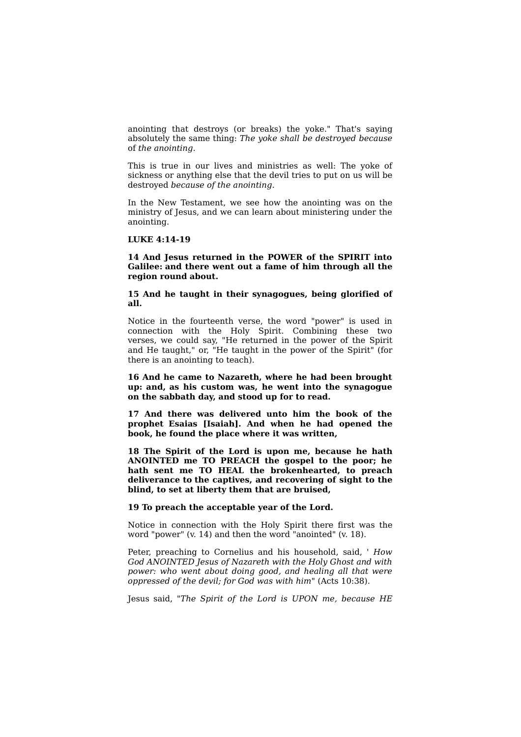anointing that destroys (or breaks) the yoke." That's saying absolutely the same thing: *The yoke shall be destroyed because* of *the anointing.*

This is true in our lives and ministries as well: The yoke of sickness or anything else that the devil tries to put on us will be destroyed *because of the anointing.*

In the New Testament, we see how the anointing was on the ministry of Jesus, and we can learn about ministering under the anointing.

### **LUKE 4:14-19**

**14 And Jesus returned in the POWER of the SPIRIT into Galilee: and there went out a fame of him through all the region round about.**

### **15 And he taught in their synagogues, being glorified of all.**

Notice in the fourteenth verse, the word "power" is used in connection with the Holy Spirit. Combining these two verses, we could say, "He returned in the power of the Spirit and He taught," or, "He taught in the power of the Spirit" (for there is an anointing to teach).

**16 And he came to Nazareth, where he had been brought up: and, as his custom was, he went into the synagogue on the sabbath day, and stood up for to read.**

**17 And there was delivered unto him the book of the prophet Esaias [Isaiah]. And when he had opened the book, he found the place where it was written,**

**18 The Spirit of the Lord is upon me, because he hath ANOINTED me TO PREACH the gospel to the poor; he hath sent me TO HEAL the brokenhearted, to preach deliverance to the captives, and recovering of sight to the blind, to set at liberty them that are bruised,**

# **19 To preach the acceptable year of the Lord.**

Notice in connection with the Holy Spirit there first was the word "power" (v. 14) and then the word "anointed" (v. 18).

Peter, preaching to Cornelius and his household, said, *' How God ANOINTED Jesus of Nazareth with the Holy Ghost and with power: who went about doing good, and healing all that were oppressed of the devil; for God was with him"* (Acts 10:38).

Jesus said, *"The Spirit of the Lord is UPON me, because HE*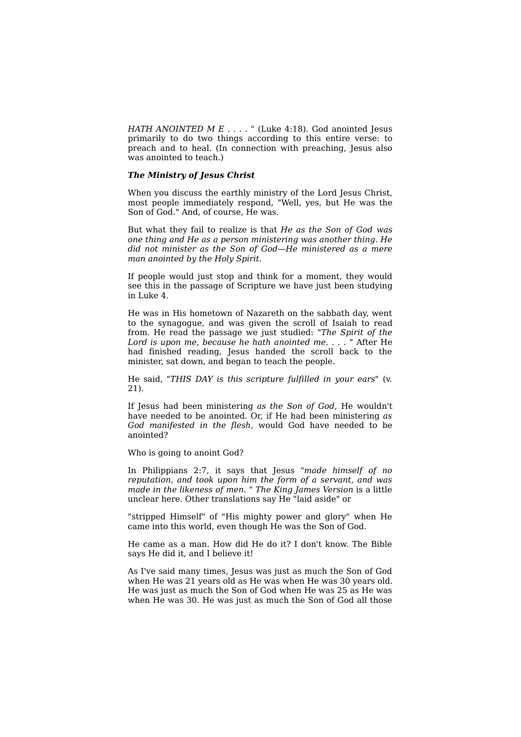*HATH ANOINTED M E . . . . "* (Luke 4:18). God anointed Jesus primarily to do two things according to this entire verse: to preach and to heal. (In connection with preaching, Jesus also was anointed to teach.)

#### *The Ministry of Jesus Christ*

When you discuss the earthly ministry of the Lord Jesus Christ, most people immediately respond, "Well, yes, but He was the Son of God." And, of course, He was.

But what they fail to realize is that *He as the Son of God was one thing and He as a person ministering was another thing. He did not minister as the Son of God—He ministered as a mere man anointed by the Holy Spirit.*

If people would just stop and think for a moment, they would see this in the passage of Scripture we have just been studying in Luke 4.

He was in His hometown of Nazareth on the sabbath day, went to the synagogue, and was given the scroll of Isaiah to read from. He read the passage we just studied: *"The Spirit of the Lord is upon me, because he hath anointed me. . . .* " After He had finished reading, Jesus handed the scroll back to the minister, sat down, and began to teach the people.

He said, *"THIS DAY is this scripture fulfilled in your ears"* (v. 21).

If Jesus had been ministering *as the Son of God,* He wouldn't have needed to be anointed. Or, if He had been ministering *as God manifested in the flesh,* would God have needed to be anointed?

Who is going to anoint God?

In Philippians 2:7, it says that Jesus *"made himself of no reputation, and took upon him the form of a servant, and was made in the likeness of men. " The King James Version* is a little unclear here. Other translations say He "laid aside" or

"stripped Himself" of "His mighty power and glory" when He came into this world, even though He was the Son of God.

He came as a man. How did He do it? I don't know. The Bible says He did it, and I believe it!

As I've said many times, Jesus was just as much the Son of God when He was 21 years old as He was when He was 30 years old. He was just as much the Son of God when He was 25 as He was when He was 30. He was just as much the Son of God all those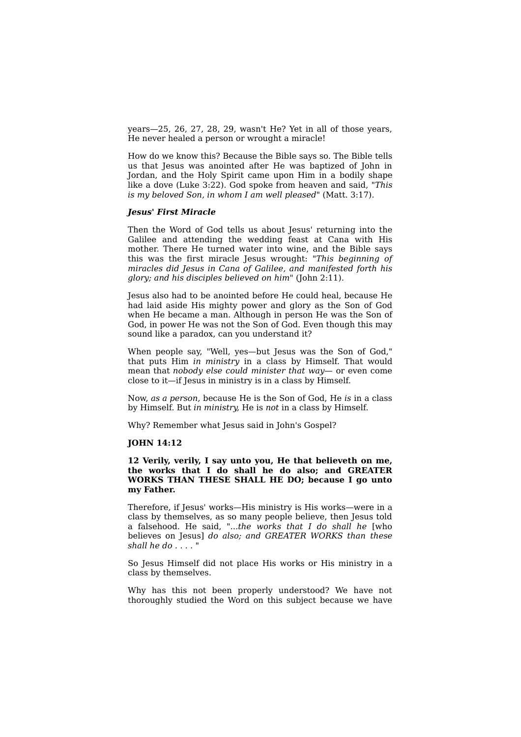years—25, 26, 27, 28, 29, wasn't He? Yet in all of those years, He never healed a person or wrought a miracle!

How do we know this? Because the Bible says so. The Bible tells us that Jesus was anointed after He was baptized of John in Jordan, and the Holy Spirit came upon Him in a bodily shape like a dove (Luke 3:22). God spoke from heaven and said, *"This is my beloved Son, in whom I am well pleased"* (Matt. 3:17).

# *Jesus' First Miracle*

Then the Word of God tells us about Jesus' returning into the Galilee and attending the wedding feast at Cana with His mother. There He turned water into wine, and the Bible says this was the first miracle Jesus wrought: *"This beginning of miracles did Jesus in Cana of Galilee, and manifested forth his glory; and his disciples believed on him"* (John 2:11).

Jesus also had to be anointed before He could heal, because He had laid aside His mighty power and glory as the Son of God when He became a man. Although in person He was the Son of God, in power He was not the Son of God. Even though this may sound like a paradox, can you understand it?

When people say, "Well, yes—but Jesus was the Son of God," that puts Him *in ministry* in a class by Himself. That would mean that *nobody else could minister that way—* or even come close to it—if Jesus in ministry is in a class by Himself.

Now, *as a person,* because He is the Son of God, He *is* in a class by Himself. But *in ministry,* He is *not* in a class by Himself.

Why? Remember what Jesus said in John's Gospel?

#### **JOHN 14:12**

## **12 Verily, verily, I say unto you, He that believeth on me, the works that I do shall he do also; and GREATER WORKS THAN THESE SHALL HE DO; because I go unto my Father.**

Therefore, if Jesus' works—His ministry is His works—were in a class by themselves, as so many people believe, then Jesus told a falsehood. He said, *"...the works that I do shall he* [who believes on Jesus] *do also; and GREATER WORKS than these shall he do . . . . "*

So Jesus Himself did not place His works or His ministry in a class by themselves.

Why has this not been properly understood? We have not thoroughly studied the Word on this subject because we have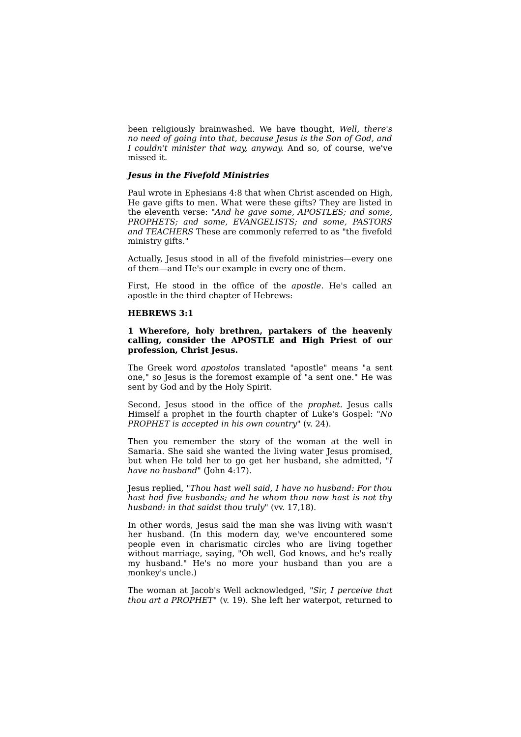been religiously brainwashed. We have thought, *Well, there's no need of going into that, because Jesus is the Son of God, and I couldn't minister that way, anyway.* And so, of course, we've missed it.

#### *Jesus in the Fivefold Ministries*

Paul wrote in Ephesians 4:8 that when Christ ascended on High, He gave gifts to men. What were these gifts? They are listed in the eleventh verse: *"And he gave some, APOSTLES; and some, PROPHETS; and some, EVANGELISTS; and some, PASTORS and TEACHERS* These are commonly referred to as "the fivefold ministry gifts."

Actually, Jesus stood in all of the fivefold ministries—every one of them—and He's our example in every one of them.

First, He stood in the office of the *apostle.* He's called an apostle in the third chapter of Hebrews:

### **HEBREWS 3:1**

### **1 Wherefore, holy brethren, partakers of the heavenly calling, consider the APOSTLE and High Priest of our profession, Christ Jesus.**

The Greek word *apostolos* translated "apostle" means "a sent one," so Jesus is the foremost example of "a sent one." He was sent by God and by the Holy Spirit.

Second, Jesus stood in the office of the *prophet.* Jesus calls Himself a prophet in the fourth chapter of Luke's Gospel: *"No PROPHET is accepted in his own country"* (v. 24).

Then you remember the story of the woman at the well in Samaria. She said she wanted the living water Jesus promised, but when He told her to go get her husband, she admitted, *"I have no husband"* (John 4:17).

Jesus replied, *"Thou hast well said, I have no husband: For thou hast had five husbands; and he whom thou now hast is not thy husband: in that saidst thou truly"* (vv. 17,18).

In other words, Jesus said the man she was living with wasn't her husband. (In this modern day, we've encountered some people even in charismatic circles who are living together without marriage, saying, "Oh well, God knows, and he's really my husband." He's no more your husband than you are a monkey's uncle.)

The woman at Jacob's Well acknowledged, *"Sir, I perceive that thou art a PROPHET"* (v. 19). She left her waterpot, returned to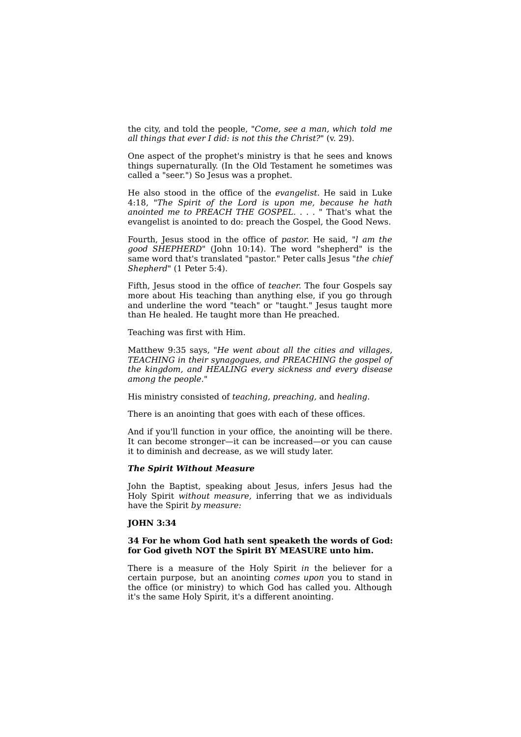the city, and told the people, *"Come, see a man, which told me all things that ever I did: is not this the Christ?"* (v. 29).

One aspect of the prophet's ministry is that he sees and knows things supernaturally. (In the Old Testament he sometimes was called a "seer.") So Jesus was a prophet.

He also stood in the office of the *evangelist.* He said in Luke 4:18, *"The Spirit of the Lord is upon me, because he hath anointed me to PREACH THE GOSPEL. . . . "* That's what the evangelist is anointed to do: preach the Gospel, the Good News.

Fourth, Jesus stood in the office of *pastor.* He said, *"l am the good SHEPHERD"* (John 10:14). The word "shepherd" is the same word that's translated "pastor." Peter calls Jesus *"the chief Shepherd"* (1 Peter 5:4).

Fifth, Jesus stood in the office of *teacher.* The four Gospels say more about His teaching than anything else, if you go through and underline the word "teach" or "taught." Jesus taught more than He healed. He taught more than He preached.

Teaching was first with Him.

Matthew 9:35 says, *"He went about all the cities and villages, TEACHING in their synagogues, and PREACHING the gospel of the kingdom, and HEALING every sickness and every disease among the people."*

His ministry consisted of *teaching, preaching,* and *healing.*

There is an anointing that goes with each of these offices.

And if you'll function in your office, the anointing will be there. It can become stronger—it can be increased—or you can cause it to diminish and decrease, as we will study later.

### *The Spirit Without Measure*

John the Baptist, speaking about Jesus, infers Jesus had the Holy Spirit *without measure,* inferring that we as individuals have the Spirit *by measure:*

# **JOHN 3:34**

## **34 For he whom God hath sent speaketh the words of God: for God giveth NOT the Spirit BY MEASURE unto him.**

There is a measure of the Holy Spirit *in* the believer for a certain purpose, but an anointing *comes upon* you to stand in the office (or ministry) to which God has called you. Although it's the same Holy Spirit, it's a different anointing.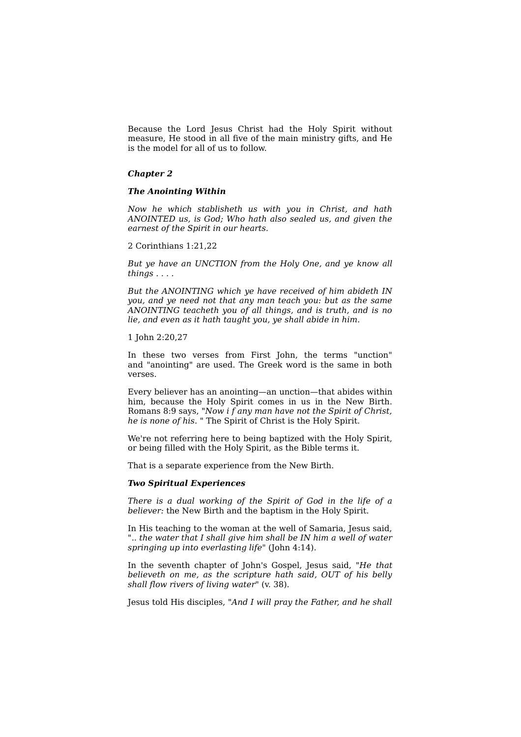Because the Lord Jesus Christ had the Holy Spirit without measure, He stood in all five of the main ministry gifts, and He is the model for all of us to follow.

## *Chapter 2*

## *The Anointing Within*

*Now he which stablisheth us with you in Christ, and hath ANOINTED us, is God; Who hath also sealed us, and given the earnest of the Spirit in our hearts.*

2 Corinthians 1:21,22

*But ye have an UNCTION from the Holy One, and ye know all things . . . .*

*But the ANOINTING which ye have received of him abideth IN you, and ye need not that any man teach you: but as the same ANOINTING teacheth you of all things, and is truth, and is no lie, and even as it hath taught you, ye shall abide in him.*

1 John 2:20,27

In these two verses from First John, the terms "unction" and "anointing" are used. The Greek word is the same in both verses.

Every believer has an anointing—an unction—that abides within him, because the Holy Spirit comes in us in the New Birth. Romans 8:9 says, *"Now i f any man have not the Spirit of Christ, he is none of his.* " The Spirit of Christ is the Holy Spirit.

We're not referring here to being baptized with the Holy Spirit, or being filled with the Holy Spirit, as the Bible terms it.

That is a separate experience from the New Birth.

#### *Two Spiritual Experiences*

*There is a dual working of the Spirit of God in the life of a believer:* the New Birth and the baptism in the Holy Spirit.

In His teaching to the woman at the well of Samaria, Jesus said, ".. *the water that I shall give him shall be IN him a well of water springing up into everlasting life"* (John 4:14).

In the seventh chapter of John's Gospel, Jesus said, *"He that believeth on me, as the scripture hath said, OUT of his belly shall flow rivers of living water"* (v. 38).

Jesus told His disciples, *"And I will pray the Father, and he shall*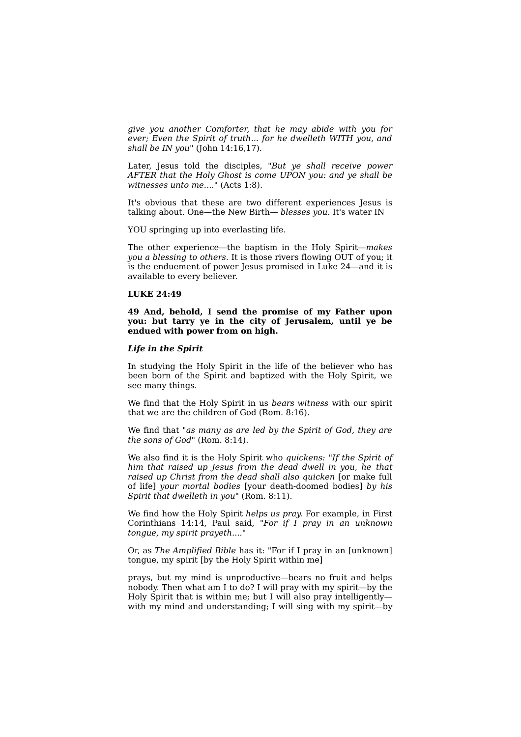*give you another Comforter, that he may abide with you for ever; Even the Spirit of truth... for he dwelleth WITH you, and shall be IN you"* (John 14:16,17).

Later, Jesus told the disciples, *"But ye shall receive power AFTER that the Holy Ghost is come UPON you: and ye shall be witnesses unto me*...." (Acts 1:8).

It's obvious that these are two different experiences Jesus is talking about. One—the New Birth— *blesses you.* It's water IN

YOU springing up into everlasting life.

The other experience—the baptism in the Holy Spirit—*makes you a blessing to others.* It is those rivers flowing OUT of you; it is the enduement of power Jesus promised in Luke 24—and it is available to every believer.

### **LUKE 24:49**

**49 And, behold, I send the promise of my Father upon you: but tarry ye in the city of Jerusalem, until ye be endued with power from on high.**

## *Life in the Spirit*

In studying the Holy Spirit in the life of the believer who has been born of the Spirit and baptized with the Holy Spirit, we see many things.

We find that the Holy Spirit in us *bears witness* with our spirit that we are the children of God (Rom. 8:16).

We find that *"as many as are led by the Spirit of God, they are the sons of God"* (Rom. 8:14).

We also find it is the Holy Spirit who *quickens: "If the Spirit of him that raised up Jesus from the dead dwell in you, he that raised up Christ from the dead shall also quicken* [or make full of life] *your mortal bodies* [your death-doomed bodies] *by his Spirit that dwelleth in you"* (Rom. 8:11).

We find how the Holy Spirit *helps us pray.* For example, in First Corinthians 14:14, Paul said, *"For if I pray in an unknown tongue, my spirit prayeth...."*

Or, as *The Amplified Bible* has it: "For if I pray in an [unknown] tongue, my spirit [by the Holy Spirit within me]

prays, but my mind is unproductive—bears no fruit and helps nobody. Then what am I to do? I will pray with my spirit—by the Holy Spirit that is within me; but I will also pray intelligently with my mind and understanding; I will sing with my spirit—by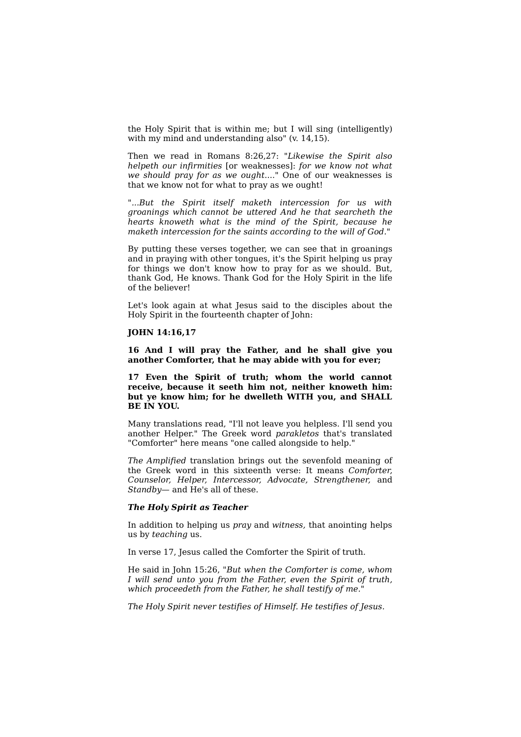the Holy Spirit that is within me; but I will sing (intelligently) with my mind and understanding also" (v. 14,15).

Then we read in Romans 8:26,27: *"Likewise the Spirit also helpeth our infirmities* [or weaknesses]: *for we know not what we should pray for as we ought*...." One of our weaknesses is that we know not for what to pray as we ought!

*"...But the Spirit itself maketh intercession for us with groanings which cannot be uttered And he that searcheth the hearts knoweth what is the mind of the Spirit, because he maketh intercession for the saints according to the will of God."*

By putting these verses together, we can see that in groanings and in praying with other tongues, it's the Spirit helping us pray for things we don't know how to pray for as we should. But, thank God, He knows. Thank God for the Holy Spirit in the life of the believer!

Let's look again at what Jesus said to the disciples about the Holy Spirit in the fourteenth chapter of John:

## **JOHN 14:16,17**

**16 And I will pray the Father, and he shall give you another Comforter, that he may abide with you for ever;**

**17 Even the Spirit of truth; whom the world cannot receive, because it seeth him not, neither knoweth him: but ye know him; for he dwelleth WITH you, and SHALL BE IN YOU.**

Many translations read, "I'll not leave you helpless. I'll send you another Helper." The Greek word *parakletos* that's translated "Comforter" here means "one called alongside to help."

*The Amplified* translation brings out the sevenfold meaning of the Greek word in this sixteenth verse: It means *Comforter, Counselor, Helper, Intercessor, Advocate, Strengthener,* and *Standby—* and He's all of these.

#### *The Holy Spirit as Teacher*

In addition to helping us *pray* and *witness,* that anointing helps us by *teaching* us.

In verse 17, Jesus called the Comforter the Spirit of truth.

He said in John 15:26, *"But when the Comforter is come, whom I will send unto you from the Father, even the Spirit of truth, which proceedeth from the Father, he shall testify of me."*

*The Holy Spirit never testifies of Himself. He testifies of Jesus.*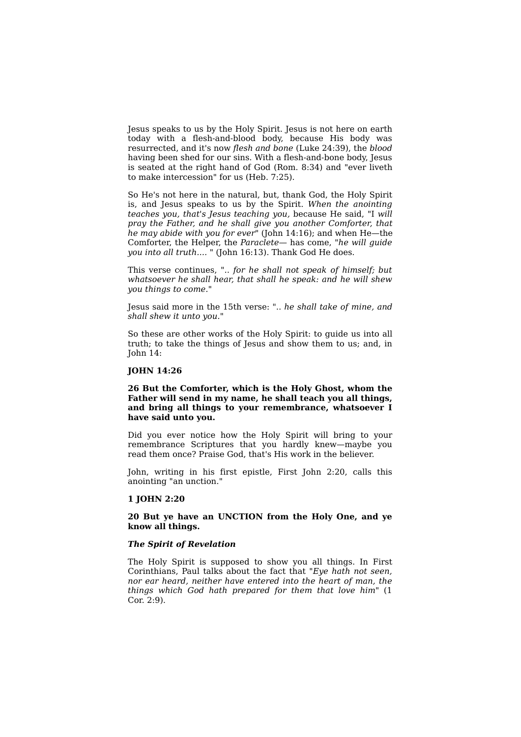Jesus speaks to us by the Holy Spirit. Jesus is not here on earth today with a flesh-and-blood body, because His body was resurrected, and it's now *flesh and bone* (Luke 24:39), the *blood* having been shed for our sins. With a flesh-and-bone body, Jesus is seated at the right hand of God (Rom. 8:34) and "ever liveth to make intercession" for us (Heb. 7:25).

So He's not here in the natural, but, thank God, the Holy Spirit is, and Jesus speaks to us by the Spirit. *When the anointing teaches you, that's Jesus teaching you,* because He said, "I *will pray the Father, and he shall give you another Comforter, that he may abide with you for ever"* (John 14:16); and when He—the Comforter, the Helper, the *Paraclete—* has come, *"he will guide you into all truth....* " (John 16:13). Thank God He does.

This verse continues, ".. *for he shall not speak of himself; but whatsoever he shall hear, that shall he speak: and he will shew you things to come."*

Jesus said more in the 15th verse: ".. *he shall take of mine, and shall shew it unto you."*

So these are other works of the Holy Spirit: to guide us into all truth; to take the things of Jesus and show them to us; and, in John 14:

## **JOHN 14:26**

## **26 But the Comforter, which is the Holy Ghost, whom the Father will send in my name, he shall teach you all things, and bring all things to your remembrance, whatsoever I have said unto you.**

Did you ever notice how the Holy Spirit will bring to your remembrance Scriptures that you hardly knew—maybe you read them once? Praise God, that's His work in the believer.

John, writing in his first epistle, First John 2:20, calls this anointing "an unction."

#### **1 JOHN 2:20**

### **20 But ye have an UNCTION from the Holy One, and ye know all things.**

## *The Spirit of Revelation*

The Holy Spirit is supposed to show you all things. In First Corinthians, Paul talks about the fact that *"Eye hath not seen, nor ear heard, neither have entered into the heart of man, the things which God hath prepared for them that love him"* (1 Cor. 2:9).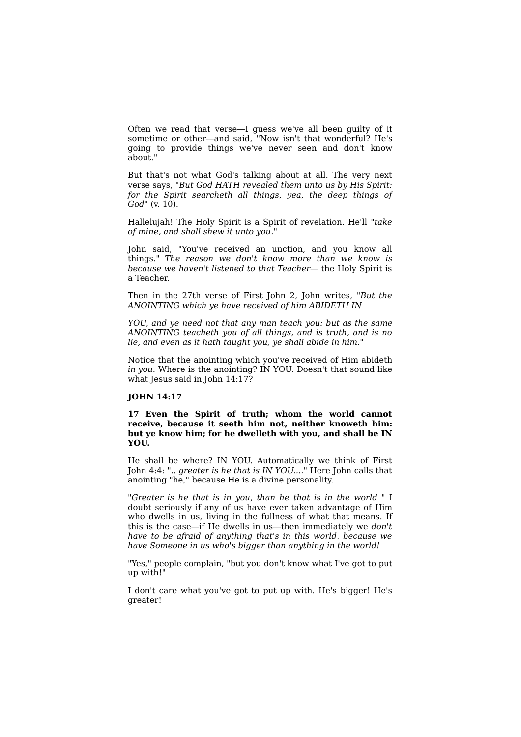Often we read that verse—I guess we've all been guilty of it sometime or other—and said, "Now isn't that wonderful? He's going to provide things we've never seen and don't know about."

But that's not what God's talking about at all. The very next verse says, *"But God HATH revealed them unto us by His Spirit: for the Spirit searcheth all things, yea, the deep things of God"* (v. 10).

Hallelujah! The Holy Spirit is a Spirit of revelation. He'll *"take of mine, and shall shew it unto you."*

John said, "You've received an unction, and you know all things." *The reason we don't know more than we know is because we haven't listened to that Teacher—* the Holy Spirit is a Teacher.

Then in the 27th verse of First John 2, John writes, *"But the ANOINTING which ye have received of him ABIDETH IN*

*YOU, and ye need not that any man teach you: but as the same ANOINTING teacheth you of all things, and is truth, and is no lie, and even as it hath taught you, ye shall abide in him."*

Notice that the anointing which you've received of Him abideth *in you.* Where is the anointing? IN YOU. Doesn't that sound like what Jesus said in John 14:17?

## **JOHN 14:17**

**17 Even the Spirit of truth; whom the world cannot receive, because it seeth him not, neither knoweth him: but ye know him; for he dwelleth with you, and shall be IN YOU.**

He shall be where? IN YOU. Automatically we think of First John 4:4: ".. *greater is he that is IN YOU...."* Here John calls that anointing "he," because He is a divine personality.

*"Greater is he that is in you, than he that is in the world "* I doubt seriously if any of us have ever taken advantage of Him who dwells in us, living in the fullness of what that means. If this is the case—if He dwells in us—then immediately we *don't have to be afraid of anything that's in this world, because we have Someone in us who's bigger than anything in the world!*

"Yes," people complain, "but you don't know what I've got to put up with!"

I don't care what you've got to put up with. He's bigger! He's greater!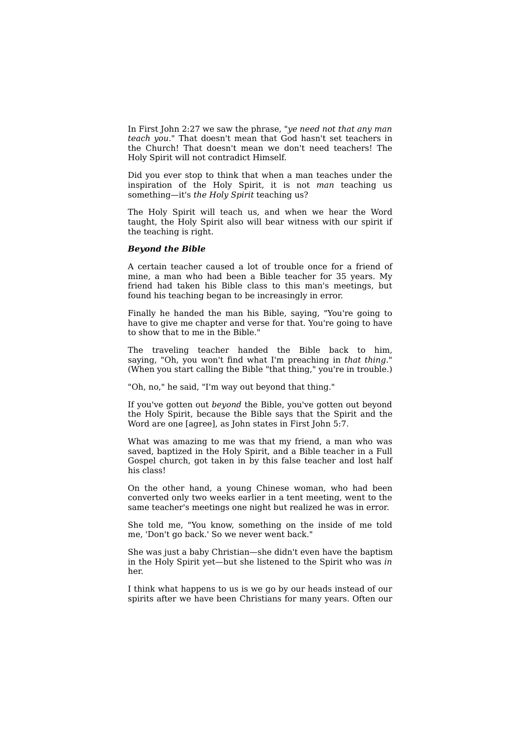In First John 2:27 we saw the phrase, *"ye need not that any man teach you."* That doesn't mean that God hasn't set teachers in the Church! That doesn't mean we don't need teachers! The Holy Spirit will not contradict Himself.

Did you ever stop to think that when a man teaches under the inspiration of the Holy Spirit, it is not *man* teaching us something—it's *the Holy Spirit* teaching us?

The Holy Spirit will teach us, and when we hear the Word taught, the Holy Spirit also will bear witness with our spirit if the teaching is right.

### *Beyond the Bible*

A certain teacher caused a lot of trouble once for a friend of mine, a man who had been a Bible teacher for 35 years. My friend had taken his Bible class to this man's meetings, but found his teaching began to be increasingly in error.

Finally he handed the man his Bible, saying, "You're going to have to give me chapter and verse for that. You're going to have to show that to me in the Bible."

The traveling teacher handed the Bible back to him, saying, "Oh, you won't find what I'm preaching in *that thing."* (When you start calling the Bible "that thing," you're in trouble.)

"Oh, no," he said, "I'm way out beyond that thing."

If you've gotten out *beyond* the Bible, you've gotten out beyond the Holy Spirit, because the Bible says that the Spirit and the Word are one [agree], as John states in First John 5:7.

What was amazing to me was that my friend, a man who was saved, baptized in the Holy Spirit, and a Bible teacher in a Full Gospel church, got taken in by this false teacher and lost half his class!

On the other hand, a young Chinese woman, who had been converted only two weeks earlier in a tent meeting, went to the same teacher's meetings one night but realized he was in error.

She told me, "You know, something on the inside of me told me, 'Don't go back.' So we never went back."

She was just a baby Christian—she didn't even have the baptism in the Holy Spirit yet—but she listened to the Spirit who was *in* her.

I think what happens to us is we go by our heads instead of our spirits after we have been Christians for many years. Often our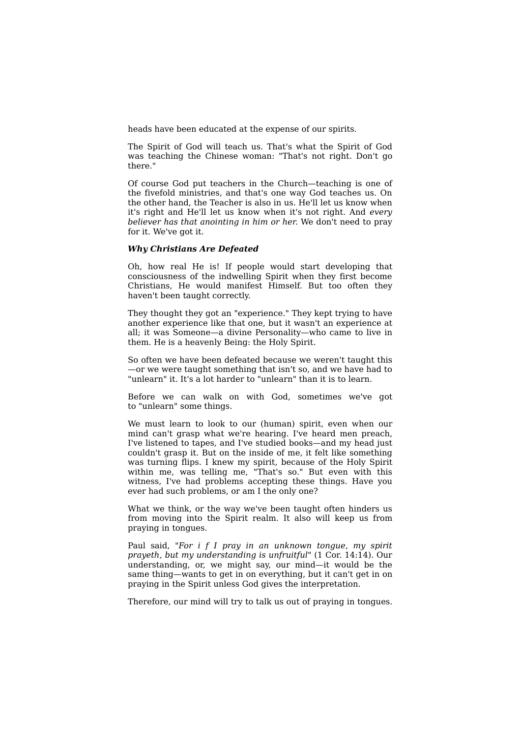heads have been educated at the expense of our spirits.

The Spirit of God will teach us. That's what the Spirit of God was teaching the Chinese woman: "That's not right. Don't go there."

Of course God put teachers in the Church—teaching is one of the fivefold ministries, and that's one way God teaches us. On the other hand, the Teacher is also in us. He'll let us know when it's right and He'll let us know when it's not right. And *every believer has that anointing in him or her.* We don't need to pray for it. We've got it.

## *Why Christians Are Defeated*

Oh, how real He is! If people would start developing that consciousness of the indwelling Spirit when they first become Christians, He would manifest Himself. But too often they haven't been taught correctly.

They thought they got an "experience." They kept trying to have another experience like that one, but it wasn't an experience at all; it was Someone—a divine Personality—who came to live in them. He is a heavenly Being: the Holy Spirit.

So often we have been defeated because we weren't taught this —or we were taught something that isn't so, and we have had to "unlearn" it. It's a lot harder to "unlearn" than it is to learn.

Before we can walk on with God, sometimes we've got to "unlearn" some things.

We must learn to look to our (human) spirit, even when our mind can't grasp what we're hearing. I've heard men preach, I've listened to tapes, and I've studied books—and my head just couldn't grasp it. But on the inside of me, it felt like something was turning flips. I knew my spirit, because of the Holy Spirit within me, was telling me, "That's so." But even with this witness, I've had problems accepting these things. Have you ever had such problems, or am I the only one?

What we think, or the way we've been taught often hinders us from moving into the Spirit realm. It also will keep us from praying in tongues.

Paul said, *"For i f I pray in an unknown tongue, my spirit prayeth, but my understanding is unfruitful"* (1 Cor. 14:14). Our understanding, or, we might say, our mind—it would be the same thing—wants to get in on everything, but it can't get in on praying in the Spirit unless God gives the interpretation.

Therefore, our mind will try to talk us out of praying in tongues.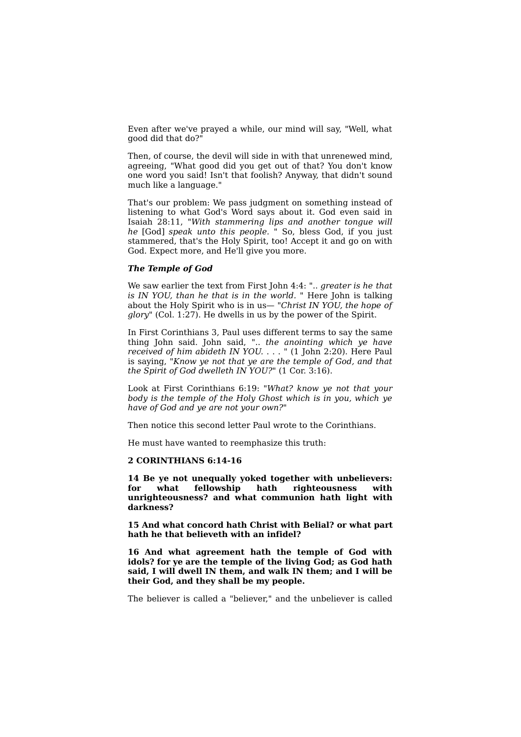Even after we've prayed a while, our mind will say, "Well, what good did that do?"

Then, of course, the devil will side in with that unrenewed mind, agreeing, "What good did you get out of that? You don't know one word you said! Isn't that foolish? Anyway, that didn't sound much like a language."

That's our problem: We pass judgment on something instead of listening to what God's Word says about it. God even said in Isaiah 28:11, *"With stammering lips and another tongue will he* [God] *speak unto this people.* " So, bless God, if you just stammered, that's the Holy Spirit, too! Accept it and go on with God. Expect more, and He'll give you more.

### *The Temple of God*

We saw earlier the text from First John 4:4: ".. *greater is he that is IN YOU, than he that is in the world.* " Here John is talking about the Holy Spirit who is in us— *"Christ IN YOU, the hope of glory"* (Col. 1:27). He dwells in us by the power of the Spirit.

In First Corinthians 3, Paul uses different terms to say the same thing John said. John said, ".. *the anointing which ye have received of him abideth IN YOU.* . . . " (1 John 2:20). Here Paul is saying, *"Know ye not that ye are the temple of God, and that the Spirit of God dwelleth IN YOU?"* (1 Cor. 3:16).

Look at First Corinthians 6:19: *"What? know ye not that your body is the temple of the Holy Ghost which is in you, which ye have of God and ye are not your own?"*

Then notice this second letter Paul wrote to the Corinthians.

He must have wanted to reemphasize this truth:

## **2 CORINTHIANS 6:14-16**

**14 Be ye not unequally yoked together with unbelievers: for what fellowship hath righteousness with unrighteousness? and what communion hath light with darkness?**

**15 And what concord hath Christ with Belial? or what part hath he that believeth with an infidel?**

**16 And what agreement hath the temple of God with idols? for ye are the temple of the living God; as God hath said, I will dwell IN them, and walk IN them; and I will be their God, and they shall be my people.**

The believer is called a "believer," and the unbeliever is called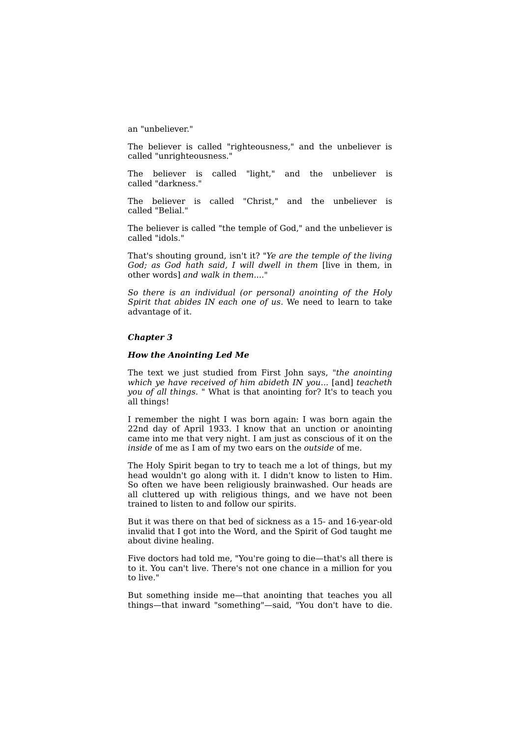an "unbeliever."

The believer is called "righteousness," and the unbeliever is called "unrighteousness."

The believer is called "light," and the unbeliever is called "darkness."

The believer is called "Christ," and the unbeliever is called "Belial."

The believer is called "the temple of God," and the unbeliever is called "idols."

That's shouting ground, isn't it? *"Ye are the temple of the living God; as God hath said, I will dwell in them* [live in them, in other words] *and walk in them...."*

*So there is an individual (or personal) anointing of the Holy Spirit that abides IN each one of us.* We need to learn to take advantage of it.

### *Chapter 3*

#### *How the Anointing Led Me*

The text we just studied from First John says, *"the anointing which ye have received of him abideth IN you...* [and] *teacheth you of all things.* " What is that anointing for? It's to teach you all things!

I remember the night I was born again: I was born again the 22nd day of April 1933. I know that an unction or anointing came into me that very night. I am just as conscious of it on the *inside* of me as I am of my two ears on the *outside* of me.

The Holy Spirit began to try to teach me a lot of things, but my head wouldn't go along with it. I didn't know to listen to Him. So often we have been religiously brainwashed. Our heads are all cluttered up with religious things, and we have not been trained to listen to and follow our spirits.

But it was there on that bed of sickness as a 15- and 16-year-old invalid that I got into the Word, and the Spirit of God taught me about divine healing.

Five doctors had told me, "You're going to die—that's all there is to it. You can't live. There's not one chance in a million for you to live."

But something inside me—that anointing that teaches you all things—that inward "something"—said, "You don't have to die.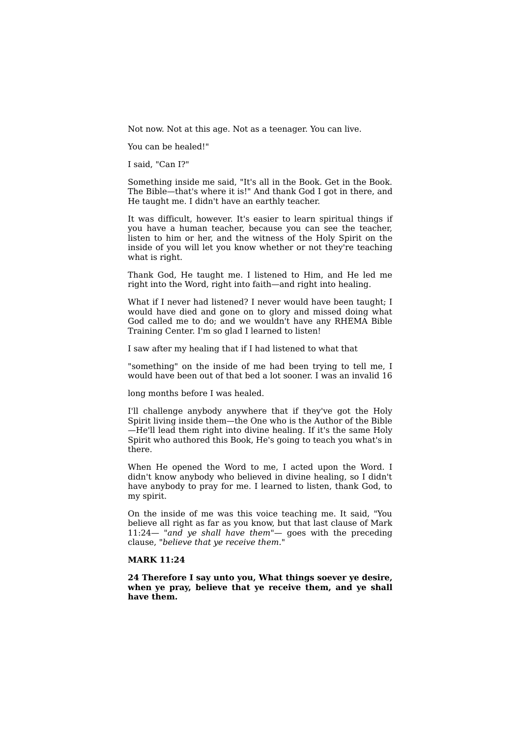Not now. Not at this age. Not as a teenager. You can live.

You can be healed!"

I said, "Can I?"

Something inside me said, "It's all in the Book. Get in the Book. The Bible—that's where it is!" And thank God I got in there, and He taught me. I didn't have an earthly teacher.

It was difficult, however. It's easier to learn spiritual things if you have a human teacher, because you can see the teacher, listen to him or her, and the witness of the Holy Spirit on the inside of you will let you know whether or not they're teaching what is right.

Thank God, He taught me. I listened to Him, and He led me right into the Word, right into faith—and right into healing.

What if I never had listened? I never would have been taught; I would have died and gone on to glory and missed doing what God called me to do; and we wouldn't have any RHEMA Bible Training Center. I'm so glad I learned to listen!

I saw after my healing that if I had listened to what that

"something" on the inside of me had been trying to tell me, I would have been out of that bed a lot sooner. I was an invalid 16

long months before I was healed.

I'll challenge anybody anywhere that if they've got the Holy Spirit living inside them—the One who is the Author of the Bible —He'll lead them right into divine healing. If it's the same Holy Spirit who authored this Book, He's going to teach you what's in there.

When He opened the Word to me, I acted upon the Word. I didn't know anybody who believed in divine healing, so I didn't have anybody to pray for me. I learned to listen, thank God, to my spirit.

On the inside of me was this voice teaching me. It said, "You believe all right as far as you know, but that last clause of Mark 11:24— *"and ye shall have them"—* goes with the preceding clause, *"believe that ye receive them."*

## **MARK 11:24**

**24 Therefore I say unto you, What things soever ye desire, when ye pray, believe that ye receive them, and ye shall have them.**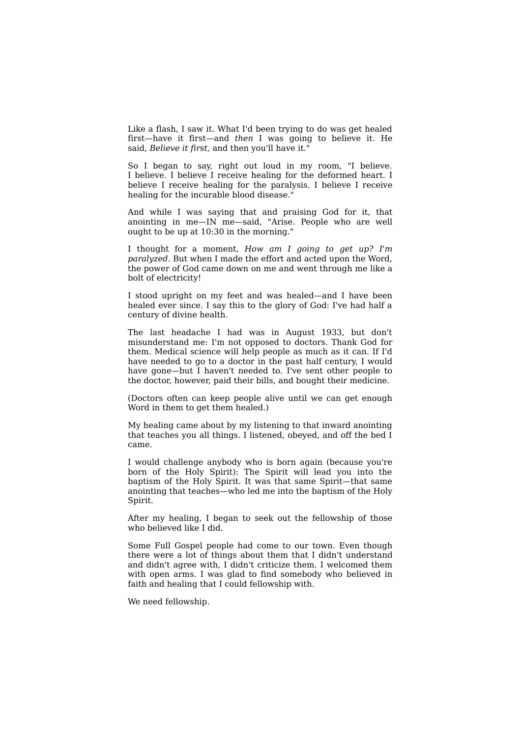Like a flash, I saw it. What I'd been trying to do was get healed first—have it first—and *then* I was going to believe it. He said, *Believe it first,* and then you'll have it."

So I began to say, right out loud in my room, "I believe. I believe. I believe I receive healing for the deformed heart. I believe I receive healing for the paralysis. I believe I receive healing for the incurable blood disease."

And while I was saying that and praising God for it, that anointing in me—IN me—said, "Arise. People who are well ought to be up at 10:30 in the morning."

I thought for a moment, *How am I going to get up? I'm paralyzed.* But when I made the effort and acted upon the Word, the power of God came down on me and went through me like a bolt of electricity!

I stood upright on my feet and was healed—and I have been healed ever since. I say this to the glory of God: I've had half a century of divine health.

The last headache I had was in August 1933, but don't misunderstand me: I'm not opposed to doctors. Thank God for them. Medical science will help people as much as it can. If I'd have needed to go to a doctor in the past half century, I would have gone—but I haven't needed to. I've sent other people to the doctor, however, paid their bills, and bought their medicine.

(Doctors often can keep people alive until we can get enough Word in them to get them healed.)

My healing came about by my listening to that inward anointing that teaches you all things. I listened, obeyed, and off the bed I came.

I would challenge anybody who is born again (because you're born of the Holy Spirit): The Spirit will lead you into the baptism of the Holy Spirit. It was that same Spirit—that same anointing that teaches—who led me into the baptism of the Holy Spirit.

After my healing, I began to seek out the fellowship of those who believed like I did.

Some Full Gospel people had come to our town. Even though there were a lot of things about them that I didn't understand and didn't agree with, I didn't criticize them. I welcomed them with open arms. I was glad to find somebody who believed in faith and healing that I could fellowship with.

We need fellowship.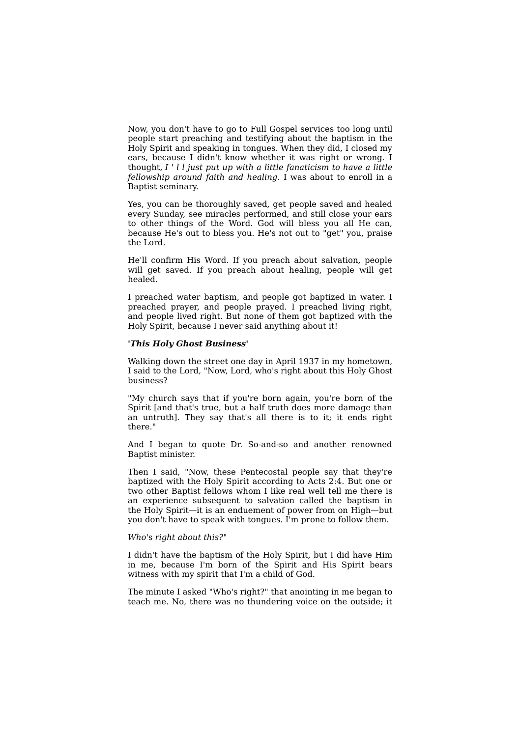Now, you don't have to go to Full Gospel services too long until people start preaching and testifying about the baptism in the Holy Spirit and speaking in tongues. When they did, I closed my ears, because I didn't know whether it was right or wrong. I thought, *I ' l l just put up with a little fanaticism to have a little fellowship around faith and healing.* I was about to enroll in a Baptist seminary.

Yes, you can be thoroughly saved, get people saved and healed every Sunday, see miracles performed, and still close your ears to other things of the Word. God will bless you all He can, because He's out to bless you. He's not out to "get" you, praise the Lord.

He'll confirm His Word. If you preach about salvation, people will get saved. If you preach about healing, people will get healed.

I preached water baptism, and people got baptized in water. I preached prayer, and people prayed. I preached living right, and people lived right. But none of them got baptized with the Holy Spirit, because I never said anything about it!

#### *'This Holy Ghost Business'*

Walking down the street one day in April 1937 in my hometown, I said to the Lord, "Now, Lord, who's right about this Holy Ghost business?

"My church says that if you're born again, you're born of the Spirit [and that's true, but a half truth does more damage than an untruth]. They say that's all there is to it; it ends right there."

And I began to quote Dr. So-and-so and another renowned Baptist minister.

Then I said, "Now, these Pentecostal people say that they're baptized with the Holy Spirit according to Acts 2:4. But one or two other Baptist fellows whom I like real well tell me there is an experience subsequent to salvation called the baptism in the Holy Spirit—it is an enduement of power from on High—but you don't have to speak with tongues. I'm prone to follow them.

#### *Who*'s *right about this?"*

I didn't have the baptism of the Holy Spirit, but I did have Him in me, because I'm born of the Spirit and His Spirit bears witness with my spirit that I'm a child of God.

The minute I asked "Who's right?" that anointing in me began to teach me. No, there was no thundering voice on the outside; it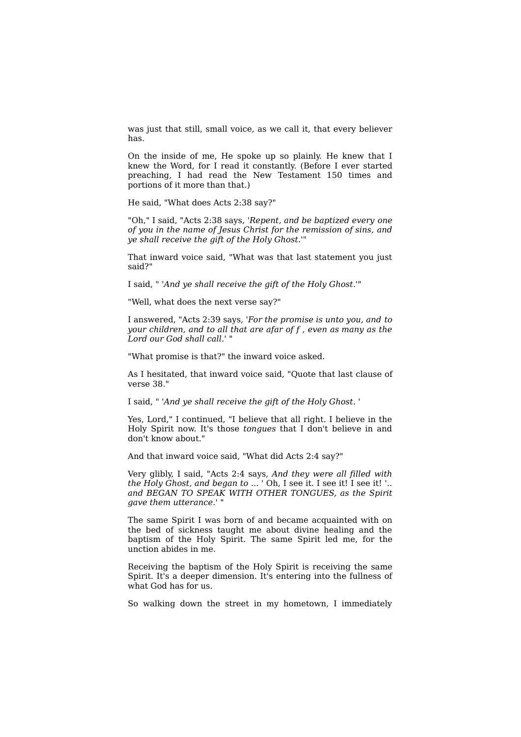was just that still, small voice, as we call it, that every believer has.

On the inside of me, He spoke up so plainly. He knew that I knew the Word, for I read it constantly. (Before I ever started preaching, I had read the New Testament 150 times and portions of it more than that.)

He said, "What does Acts 2:38 say?"

"Oh," I said, "Acts 2:38 says, *'Repent, and be baptized every one of you in the name of Jesus Christ for the remission of sins, and ye shall receive the gift of the Holy Ghost.'"*

That inward voice said, "What was that last statement you just said?"

I said, " *'And ye shall receive the gift of the Holy Ghost.'"*

"Well, what does the next verse say?"

I answered, "Acts 2:39 says, *'For the promise is unto you, and to your children, and to all that are afar of f , even as many as the Lord our God shall call.' "*

"What promise is that?" the inward voice asked.

As I hesitated, that inward voice said, "Quote that last clause of verse 38."

I said, " *'And ye shall receive the gift of the Holy Ghost.* '

Yes, Lord," I continued, "I believe that all right. I believe in the Holy Spirit now. It's those *tongues* that I don't believe in and don't know about."

And that inward voice said, "What did Acts 2:4 say?"

Very glibly, I said, "Acts 2:4 says, *And they were all filled with the Holy Ghost, and began to ...* ' Oh, I see it. I see it! I see it! '.. *and BEGAN TO SPEAK WITH OTHER TONGUES, as the Spirit gave them utterance.' "*

The same Spirit I was born of and became acquainted with on the bed of sickness taught me about divine healing and the baptism of the Holy Spirit. The same Spirit led me, for the unction abides in me.

Receiving the baptism of the Holy Spirit is receiving the same Spirit. It's a deeper dimension. It's entering into the fullness of what God has for us.

So walking down the street in my hometown, I immediately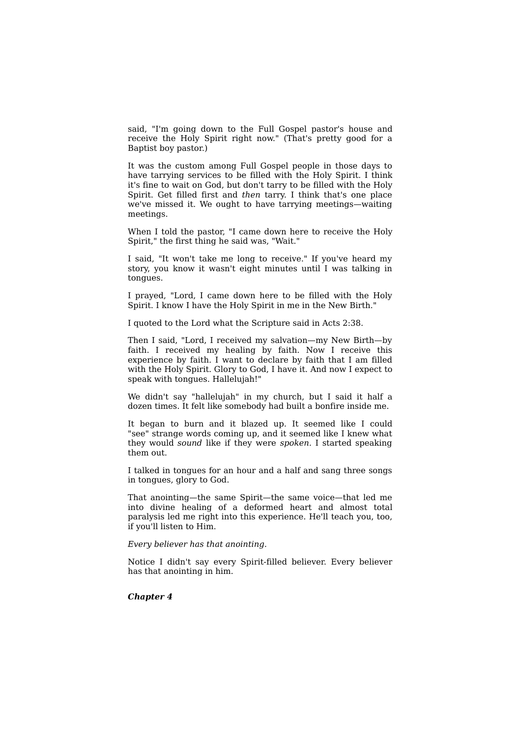said, "I'm going down to the Full Gospel pastor's house and receive the Holy Spirit right now." (That's pretty good for a Baptist boy pastor.)

It was the custom among Full Gospel people in those days to have tarrying services to be filled with the Holy Spirit. I think it's fine to wait on God, but don't tarry to be filled with the Holy Spirit. Get filled first and *then* tarry. I think that's one place we've missed it. We ought to have tarrying meetings—waiting meetings.

When I told the pastor, "I came down here to receive the Holy Spirit," the first thing he said was, "Wait."

I said, "It won't take me long to receive." If you've heard my story, you know it wasn't eight minutes until I was talking in tongues.

I prayed, "Lord, I came down here to be filled with the Holy Spirit. I know I have the Holy Spirit in me in the New Birth."

I quoted to the Lord what the Scripture said in Acts 2:38.

Then I said, "Lord, I received my salvation—my New Birth—by faith. I received my healing by faith. Now I receive this experience by faith. I want to declare by faith that I am filled with the Holy Spirit. Glory to God, I have it. And now I expect to speak with tongues. Hallelujah!"

We didn't say "hallelujah" in my church, but I said it half a dozen times. It felt like somebody had built a bonfire inside me.

It began to burn and it blazed up. It seemed like I could "see" strange words coming up, and it seemed like I knew what they would *sound* like if they were *spoken.* I started speaking them out.

I talked in tongues for an hour and a half and sang three songs in tongues, glory to God.

That anointing—the same Spirit—the same voice—that led me into divine healing of a deformed heart and almost total paralysis led me right into this experience. He'll teach you, too, if you'll listen to Him.

# *Every believer has that anointing.*

Notice I didn't say every Spirit-filled believer. Every believer has that anointing in him.

### *Chapter 4*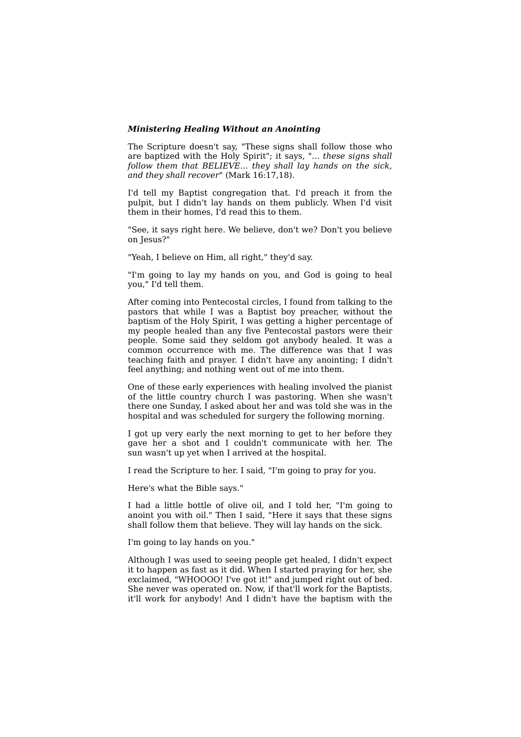### *Ministering Healing Without an Anointing*

The Scripture doesn't say, "These signs shall follow those who are baptized with the Holy Spirit"; it says, *"... these signs shall follow them that BELIEVE... they shall lay hands on the sick, and they shall recover"* (Mark 16:17,18).

I'd tell my Baptist congregation that. I'd preach it from the pulpit, but I didn't lay hands on them publicly. When I'd visit them in their homes, I'd read this to them.

"See, it says right here. We believe, don't we? Don't you believe on Jesus?"

"Yeah, I believe on Him, all right." they'd say.

"I'm going to lay my hands on you, and God is going to heal you," I'd tell them.

After coming into Pentecostal circles, I found from talking to the pastors that while I was a Baptist boy preacher, without the baptism of the Holy Spirit, I was getting a higher percentage of my people healed than any five Pentecostal pastors were their people. Some said they seldom got anybody healed. It was a common occurrence with me. The difference was that I was teaching faith and prayer. I didn't have any anointing; I didn't feel anything; and nothing went out of me into them.

One of these early experiences with healing involved the pianist of the little country church I was pastoring. When she wasn't there one Sunday, I asked about her and was told she was in the hospital and was scheduled for surgery the following morning.

I got up very early the next morning to get to her before they gave her a shot and I couldn't communicate with her. The sun wasn't up yet when I arrived at the hospital.

I read the Scripture to her. I said, "I'm going to pray for you.

Here's what the Bible says."

I had a little bottle of olive oil, and I told her, "I'm going to anoint you with oil." Then I said, "Here it says that these signs shall follow them that believe. They will lay hands on the sick.

I'm going to lay hands on you."

Although I was used to seeing people get healed, I didn't expect it to happen as fast as it did. When I started praying for her, she exclaimed, "WHOOOO! I've got it!" and jumped right out of bed. She never was operated on. Now, if that'll work for the Baptists, it'll work for anybody! And I didn't have the baptism with the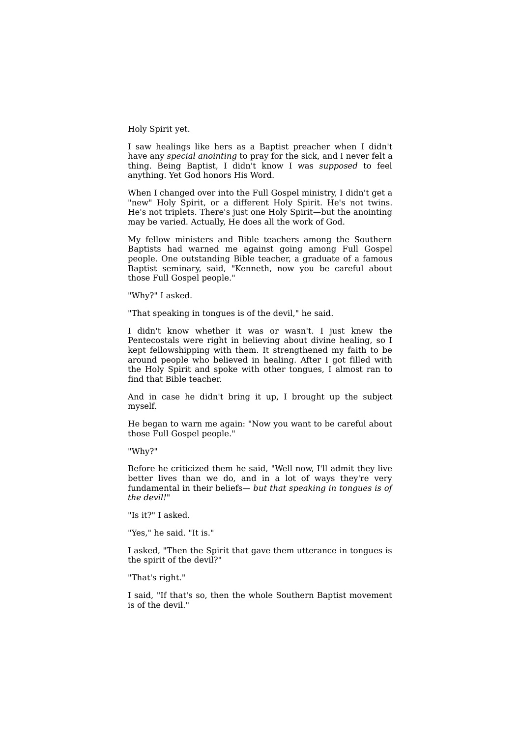Holy Spirit yet.

I saw healings like hers as a Baptist preacher when I didn't have any *special anointing* to pray for the sick, and I never felt a thing. Being Baptist, I didn't know I was *supposed* to feel anything. Yet God honors His Word.

When I changed over into the Full Gospel ministry, I didn't get a "new" Holy Spirit, or a different Holy Spirit. He's not twins. He's not triplets. There's just one Holy Spirit—but the anointing may be varied. Actually, He does all the work of God.

My fellow ministers and Bible teachers among the Southern Baptists had warned me against going among Full Gospel people. One outstanding Bible teacher, a graduate of a famous Baptist seminary, said, "Kenneth, now you be careful about those Full Gospel people."

"Why?" I asked.

"That speaking in tongues is of the devil," he said.

I didn't know whether it was or wasn't. I just knew the Pentecostals were right in believing about divine healing, so I kept fellowshipping with them. It strengthened my faith to be around people who believed in healing. After I got filled with the Holy Spirit and spoke with other tongues, I almost ran to find that Bible teacher.

And in case he didn't bring it up, I brought up the subject myself.

He began to warn me again: "Now you want to be careful about those Full Gospel people."

"Why?"

Before he criticized them he said, "Well now, I'll admit they live better lives than we do, and in a lot of ways they're very fundamental in their beliefs— *but that speaking in tongues is of the devil!"*

"Is it?" I asked.

"Yes," he said. "It is."

I asked, "Then the Spirit that gave them utterance in tongues is the spirit of the devil?"

"That's right."

I said, "If that's so, then the whole Southern Baptist movement is of the devil."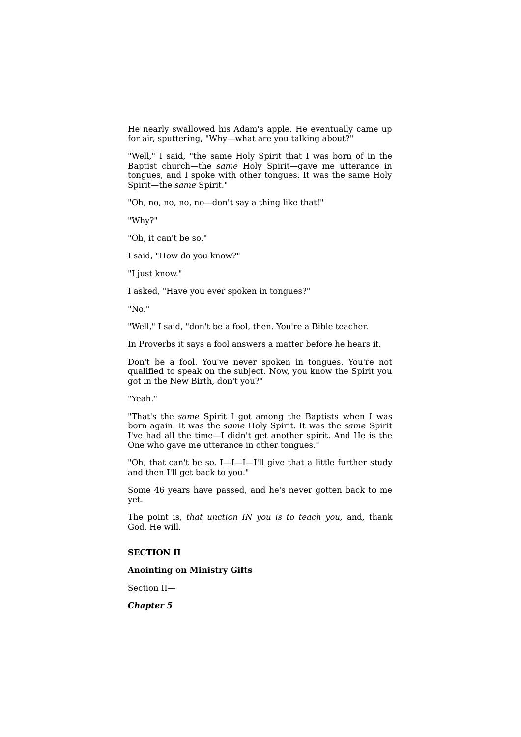He nearly swallowed his Adam's apple. He eventually came up for air, sputtering, "Why—what are you talking about?"

"Well," I said, "the same Holy Spirit that I was born of in the Baptist church—the *same* Holy Spirit—gave me utterance in tongues, and I spoke with other tongues. It was the same Holy Spirit—the *same* Spirit."

"Oh, no, no, no, no—don't say a thing like that!"

"Why?"

"Oh, it can't be so."

I said, "How do you know?"

"I just know."

I asked, "Have you ever spoken in tongues?"

"No."

"Well," I said, "don't be a fool, then. You're a Bible teacher.

In Proverbs it says a fool answers a matter before he hears it.

Don't be a fool. You've never spoken in tongues. You're not qualified to speak on the subject. Now, you know the Spirit you got in the New Birth, don't you?"

"Yeah."

"That's the *same* Spirit I got among the Baptists when I was born again. It was the *same* Holy Spirit. It was the *same* Spirit I've had all the time—I didn't get another spirit. And He is the One who gave me utterance in other tongues."

"Oh, that can't be so. I—I—I—I'll give that a little further study and then I'll get back to you."

Some 46 years have passed, and he's never gotten back to me yet.

The point is, *that unction IN you is to teach you,* and, thank God, He will.

# **SECTION II**

## **Anointing on Ministry Gifts**

Section II—

*Chapter 5*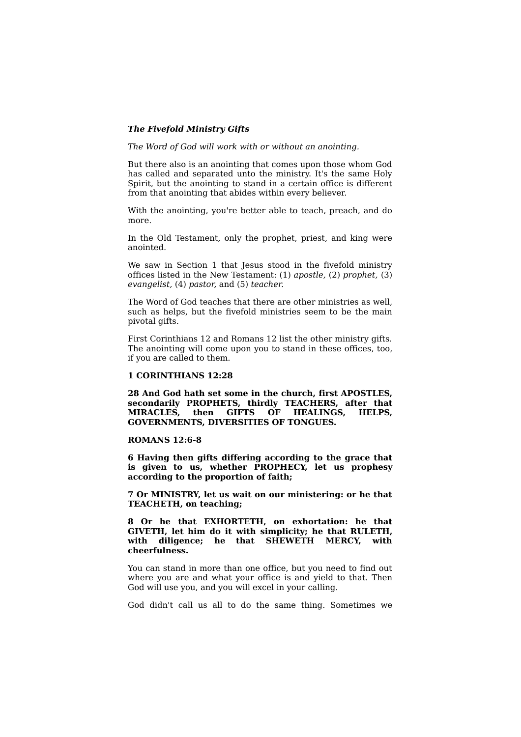### *The Fivefold Ministry Gifts*

*The Word of God will work with or without an anointing.*

But there also is an anointing that comes upon those whom God has called and separated unto the ministry. It's the same Holy Spirit, but the anointing to stand in a certain office is different from that anointing that abides within every believer.

With the anointing, you're better able to teach, preach, and do more.

In the Old Testament, only the prophet, priest, and king were anointed.

We saw in Section 1 that Jesus stood in the fivefold ministry offices listed in the New Testament: (1) *apostle,* (2) *prophet,* (3) *evangelist,* (4) *pastor,* and (5) *teacher.*

The Word of God teaches that there are other ministries as well, such as helps, but the fivefold ministries seem to be the main pivotal gifts.

First Corinthians 12 and Romans 12 list the other ministry gifts. The anointing will come upon you to stand in these offices, too, if you are called to them.

#### **1 CORINTHIANS 12:28**

**28 And God hath set some in the church, first APOSTLES, secondarily PROPHETS, thirdly TEACHERS, after that MIRACLES, then GIFTS OF HEALINGS, HELPS, GOVERNMENTS, DIVERSITIES OF TONGUES.**

#### **ROMANS 12:6-8**

**6 Having then gifts differing according to the grace that is given to us, whether PROPHECY, let us prophesy according to the proportion of faith;**

**7 Or MINISTRY, let us wait on our ministering: or he that TEACHETH, on teaching;**

**8 Or he that EXHORTETH, on exhortation: he that GIVETH, let him do it with simplicity; he that RULETH, with diligence; he that SHEWETH MERCY, with cheerfulness.**

You can stand in more than one office, but you need to find out where you are and what your office is and yield to that. Then God will use you, and you will excel in your calling.

God didn't call us all to do the same thing. Sometimes we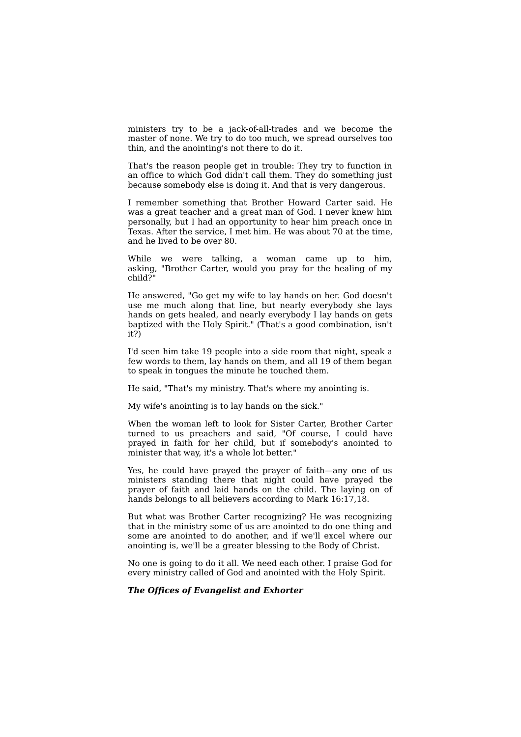ministers try to be a jack-of-all-trades and we become the master of none. We try to do too much, we spread ourselves too thin, and the anointing's not there to do it.

That's the reason people get in trouble: They try to function in an office to which God didn't call them. They do something just because somebody else is doing it. And that is very dangerous.

I remember something that Brother Howard Carter said. He was a great teacher and a great man of God. I never knew him personally, but I had an opportunity to hear him preach once in Texas. After the service, I met him. He was about 70 at the time, and he lived to be over 80.

While we were talking, a woman came up to him, asking, "Brother Carter, would you pray for the healing of my child?"

He answered, "Go get my wife to lay hands on her. God doesn't use me much along that line, but nearly everybody she lays hands on gets healed, and nearly everybody I lay hands on gets baptized with the Holy Spirit." (That's a good combination, isn't it?)

I'd seen him take 19 people into a side room that night, speak a few words to them, lay hands on them, and all 19 of them began to speak in tongues the minute he touched them.

He said, "That's my ministry. That's where my anointing is.

My wife's anointing is to lay hands on the sick."

When the woman left to look for Sister Carter, Brother Carter turned to us preachers and said, "Of course, I could have prayed in faith for her child, but if somebody's anointed to minister that way, it's a whole lot better."

Yes, he could have prayed the prayer of faith—any one of us ministers standing there that night could have prayed the prayer of faith and laid hands on the child. The laying on of hands belongs to all believers according to Mark 16:17,18.

But what was Brother Carter recognizing? He was recognizing that in the ministry some of us are anointed to do one thing and some are anointed to do another, and if we'll excel where our anointing is, we'll be a greater blessing to the Body of Christ.

No one is going to do it all. We need each other. I praise God for every ministry called of God and anointed with the Holy Spirit.

# *The Offices of Evangelist and Exhorter*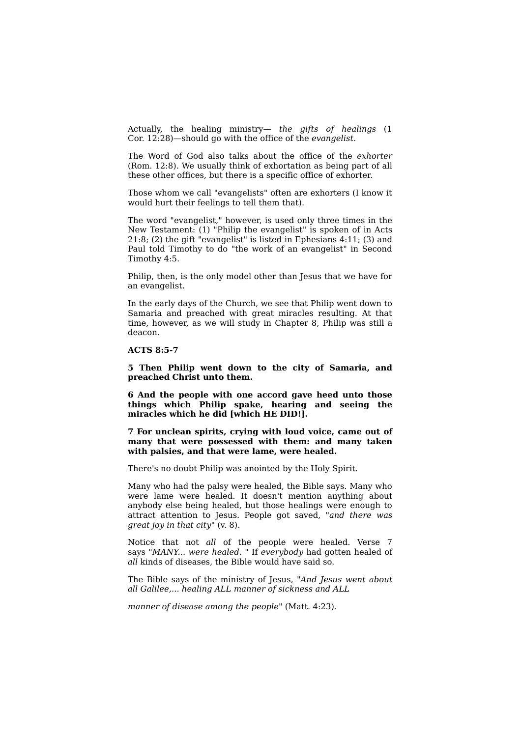Actually, the healing ministry— *the gifts of healings* (1 Cor. 12:28)—should go with the office of the *evangelist.*

The Word of God also talks about the office of the *exhorter* (Rom. 12:8). We usually think of exhortation as being part of all these other offices, but there is a specific office of exhorter.

Those whom we call "evangelists" often are exhorters (I know it would hurt their feelings to tell them that).

The word "evangelist," however, is used only three times in the New Testament: (1) "Philip the evangelist" is spoken of in Acts 21:8; (2) the gift "evangelist" is listed in Ephesians 4:11; (3) and Paul told Timothy to do "the work of an evangelist" in Second Timothy 4:5.

Philip, then, is the only model other than Jesus that we have for an evangelist.

In the early days of the Church, we see that Philip went down to Samaria and preached with great miracles resulting. At that time, however, as we will study in Chapter 8, Philip was still a deacon.

**ACTS 8:5-7**

**5 Then Philip went down to the city of Samaria, and preached Christ unto them.**

**6 And the people with one accord gave heed unto those things which Philip spake, hearing and seeing the miracles which he did [which HE DID!].**

**7 For unclean spirits, crying with loud voice, came out of many that were possessed with them: and many taken with palsies, and that were lame, were healed.**

There's no doubt Philip was anointed by the Holy Spirit.

Many who had the palsy were healed, the Bible says. Many who were lame were healed. It doesn't mention anything about anybody else being healed, but those healings were enough to attract attention to Jesus. People got saved, *"and there was great joy in that city"* (v. 8).

Notice that not *all* of the people were healed. Verse 7 says *"MANY... were healed.* " If *everybody* had gotten healed of *all* kinds of diseases, the Bible would have said so.

The Bible says of the ministry of Jesus, *"And Jesus went about all Galilee,... healing ALL manner of sickness and ALL*

*manner of disease among the people"* (Matt. 4:23).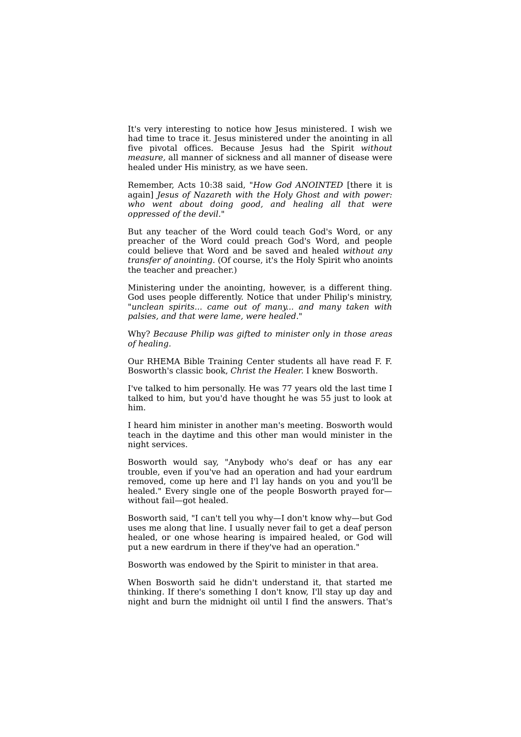It's very interesting to notice how Jesus ministered. I wish we had time to trace it. Jesus ministered under the anointing in all five pivotal offices. Because Jesus had the Spirit *without measure,* all manner of sickness and all manner of disease were healed under His ministry, as we have seen.

Remember, Acts 10:38 said, *"How God ANOINTED* [there it is again] *Jesus of Nazareth with the Holy Ghost and with power: who went about doing good, and healing all that were oppressed of the devil."*

But any teacher of the Word could teach God's Word, or any preacher of the Word could preach God's Word, and people could believe that Word and be saved and healed *without any transfer of anointing.* (Of course, it's the Holy Spirit who anoints the teacher and preacher.)

Ministering under the anointing, however, is a different thing. God uses people differently. Notice that under Philip's ministry, *"unclean spirits... came out of many... and many taken with palsies, and that were lame, were healed."*

Why? *Because Philip was gifted to minister only in those areas of healing.*

Our RHEMA Bible Training Center students all have read F. F. Bosworth's classic book, *Christ the Healer.* I knew Bosworth.

I've talked to him personally. He was 77 years old the last time I talked to him, but you'd have thought he was 55 just to look at him.

I heard him minister in another man's meeting. Bosworth would teach in the daytime and this other man would minister in the night services.

Bosworth would say, "Anybody who's deaf or has any ear trouble, even if you've had an operation and had your eardrum removed, come up here and I'l lay hands on you and you'll be healed." Every single one of the people Bosworth prayed for without fail—got healed.

Bosworth said, "I can't tell you why—I don't know why—but God uses me along that line. I usually never fail to get a deaf person healed, or one whose hearing is impaired healed, or God will put a new eardrum in there if they've had an operation."

Bosworth was endowed by the Spirit to minister in that area.

When Bosworth said he didn't understand it, that started me thinking. If there's something I don't know, I'll stay up day and night and burn the midnight oil until I find the answers. That's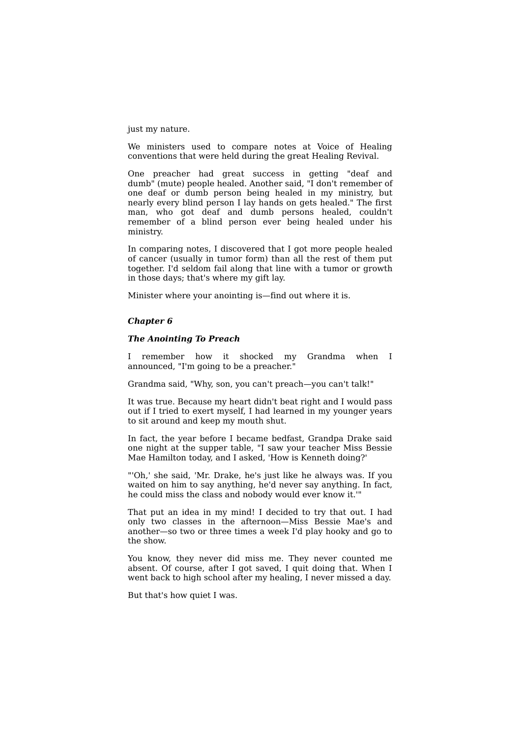just my nature.

We ministers used to compare notes at Voice of Healing conventions that were held during the great Healing Revival.

One preacher had great success in getting "deaf and dumb" (mute) people healed. Another said, "I don't remember of one deaf or dumb person being healed in my ministry, but nearly every blind person I lay hands on gets healed." The first man, who got deaf and dumb persons healed, couldn't remember of a blind person ever being healed under his ministry.

In comparing notes, I discovered that I got more people healed of cancer (usually in tumor form) than all the rest of them put together. I'd seldom fail along that line with a tumor or growth in those days; that's where my gift lay.

Minister where your anointing is—find out where it is.

### *Chapter 6*

### *The Anointing To Preach*

I remember how it shocked my Grandma when I announced, "I'm going to be a preacher."

Grandma said, "Why, son, you can't preach—you can't talk!"

It was true. Because my heart didn't beat right and I would pass out if I tried to exert myself, I had learned in my younger years to sit around and keep my mouth shut.

In fact, the year before I became bedfast, Grandpa Drake said one night at the supper table, "I saw your teacher Miss Bessie Mae Hamilton today, and I asked, 'How is Kenneth doing?'

"'Oh,' she said, 'Mr. Drake, he's just like he always was. If you waited on him to say anything, he'd never say anything. In fact, he could miss the class and nobody would ever know it.'"

That put an idea in my mind! I decided to try that out. I had only two classes in the afternoon—Miss Bessie Mae's and another—so two or three times a week I'd play hooky and go to the show.

You know, they never did miss me. They never counted me absent. Of course, after I got saved, I quit doing that. When I went back to high school after my healing, I never missed a day.

But that's how quiet I was.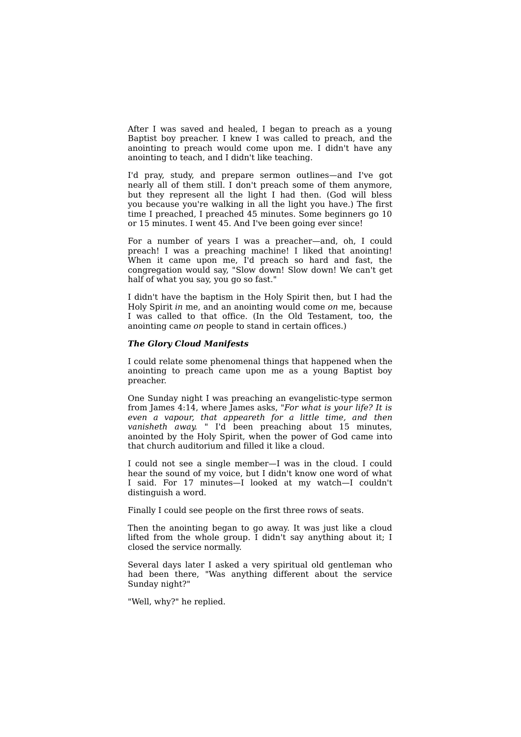After I was saved and healed, I began to preach as a young Baptist boy preacher. I knew I was called to preach, and the anointing to preach would come upon me. I didn't have any anointing to teach, and I didn't like teaching.

I'd pray, study, and prepare sermon outlines—and I've got nearly all of them still. I don't preach some of them anymore, but they represent all the light I had then. (God will bless you because you're walking in all the light you have.) The first time I preached, I preached 45 minutes. Some beginners go 10 or 15 minutes. I went 45. And I've been going ever since!

For a number of years I was a preacher—and, oh, I could preach! I was a preaching machine! I liked that anointing! When it came upon me, I'd preach so hard and fast, the congregation would say, "Slow down! Slow down! We can't get half of what you say, you go so fast."

I didn't have the baptism in the Holy Spirit then, but I had the Holy Spirit *in* me, and an anointing would come *on* me, because I was called to that office. (In the Old Testament, too, the anointing came *on* people to stand in certain offices.)

#### *The Glory Cloud Manifests*

I could relate some phenomenal things that happened when the anointing to preach came upon me as a young Baptist boy preacher.

One Sunday night I was preaching an evangelistic-type sermon from James 4:14, where James asks, *"For what is your life? It is even a vapour, that appeareth for a little time, and then vanisheth away.* " I'd been preaching about 15 minutes, anointed by the Holy Spirit, when the power of God came into that church auditorium and filled it like a cloud.

I could not see a single member—I was in the cloud. I could hear the sound of my voice, but I didn't know one word of what I said. For 17 minutes—I looked at my watch—I couldn't distinguish a word.

Finally I could see people on the first three rows of seats.

Then the anointing began to go away. It was just like a cloud lifted from the whole group. I didn't say anything about it; I closed the service normally.

Several days later I asked a very spiritual old gentleman who had been there, "Was anything different about the service Sunday night?"

"Well, why?" he replied.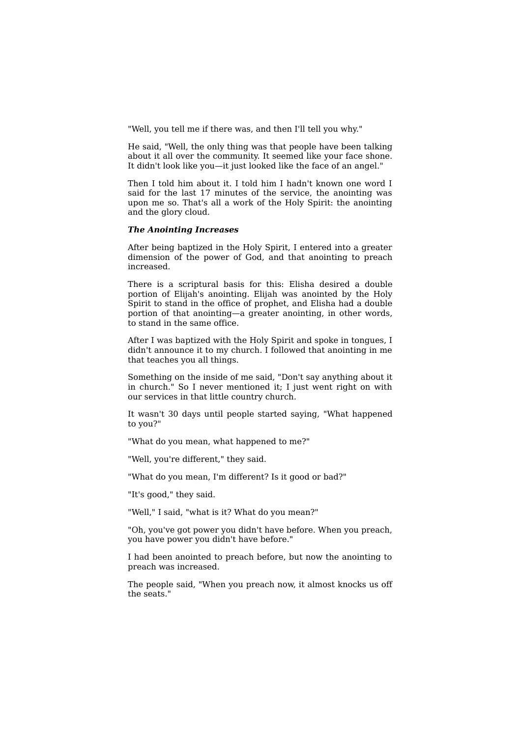"Well, you tell me if there was, and then I'll tell you why."

He said, "Well, the only thing was that people have been talking about it all over the community. It seemed like your face shone. It didn't look like you—it just looked like the face of an angel."

Then I told him about it. I told him I hadn't known one word I said for the last 17 minutes of the service, the anointing was upon me so. That's all a work of the Holy Spirit: the anointing and the glory cloud.

#### *The Anointing Increases*

After being baptized in the Holy Spirit, I entered into a greater dimension of the power of God, and that anointing to preach increased.

There is a scriptural basis for this: Elisha desired a double portion of Elijah's anointing. Elijah was anointed by the Holy Spirit to stand in the office of prophet, and Elisha had a double portion of that anointing—a greater anointing, in other words, to stand in the same office.

After I was baptized with the Holy Spirit and spoke in tongues, I didn't announce it to my church. I followed that anointing in me that teaches you all things.

Something on the inside of me said, "Don't say anything about it in church." So I never mentioned it; I just went right on with our services in that little country church.

It wasn't 30 days until people started saying, "What happened to you?"

"What do you mean, what happened to me?"

"Well, you're different," they said.

"What do you mean, I'm different? Is it good or bad?"

"It's good," they said.

"Well," I said, "what is it? What do you mean?"

"Oh, you've got power you didn't have before. When you preach, you have power you didn't have before."

I had been anointed to preach before, but now the anointing to preach was increased.

The people said, "When you preach now, it almost knocks us off the seats."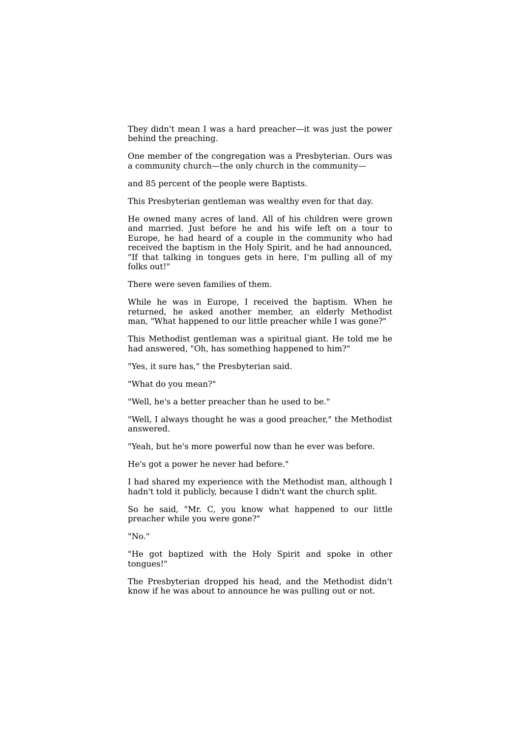They didn't mean I was a hard preacher—it was just the power behind the preaching.

One member of the congregation was a Presbyterian. Ours was a community church—the only church in the community—

and 85 percent of the people were Baptists.

This Presbyterian gentleman was wealthy even for that day.

He owned many acres of land. All of his children were grown and married. Just before he and his wife left on a tour to Europe, he had heard of a couple in the community who had received the baptism in the Holy Spirit, and he had announced, "If that talking in tongues gets in here, I'm pulling all of my folks out!"

There were seven families of them.

While he was in Europe, I received the baptism. When he returned, he asked another member, an elderly Methodist man, "What happened to our little preacher while I was gone?"

This Methodist gentleman was a spiritual giant. He told me he had answered, "Oh, has something happened to him?"

"Yes, it sure has," the Presbyterian said.

"What do you mean?"

"Well, he's a better preacher than he used to be."

"Well, I always thought he was a good preacher," the Methodist answered.

"Yeah, but he's more powerful now than he ever was before.

He's got a power he never had before."

I had shared my experience with the Methodist man, although I hadn't told it publicly, because I didn't want the church split.

So he said, "Mr. C, you know what happened to our little preacher while you were gone?"

"No."

"He got baptized with the Holy Spirit and spoke in other tongues!"

The Presbyterian dropped his head, and the Methodist didn't know if he was about to announce he was pulling out or not.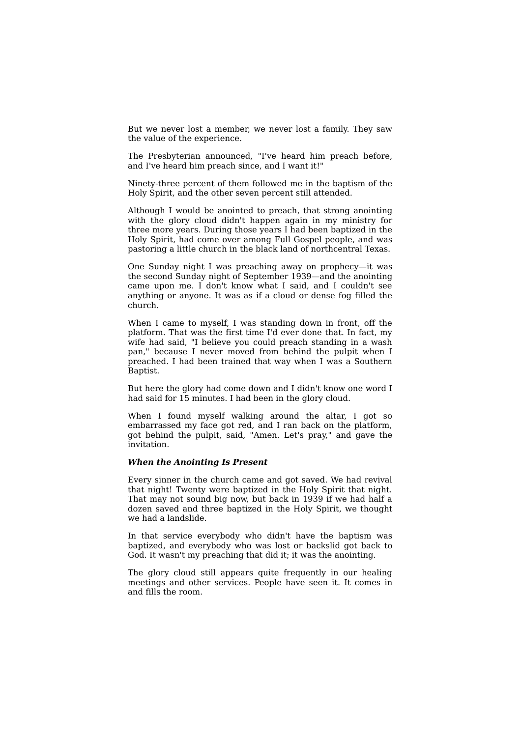But we never lost a member, we never lost a family. They saw the value of the experience.

The Presbyterian announced, "I've heard him preach before, and I've heard him preach since, and I want it!"

Ninety-three percent of them followed me in the baptism of the Holy Spirit, and the other seven percent still attended.

Although I would be anointed to preach, that strong anointing with the glory cloud didn't happen again in my ministry for three more years. During those years I had been baptized in the Holy Spirit, had come over among Full Gospel people, and was pastoring a little church in the black land of northcentral Texas.

One Sunday night I was preaching away on prophecy—it was the second Sunday night of September 1939—and the anointing came upon me. I don't know what I said, and I couldn't see anything or anyone. It was as if a cloud or dense fog filled the church.

When I came to myself, I was standing down in front, off the platform. That was the first time I'd ever done that. In fact, my wife had said, "I believe you could preach standing in a wash pan," because I never moved from behind the pulpit when I preached. I had been trained that way when I was a Southern Baptist.

But here the glory had come down and I didn't know one word I had said for 15 minutes. I had been in the glory cloud.

When I found myself walking around the altar, I got so embarrassed my face got red, and I ran back on the platform, got behind the pulpit, said, "Amen. Let's pray," and gave the invitation.

### *When the Anointing Is Present*

Every sinner in the church came and got saved. We had revival that night! Twenty were baptized in the Holy Spirit that night. That may not sound big now, but back in 1939 if we had half a dozen saved and three baptized in the Holy Spirit, we thought we had a landslide.

In that service everybody who didn't have the baptism was baptized, and everybody who was lost or backslid got back to God. It wasn't my preaching that did it; it was the anointing.

The glory cloud still appears quite frequently in our healing meetings and other services. People have seen it. It comes in and fills the room.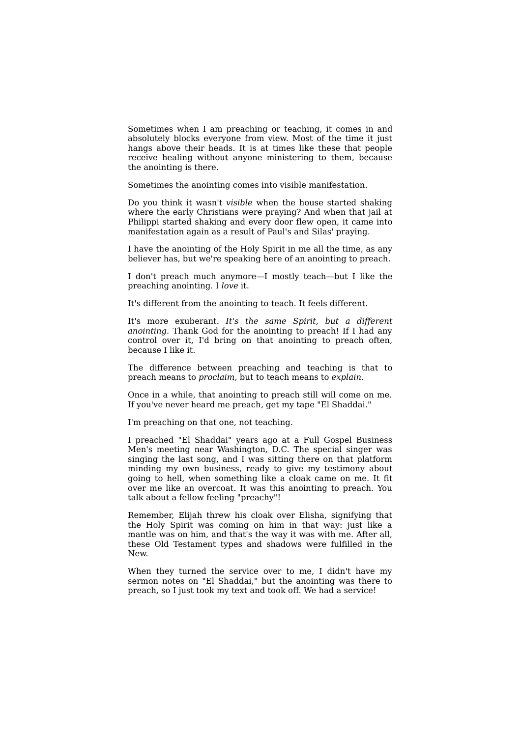Sometimes when I am preaching or teaching, it comes in and absolutely blocks everyone from view. Most of the time it just hangs above their heads. It is at times like these that people receive healing without anyone ministering to them, because the anointing is there.

Sometimes the anointing comes into visible manifestation.

Do you think it wasn't *visible* when the house started shaking where the early Christians were praying? And when that jail at Philippi started shaking and every door flew open, it came into manifestation again as a result of Paul's and Silas' praying.

I have the anointing of the Holy Spirit in me all the time, as any believer has, but we're speaking here of an anointing to preach.

I don't preach much anymore—I mostly teach—but I like the preaching anointing. I *love* it.

It's different from the anointing to teach. It feels different.

It's more exuberant. *It's the same Spirit, but a different anointing.* Thank God for the anointing to preach! If I had any control over it, I'd bring on that anointing to preach often, because I like it.

The difference between preaching and teaching is that to preach means to *proclaim,* but to teach means to *explain.*

Once in a while, that anointing to preach still will come on me. If you've never heard me preach, get my tape "El Shaddai."

I'm preaching on that one, not teaching.

I preached "El Shaddai" years ago at a Full Gospel Business Men's meeting near Washington, D.C. The special singer was singing the last song, and I was sitting there on that platform minding my own business, ready to give my testimony about going to hell, when something like a cloak came on me. It fit over me like an overcoat. It was this anointing to preach. You talk about a fellow feeling "preachy"!

Remember, Elijah threw his cloak over Elisha, signifying that the Holy Spirit was coming on him in that way: just like a mantle was on him, and that's the way it was with me. After all, these Old Testament types and shadows were fulfilled in the New.

When they turned the service over to me, I didn't have my sermon notes on "El Shaddai," but the anointing was there to preach, so I just took my text and took off. We had a service!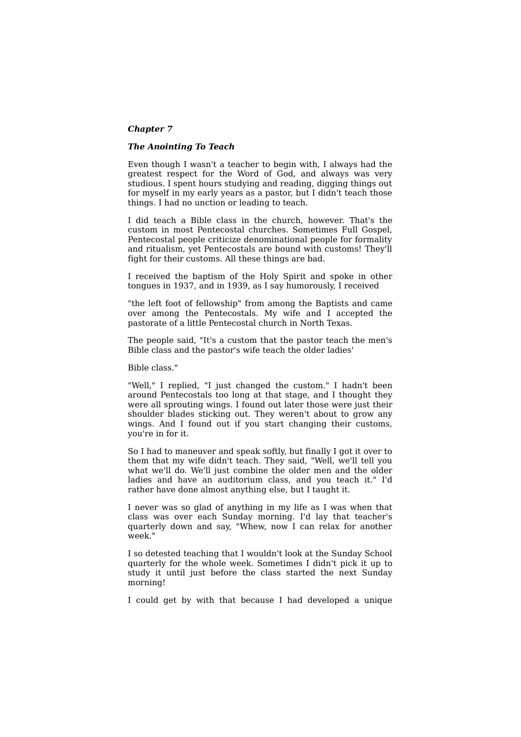# *Chapter 7*

#### *The Anointing To Teach*

Even though I wasn't a teacher to begin with, I always had the greatest respect for the Word of God, and always was very studious. I spent hours studying and reading, digging things out for myself in my early years as a pastor, but I didn't teach those things. I had no unction or leading to teach.

I did teach a Bible class in the church, however. That's the custom in most Pentecostal churches. Sometimes Full Gospel, Pentecostal people criticize denominational people for formality and ritualism, yet Pentecostals are bound with customs! They'll fight for their customs. All these things are bad.

I received the baptism of the Holy Spirit and spoke in other tongues in 1937, and in 1939, as I say humorously, I received

"the left foot of fellowship" from among the Baptists and came over among the Pentecostals. My wife and I accepted the pastorate of a little Pentecostal church in North Texas.

The people said, "It's a custom that the pastor teach the men's Bible class and the pastor's wife teach the older ladies'

Bible class."

"Well," I replied, "I just changed the custom." I hadn't been around Pentecostals too long at that stage, and I thought they were all sprouting wings. I found out later those were just their shoulder blades sticking out. They weren't about to grow any wings. And I found out if you start changing their customs, you're in for it.

So I had to maneuver and speak softly, but finally I got it over to them that my wife didn't teach. They said, "Well, we'll tell you what we'll do. We'll just combine the older men and the older ladies and have an auditorium class, and you teach it." I'd rather have done almost anything else, but I taught it.

I never was so glad of anything in my life as I was when that class was over each Sunday morning. I'd lay that teacher's quarterly down and say, "Whew, now I can relax for another week."

I so detested teaching that I wouldn't look at the Sunday School quarterly for the whole week. Sometimes I didn't pick it up to study it until just before the class started the next Sunday morning!

I could get by with that because I had developed a unique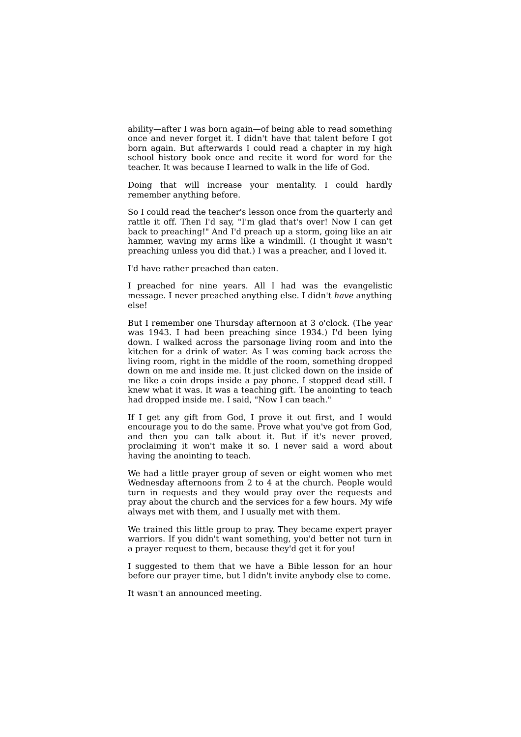ability—after I was born again—of being able to read something once and never forget it. I didn't have that talent before I got born again. But afterwards I could read a chapter in my high school history book once and recite it word for word for the teacher. It was because I learned to walk in the life of God.

Doing that will increase your mentality. I could hardly remember anything before.

So I could read the teacher's lesson once from the quarterly and rattle it off. Then I'd say, "I'm glad that's over! Now I can get back to preaching!" And I'd preach up a storm, going like an air hammer, waving my arms like a windmill. (I thought it wasn't preaching unless you did that.) I was a preacher, and I loved it.

I'd have rather preached than eaten.

I preached for nine years. All I had was the evangelistic message. I never preached anything else. I didn't *have* anything else!

But I remember one Thursday afternoon at 3 o'clock. (The year was 1943. I had been preaching since 1934.) I'd been lying down. I walked across the parsonage living room and into the kitchen for a drink of water. As I was coming back across the living room, right in the middle of the room, something dropped down on me and inside me. It just clicked down on the inside of me like a coin drops inside a pay phone. I stopped dead still. I knew what it was. It was a teaching gift. The anointing to teach had dropped inside me. I said, "Now I can teach."

If I get any gift from God, I prove it out first, and I would encourage you to do the same. Prove what you've got from God, and then you can talk about it. But if it's never proved, proclaiming it won't make it so. I never said a word about having the anointing to teach.

We had a little prayer group of seven or eight women who met Wednesday afternoons from 2 to 4 at the church. People would turn in requests and they would pray over the requests and pray about the church and the services for a few hours. My wife always met with them, and I usually met with them.

We trained this little group to pray. They became expert prayer warriors. If you didn't want something, you'd better not turn in a prayer request to them, because they'd get it for you!

I suggested to them that we have a Bible lesson for an hour before our prayer time, but I didn't invite anybody else to come.

It wasn't an announced meeting.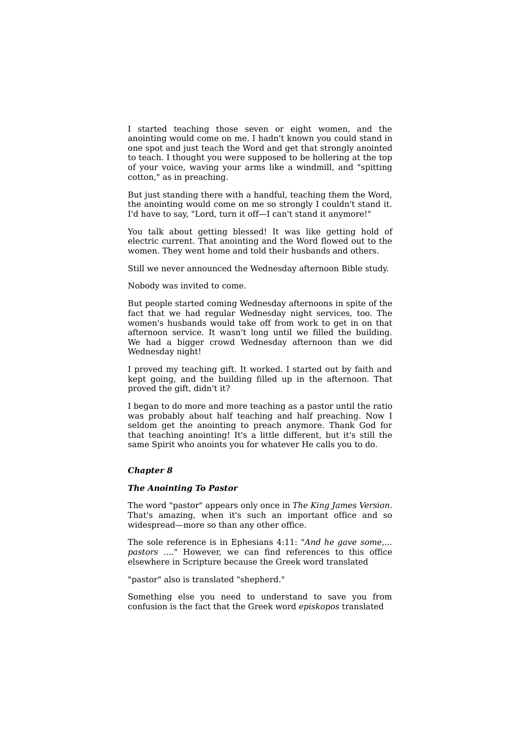I started teaching those seven or eight women, and the anointing would come on me. I hadn't known you could stand in one spot and just teach the Word and get that strongly anointed to teach. I thought you were supposed to be hollering at the top of your voice, waving your arms like a windmill, and "spitting cotton," as in preaching.

But just standing there with a handful, teaching them the Word, the anointing would come on me so strongly I couldn't stand it. I'd have to say, "Lord, turn it off—I can't stand it anymore!"

You talk about getting blessed! It was like getting hold of electric current. That anointing and the Word flowed out to the women. They went home and told their husbands and others.

Still we never announced the Wednesday afternoon Bible study.

Nobody was invited to come.

But people started coming Wednesday afternoons in spite of the fact that we had regular Wednesday night services, too. The women's husbands would take off from work to get in on that afternoon service. It wasn't long until we filled the building. We had a bigger crowd Wednesday afternoon than we did Wednesday night!

I proved my teaching gift. It worked. I started out by faith and kept going, and the building filled up in the afternoon. That proved the gift, didn't it?

I began to do more and more teaching as a pastor until the ratio was probably about half teaching and half preaching. Now I seldom get the anointing to preach anymore. Thank God for that teaching anointing! It's a little different, but it's still the same Spirit who anoints you for whatever He calls you to do.

#### *Chapter 8*

# *The Anointing To Pastor*

The word "pastor" appears only once in *The King James Version.* That's amazing, when it's such an important office and so widespread—more so than any other office.

The sole reference is in Ephesians 4:11: *"And he gave some,... pastors* ...." However, we can find references to this office elsewhere in Scripture because the Greek word translated

"pastor" also is translated "shepherd."

Something else you need to understand to save you from confusion is the fact that the Greek word *episkopos* translated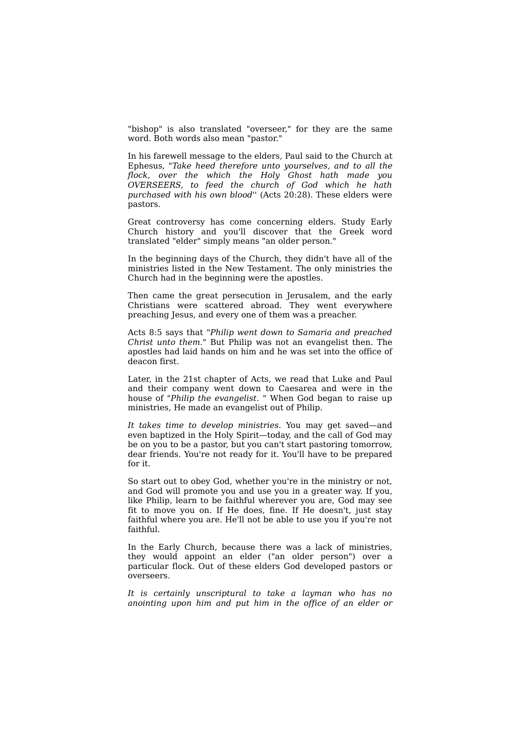"bishop" is also translated "overseer," for they are the same word. Both words also mean "pastor."

In his farewell message to the elders, Paul said to the Church at Ephesus, *"Take heed therefore unto yourselves, and to all the flock, over the which the Holy Ghost hath made you OVERSEERS, to feed the church of God which he hath purchased with his own blood''* (Acts 20:28). These elders were pastors.

Great controversy has come concerning elders. Study Early Church history and you'll discover that the Greek word translated "elder" simply means "an older person."

In the beginning days of the Church, they didn't have all of the ministries listed in the New Testament. The only ministries the Church had in the beginning were the apostles.

Then came the great persecution in Jerusalem, and the early Christians were scattered abroad. They went everywhere preaching Jesus, and every one of them was a preacher.

Acts 8:5 says that *"Philip went down to Samaria and preached Christ unto them."* But Philip was not an evangelist then. The apostles had laid hands on him and he was set into the office of deacon first.

Later, in the 21st chapter of Acts, we read that Luke and Paul and their company went down to Caesarea and were in the house of *"Philip the evangelist.* " When God began to raise up ministries, He made an evangelist out of Philip.

*It takes time to develop ministries.* You may get saved—and even baptized in the Holy Spirit—today, and the call of God may be on you to be a pastor, but you can't start pastoring tomorrow, dear friends. You're not ready for it. You'll have to be prepared for it.

So start out to obey God, whether you're in the ministry or not, and God will promote you and use you in a greater way. If you, like Philip, learn to be faithful wherever you are, God may see fit to move you on. If He does, fine. If He doesn't, just stay faithful where you are. He'll not be able to use you if you're not faithful.

In the Early Church, because there was a lack of ministries, they would appoint an elder ("an older person") over a particular flock. Out of these elders God developed pastors or overseers.

*It is certainly unscriptural to take a layman who has no anointing upon him and put him in the office of an elder or*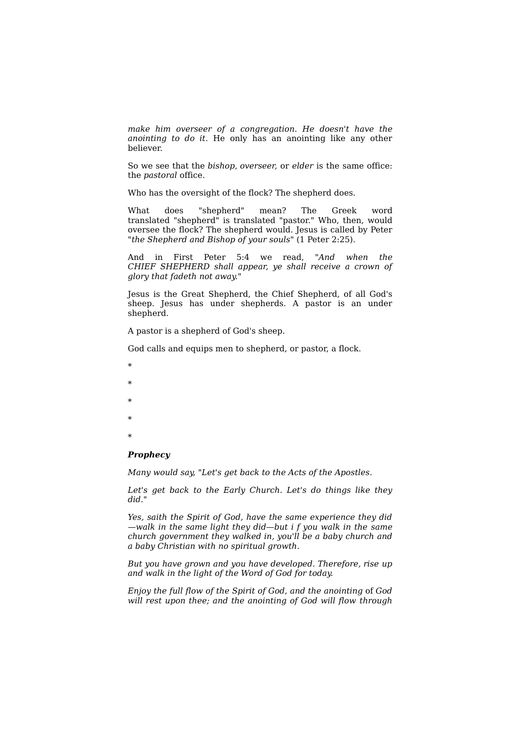*make him overseer of a congregation. He doesn't have the anointing to do it.* He only has an anointing like any other believer.

So we see that the *bishop, overseer,* or *elder* is the same office: the *pastoral* office.

Who has the oversight of the flock? The shepherd does.

What does "shepherd" mean? The Greek word translated "shepherd" is translated "pastor." Who, then, would oversee the flock? The shepherd would. Jesus is called by Peter *"the Shepherd and Bishop of your souls"* (1 Peter 2:25).

And in First Peter 5:4 we read, *"And when the CHIEF SHEPHERD shall appear, ye shall receive a crown of glory that fadeth not away."*

Jesus is the Great Shepherd, the Chief Shepherd, of all God's sheep. Jesus has under shepherds. A pastor is an under shepherd.

A pastor is a shepherd of God's sheep.

God calls and equips men to shepherd, or pastor, a flock.

- \*
- \*
- \*
- \*
- \*

# *Prophecy*

*Many would say, "Let's get back to the Acts of the Apostles.*

*Let's get back to the Early Church. Let's do things like they did."*

*Yes, saith the Spirit of God, have the same experience they did —walk in the same light they did—but i f you walk in the same church government they walked in, you'll be a baby church and a baby Christian with no spiritual growth.*

*But you have grown and you have developed. Therefore, rise up and walk in the light of the Word of God for today.*

*Enjoy the full flow of the Spirit of God, and the anointing* of *God will rest upon thee; and the anointing of God will flow through*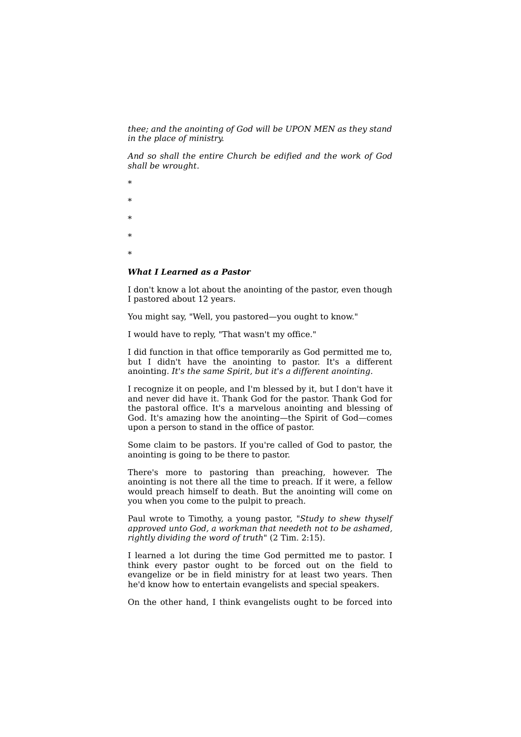*thee; and the anointing of God will be UPON MEN as they stand in the place of ministry.*

*And so shall the entire Church be edified and the work of God shall be wrought.*

\* \* \* \* \*

## *What I Learned as a Pastor*

I don't know a lot about the anointing of the pastor, even though I pastored about 12 years.

You might say, "Well, you pastored—you ought to know."

I would have to reply, "That wasn't my office."

I did function in that office temporarily as God permitted me to, but I didn't have the anointing to pastor. It's a different anointing. *It's the same Spirit, but it's a different anointing.*

I recognize it on people, and I'm blessed by it, but I don't have it and never did have it. Thank God for the pastor. Thank God for the pastoral office. It's a marvelous anointing and blessing of God. It's amazing how the anointing—the Spirit of God—comes upon a person to stand in the office of pastor.

Some claim to be pastors. If you're called of God to pastor, the anointing is going to be there to pastor.

There's more to pastoring than preaching, however. The anointing is not there all the time to preach. If it were, a fellow would preach himself to death. But the anointing will come on you when you come to the pulpit to preach.

Paul wrote to Timothy, a young pastor, *"Study to shew thyself approved unto God, a workman that needeth not to be ashamed, rightly dividing the word of truth"* (2 Tim. 2:15).

I learned a lot during the time God permitted me to pastor. I think every pastor ought to be forced out on the field to evangelize or be in field ministry for at least two years. Then he'd know how to entertain evangelists and special speakers.

On the other hand, I think evangelists ought to be forced into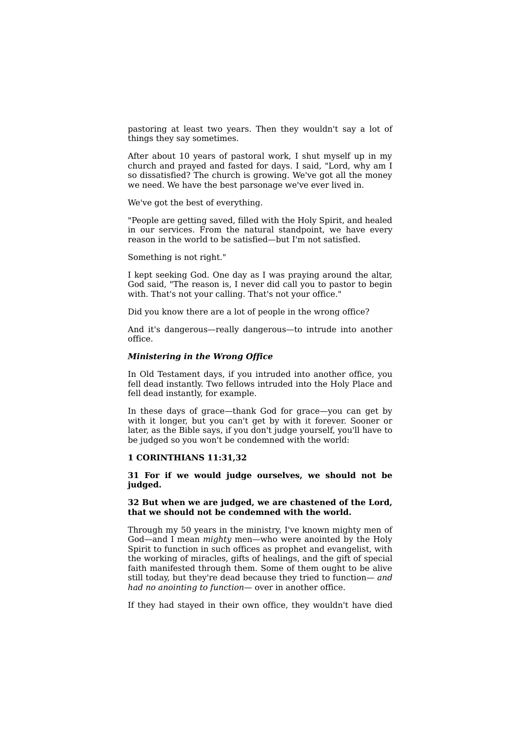pastoring at least two years. Then they wouldn't say a lot of things they say sometimes.

After about 10 years of pastoral work, I shut myself up in my church and prayed and fasted for days. I said, "Lord, why am I so dissatisfied? The church is growing. We've got all the money we need. We have the best parsonage we've ever lived in.

We've got the best of everything.

"People are getting saved, filled with the Holy Spirit, and healed in our services. From the natural standpoint, we have every reason in the world to be satisfied—but I'm not satisfied.

Something is not right."

I kept seeking God. One day as I was praying around the altar, God said, "The reason is, I never did call you to pastor to begin with. That's not your calling. That's not your office."

Did you know there are a lot of people in the wrong office?

And it's dangerous—really dangerous—to intrude into another office.

# *Ministering in the Wrong Office*

In Old Testament days, if you intruded into another office, you fell dead instantly. Two fellows intruded into the Holy Place and fell dead instantly, for example.

In these days of grace—thank God for grace—you can get by with it longer, but you can't get by with it forever. Sooner or later, as the Bible says, if you don't judge yourself, you'll have to be judged so you won't be condemned with the world:

#### **1 CORINTHIANS 11:31,32**

**31 For if we would judge ourselves, we should not be judged.**

## **32 But when we are judged, we are chastened of the Lord, that we should not be condemned with the world.**

Through my 50 years in the ministry, I've known mighty men of God—and I mean *mighty* men—who were anointed by the Holy Spirit to function in such offices as prophet and evangelist, with the working of miracles, gifts of healings, and the gift of special faith manifested through them. Some of them ought to be alive still today, but they're dead because they tried to function— *and had no anointing to function—* over in another office.

If they had stayed in their own office, they wouldn't have died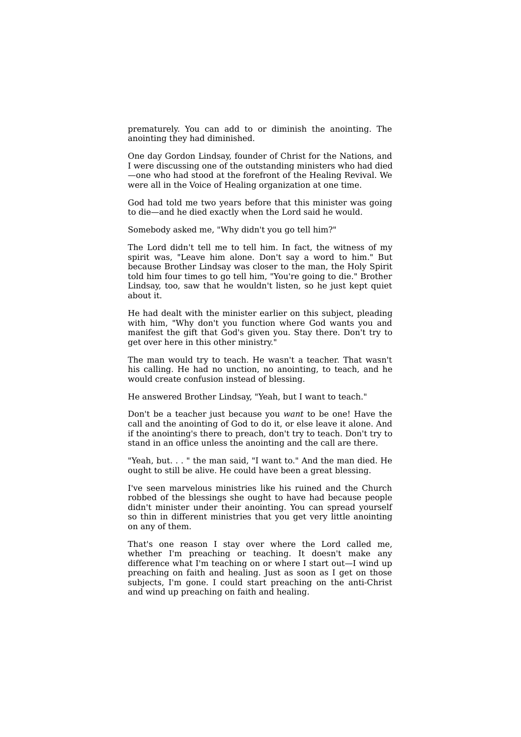prematurely. You can add to or diminish the anointing. The anointing they had diminished.

One day Gordon Lindsay, founder of Christ for the Nations, and I were discussing one of the outstanding ministers who had died —one who had stood at the forefront of the Healing Revival. We were all in the Voice of Healing organization at one time.

God had told me two years before that this minister was going to die—and he died exactly when the Lord said he would.

Somebody asked me, "Why didn't you go tell him?"

The Lord didn't tell me to tell him. In fact, the witness of my spirit was, "Leave him alone. Don't say a word to him." But because Brother Lindsay was closer to the man, the Holy Spirit told him four times to go tell him, "You're going to die." Brother Lindsay, too, saw that he wouldn't listen, so he just kept quiet about it.

He had dealt with the minister earlier on this subject, pleading with him, "Why don't you function where God wants you and manifest the gift that God's given you. Stay there. Don't try to get over here in this other ministry."

The man would try to teach. He wasn't a teacher. That wasn't his calling. He had no unction, no anointing, to teach, and he would create confusion instead of blessing.

He answered Brother Lindsay, "Yeah, but I want to teach."

Don't be a teacher just because you *want* to be one! Have the call and the anointing of God to do it, or else leave it alone. And if the anointing's there to preach, don't try to teach. Don't try to stand in an office unless the anointing and the call are there.

"Yeah, but. . . " the man said, "I want to." And the man died. He ought to still be alive. He could have been a great blessing.

I've seen marvelous ministries like his ruined and the Church robbed of the blessings she ought to have had because people didn't minister under their anointing. You can spread yourself so thin in different ministries that you get very little anointing on any of them.

That's one reason I stay over where the Lord called me, whether I'm preaching or teaching. It doesn't make any difference what I'm teaching on or where I start out—I wind up preaching on faith and healing. Just as soon as I get on those subjects, I'm gone. I could start preaching on the anti-Christ and wind up preaching on faith and healing.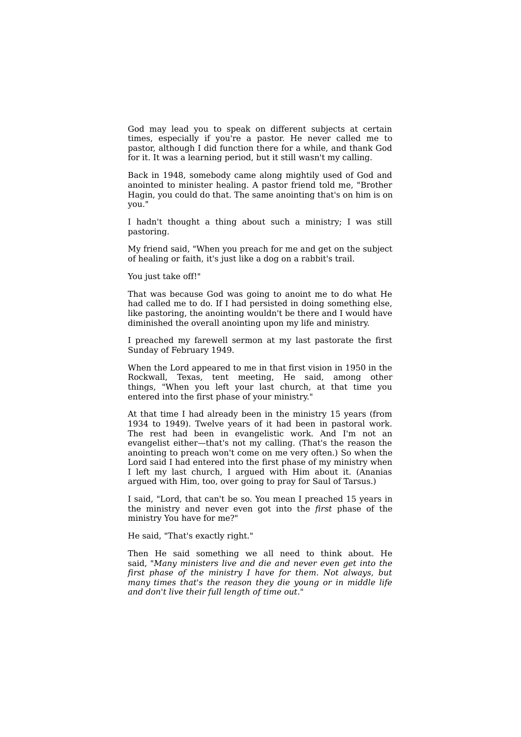God may lead you to speak on different subjects at certain times, especially if you're a pastor. He never called me to pastor, although I did function there for a while, and thank God for it. It was a learning period, but it still wasn't my calling.

Back in 1948, somebody came along mightily used of God and anointed to minister healing. A pastor friend told me, "Brother Hagin, you could do that. The same anointing that's on him is on you."

I hadn't thought a thing about such a ministry; I was still pastoring.

My friend said, "When you preach for me and get on the subject of healing or faith, it's just like a dog on a rabbit's trail.

You just take off!"

That was because God was going to anoint me to do what He had called me to do. If I had persisted in doing something else, like pastoring, the anointing wouldn't be there and I would have diminished the overall anointing upon my life and ministry.

I preached my farewell sermon at my last pastorate the first Sunday of February 1949.

When the Lord appeared to me in that first vision in 1950 in the Rockwall, Texas, tent meeting, He said, among other things, "When you left your last church, at that time you entered into the first phase of your ministry."

At that time I had already been in the ministry 15 years (from 1934 to 1949). Twelve years of it had been in pastoral work. The rest had been in evangelistic work. And I'm not an evangelist either—that's not my calling. (That's the reason the anointing to preach won't come on me very often.) So when the Lord said I had entered into the first phase of my ministry when I left my last church, I argued with Him about it. (Ananias argued with Him, too, over going to pray for Saul of Tarsus.)

I said, "Lord, that can't be so. You mean I preached 15 years in the ministry and never even got into the *first* phase of the ministry You have for me?"

He said, "That's exactly right."

Then He said something we all need to think about. He said, *"Many ministers live and die and never even get into the first phase of the ministry I have for them. Not always, but many times that's the reason they die young or in middle life and don't live their full length of time out."*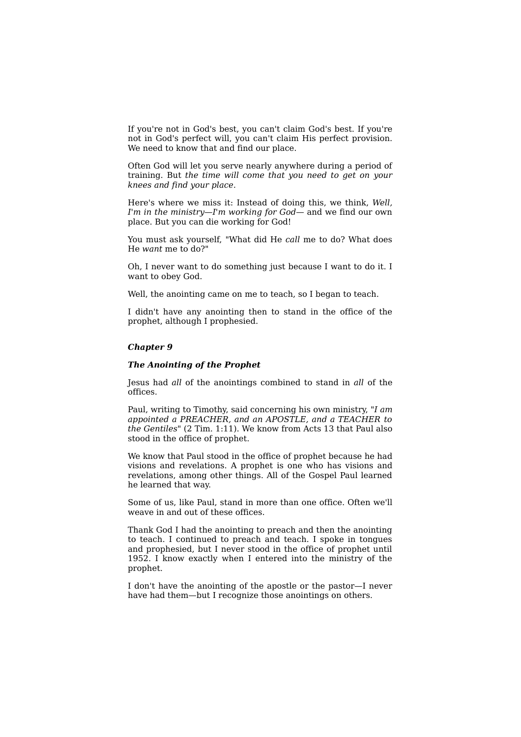If you're not in God's best, you can't claim God's best. If you're not in God's perfect will, you can't claim His perfect provision. We need to know that and find our place.

Often God will let you serve nearly anywhere during a period of training. But *the time will come that you need to get on your knees and find your place.*

Here's where we miss it: Instead of doing this, we think, *Well, I'm in the ministry—I'm working for God—* and we find our own place. But you can die working for God!

You must ask yourself, "What did He *call* me to do? What does He *want* me to do?"

Oh, I never want to do something just because I want to do it. I want to obey God.

Well, the anointing came on me to teach, so I began to teach.

I didn't have any anointing then to stand in the office of the prophet, although I prophesied.

# *Chapter 9*

# *The Anointing of the Prophet*

Jesus had *all* of the anointings combined to stand in *all* of the offices.

Paul, writing to Timothy, said concerning his own ministry, *"I am appointed a PREACHER, and an APOSTLE, and a TEACHER to the Gentiles"* (2 Tim. 1:11). We know from Acts 13 that Paul also stood in the office of prophet.

We know that Paul stood in the office of prophet because he had visions and revelations. A prophet is one who has visions and revelations, among other things. All of the Gospel Paul learned he learned that way.

Some of us, like Paul, stand in more than one office. Often we'll weave in and out of these offices.

Thank God I had the anointing to preach and then the anointing to teach. I continued to preach and teach. I spoke in tongues and prophesied, but I never stood in the office of prophet until 1952. I know exactly when I entered into the ministry of the prophet.

I don't have the anointing of the apostle or the pastor—I never have had them—but I recognize those anointings on others.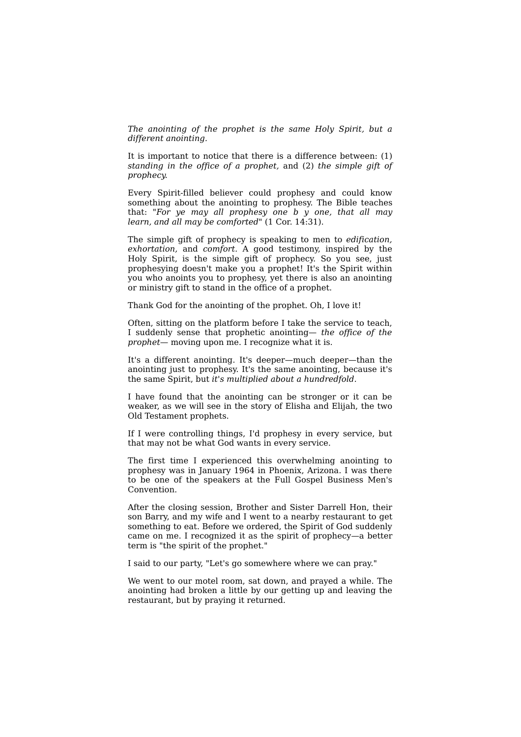*The anointing of the prophet is the same Holy Spirit, but a different anointing.*

It is important to notice that there is a difference between: (1) *standing in the office of a prophet,* and (2) *the simple gift of prophecy.*

Every Spirit-filled believer could prophesy and could know something about the anointing to prophesy. The Bible teaches that: *"For ye may all prophesy one b y one, that all may learn, and all may be comforted"* (1 Cor. 14:31).

The simple gift of prophecy is speaking to men to *edification, exhortation,* and *comfort.* A good testimony, inspired by the Holy Spirit, is the simple gift of prophecy. So you see, just prophesying doesn't make you a prophet! It's the Spirit within you who anoints you to prophesy, yet there is also an anointing or ministry gift to stand in the office of a prophet.

Thank God for the anointing of the prophet. Oh, I love it!

Often, sitting on the platform before I take the service to teach, I suddenly sense that prophetic anointing— *the office of the prophet—* moving upon me. I recognize what it is.

It's a different anointing. It's deeper—much deeper—than the anointing just to prophesy. It's the same anointing, because it's the same Spirit, but *it's multiplied about a hundredfold.*

I have found that the anointing can be stronger or it can be weaker, as we will see in the story of Elisha and Elijah, the two Old Testament prophets.

If I were controlling things, I'd prophesy in every service, but that may not be what God wants in every service.

The first time I experienced this overwhelming anointing to prophesy was in January 1964 in Phoenix, Arizona. I was there to be one of the speakers at the Full Gospel Business Men's Convention.

After the closing session, Brother and Sister Darrell Hon, their son Barry, and my wife and I went to a nearby restaurant to get something to eat. Before we ordered, the Spirit of God suddenly came on me. I recognized it as the spirit of prophecy—a better term is "the spirit of the prophet."

I said to our party, "Let's go somewhere where we can pray."

We went to our motel room, sat down, and prayed a while. The anointing had broken a little by our getting up and leaving the restaurant, but by praying it returned.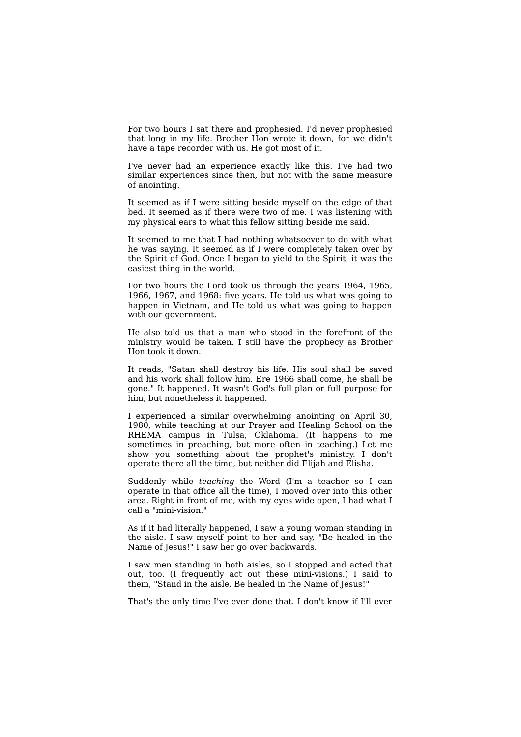For two hours I sat there and prophesied. I'd never prophesied that long in my life. Brother Hon wrote it down, for we didn't have a tape recorder with us. He got most of it.

I've never had an experience exactly like this. I've had two similar experiences since then, but not with the same measure of anointing.

It seemed as if I were sitting beside myself on the edge of that bed. It seemed as if there were two of me. I was listening with my physical ears to what this fellow sitting beside me said.

It seemed to me that I had nothing whatsoever to do with what he was saying. It seemed as if I were completely taken over by the Spirit of God. Once I began to yield to the Spirit, it was the easiest thing in the world.

For two hours the Lord took us through the years 1964, 1965, 1966, 1967, and 1968: five years. He told us what was going to happen in Vietnam, and He told us what was going to happen with our government.

He also told us that a man who stood in the forefront of the ministry would be taken. I still have the prophecy as Brother Hon took it down.

It reads, "Satan shall destroy his life. His soul shall be saved and his work shall follow him. Ere 1966 shall come, he shall be gone." It happened. It wasn't God's full plan or full purpose for him, but nonetheless it happened.

I experienced a similar overwhelming anointing on April 30, 1980, while teaching at our Prayer and Healing School on the RHEMA campus in Tulsa, Oklahoma. (It happens to me sometimes in preaching, but more often in teaching.) Let me show you something about the prophet's ministry. I don't operate there all the time, but neither did Elijah and Elisha.

Suddenly while *teaching* the Word (I'm a teacher so I can operate in that office all the time), I moved over into this other area. Right in front of me, with my eyes wide open, I had what I call a "mini-vision."

As if it had literally happened, I saw a young woman standing in the aisle. I saw myself point to her and say, "Be healed in the Name of Jesus!" I saw her go over backwards.

I saw men standing in both aisles, so I stopped and acted that out, too. (I frequently act out these mini-visions.) I said to them, "Stand in the aisle. Be healed in the Name of Jesus!"

That's the only time I've ever done that. I don't know if I'll ever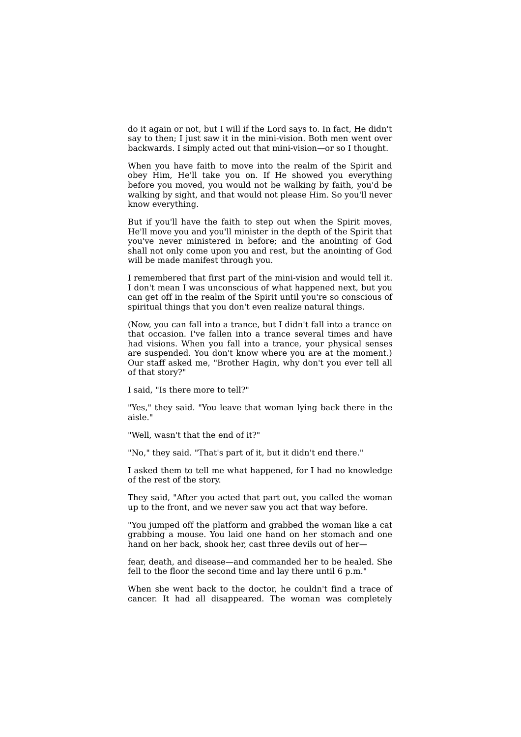do it again or not, but I will if the Lord says to. In fact, He didn't say to then; I just saw it in the mini-vision. Both men went over backwards. I simply acted out that mini-vision—or so I thought.

When you have faith to move into the realm of the Spirit and obey Him, He'll take you on. If He showed you everything before you moved, you would not be walking by faith, you'd be walking by sight, and that would not please Him. So you'll never know everything.

But if you'll have the faith to step out when the Spirit moves, He'll move you and you'll minister in the depth of the Spirit that you've never ministered in before; and the anointing of God shall not only come upon you and rest, but the anointing of God will be made manifest through you.

I remembered that first part of the mini-vision and would tell it. I don't mean I was unconscious of what happened next, but you can get off in the realm of the Spirit until you're so conscious of spiritual things that you don't even realize natural things.

(Now, you can fall into a trance, but I didn't fall into a trance on that occasion. I've fallen into a trance several times and have had visions. When you fall into a trance, your physical senses are suspended. You don't know where you are at the moment.) Our staff asked me, "Brother Hagin, why don't you ever tell all of that story?"

I said, "Is there more to tell?"

"Yes," they said. "You leave that woman lying back there in the aisle."

"Well, wasn't that the end of it?"

"No," they said. "That's part of it, but it didn't end there."

I asked them to tell me what happened, for I had no knowledge of the rest of the story.

They said, "After you acted that part out, you called the woman up to the front, and we never saw you act that way before.

"You jumped off the platform and grabbed the woman like a cat grabbing a mouse. You laid one hand on her stomach and one hand on her back, shook her, cast three devils out of her—

fear, death, and disease—and commanded her to be healed. She fell to the floor the second time and lay there until 6 p.m."

When she went back to the doctor, he couldn't find a trace of cancer. It had all disappeared. The woman was completely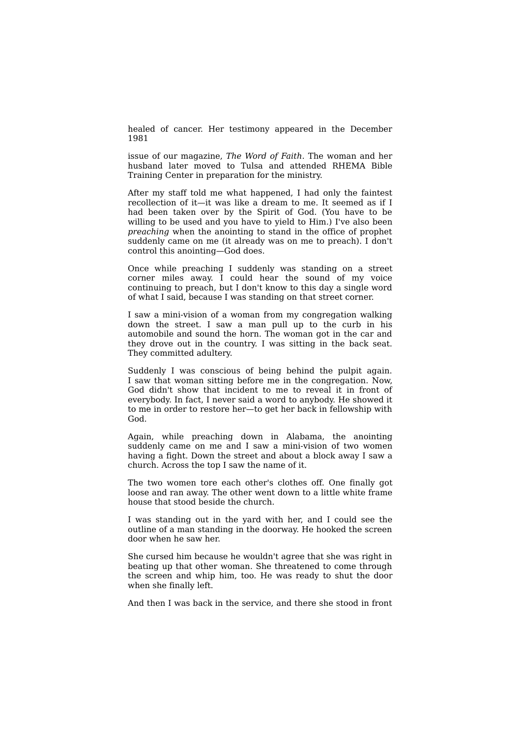healed of cancer. Her testimony appeared in the December 1981

issue of our magazine, *The Word of Faith.* The woman and her husband later moved to Tulsa and attended RHEMA Bible Training Center in preparation for the ministry.

After my staff told me what happened, I had only the faintest recollection of it—it was like a dream to me. It seemed as if I had been taken over by the Spirit of God. (You have to be willing to be used and you have to yield to Him.) I've also been *preaching* when the anointing to stand in the office of prophet suddenly came on me (it already was on me to preach). I don't control this anointing—God does.

Once while preaching I suddenly was standing on a street corner miles away. I could hear the sound of my voice continuing to preach, but I don't know to this day a single word of what I said, because I was standing on that street corner.

I saw a mini-vision of a woman from my congregation walking down the street. I saw a man pull up to the curb in his automobile and sound the horn. The woman got in the car and they drove out in the country. I was sitting in the back seat. They committed adultery.

Suddenly I was conscious of being behind the pulpit again. I saw that woman sitting before me in the congregation. Now, God didn't show that incident to me to reveal it in front of everybody. In fact, I never said a word to anybody. He showed it to me in order to restore her—to get her back in fellowship with God.

Again, while preaching down in Alabama, the anointing suddenly came on me and I saw a mini-vision of two women having a fight. Down the street and about a block away I saw a church. Across the top I saw the name of it.

The two women tore each other's clothes off. One finally got loose and ran away. The other went down to a little white frame house that stood beside the church.

I was standing out in the yard with her, and I could see the outline of a man standing in the doorway. He hooked the screen door when he saw her.

She cursed him because he wouldn't agree that she was right in beating up that other woman. She threatened to come through the screen and whip him, too. He was ready to shut the door when she finally left.

And then I was back in the service, and there she stood in front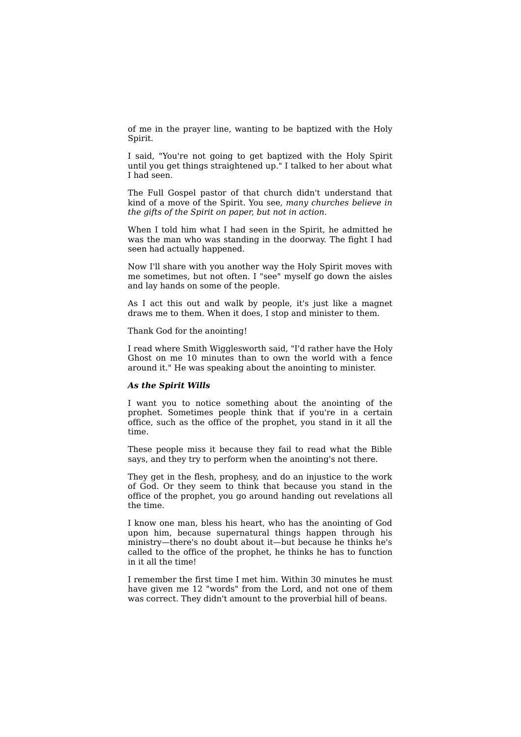of me in the prayer line, wanting to be baptized with the Holy Spirit.

I said, "You're not going to get baptized with the Holy Spirit until you get things straightened up." I talked to her about what I had seen.

The Full Gospel pastor of that church didn't understand that kind of a move of the Spirit. You see, *many churches believe in the gifts of the Spirit on paper, but not in action.*

When I told him what I had seen in the Spirit, he admitted he was the man who was standing in the doorway. The fight I had seen had actually happened.

Now I'll share with you another way the Holy Spirit moves with me sometimes, but not often. I "see" myself go down the aisles and lay hands on some of the people.

As I act this out and walk by people, it's just like a magnet draws me to them. When it does, I stop and minister to them.

Thank God for the anointing!

I read where Smith Wigglesworth said, "I'd rather have the Holy Ghost on me 10 minutes than to own the world with a fence around it." He was speaking about the anointing to minister.

### *As the Spirit Wills*

I want you to notice something about the anointing of the prophet. Sometimes people think that if you're in a certain office, such as the office of the prophet, you stand in it all the time.

These people miss it because they fail to read what the Bible says, and they try to perform when the anointing's not there.

They get in the flesh, prophesy, and do an injustice to the work of God. Or they seem to think that because you stand in the office of the prophet, you go around handing out revelations all the time.

I know one man, bless his heart, who has the anointing of God upon him, because supernatural things happen through his ministry—there's no doubt about it—but because he thinks he's called to the office of the prophet, he thinks he has to function in it all the time!

I remember the first time I met him. Within 30 minutes he must have given me 12 "words" from the Lord, and not one of them was correct. They didn't amount to the proverbial hill of beans.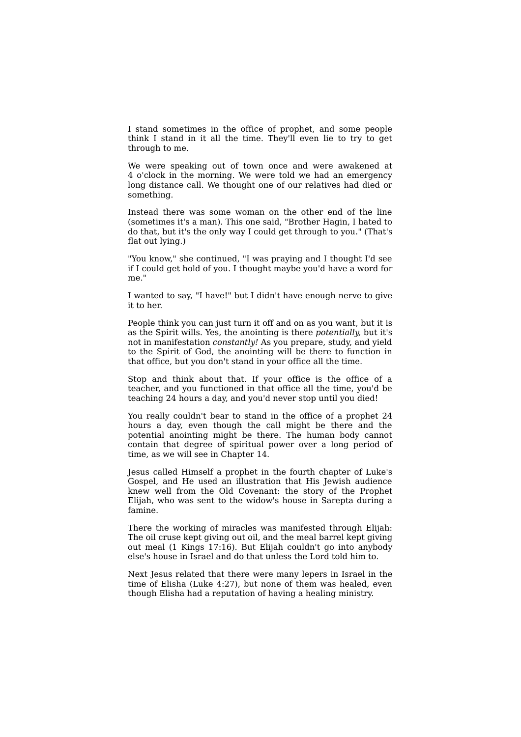I stand sometimes in the office of prophet, and some people think I stand in it all the time. They'll even lie to try to get through to me.

We were speaking out of town once and were awakened at 4 o'clock in the morning. We were told we had an emergency long distance call. We thought one of our relatives had died or something.

Instead there was some woman on the other end of the line (sometimes it's a man). This one said, "Brother Hagin, I hated to do that, but it's the only way I could get through to you." (That's flat out lying.)

"You know," she continued, "I was praying and I thought I'd see if I could get hold of you. I thought maybe you'd have a word for me."

I wanted to say, "I have!" but I didn't have enough nerve to give it to her.

People think you can just turn it off and on as you want, but it is as the Spirit wills. Yes, the anointing is there *potentially,* but it's not in manifestation *constantly!* As you prepare, study, and yield to the Spirit of God, the anointing will be there to function in that office, but you don't stand in your office all the time.

Stop and think about that. If your office is the office of a teacher, and you functioned in that office all the time, you'd be teaching 24 hours a day, and you'd never stop until you died!

You really couldn't bear to stand in the office of a prophet 24 hours a day, even though the call might be there and the potential anointing might be there. The human body cannot contain that degree of spiritual power over a long period of time, as we will see in Chapter 14.

Jesus called Himself a prophet in the fourth chapter of Luke's Gospel, and He used an illustration that His Jewish audience knew well from the Old Covenant: the story of the Prophet Elijah, who was sent to the widow's house in Sarepta during a famine.

There the working of miracles was manifested through Elijah: The oil cruse kept giving out oil, and the meal barrel kept giving out meal (1 Kings 17:16). But Elijah couldn't go into anybody else's house in Israel and do that unless the Lord told him to.

Next Jesus related that there were many lepers in Israel in the time of Elisha (Luke 4:27), but none of them was healed, even though Elisha had a reputation of having a healing ministry.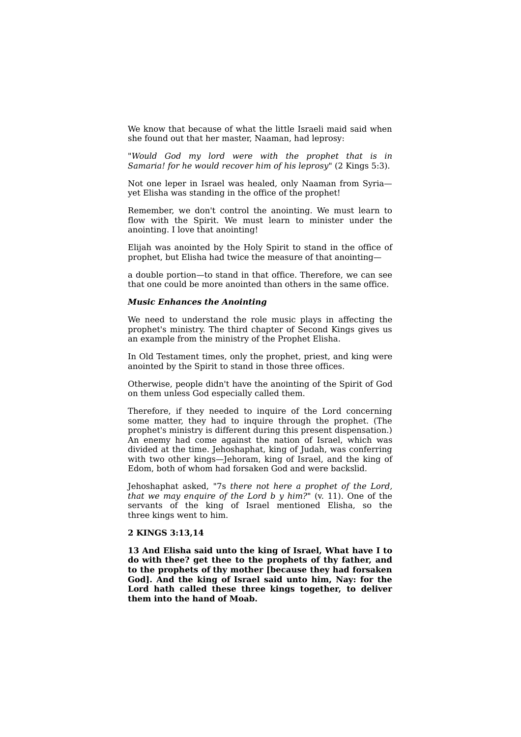We know that because of what the little Israeli maid said when she found out that her master, Naaman, had leprosy:

*"Would God my lord were with the prophet that is in Samaria! for he would recover him of his leprosy"* (2 Kings 5:3).

Not one leper in Israel was healed, only Naaman from Syria yet Elisha was standing in the office of the prophet!

Remember, we don't control the anointing. We must learn to flow with the Spirit. We must learn to minister under the anointing. I love that anointing!

Elijah was anointed by the Holy Spirit to stand in the office of prophet, but Elisha had twice the measure of that anointing—

a double portion—to stand in that office. Therefore, we can see that one could be more anointed than others in the same office.

# *Music Enhances the Anointing*

We need to understand the role music plays in affecting the prophet's ministry. The third chapter of Second Kings gives us an example from the ministry of the Prophet Elisha.

In Old Testament times, only the prophet, priest, and king were anointed by the Spirit to stand in those three offices.

Otherwise, people didn't have the anointing of the Spirit of God on them unless God especially called them.

Therefore, if they needed to inquire of the Lord concerning some matter, they had to inquire through the prophet. (The prophet's ministry is different during this present dispensation.) An enemy had come against the nation of Israel, which was divided at the time. Jehoshaphat, king of Judah, was conferring with two other kings—Jehoram, king of Israel, and the king of Edom, both of whom had forsaken God and were backslid.

Jehoshaphat asked, "7s *there not here a prophet of the Lord, that we may enquire of the Lord b y him?"* (v. 11). One of the servants of the king of Israel mentioned Elisha, so the three kings went to him.

## **2 KINGS 3:13,14**

**13 And Elisha said unto the king of Israel, What have I to do with thee? get thee to the prophets of thy father, and to the prophets of thy mother [because they had forsaken God]. And the king of Israel said unto him, Nay: for the Lord hath called these three kings together, to deliver them into the hand of Moab.**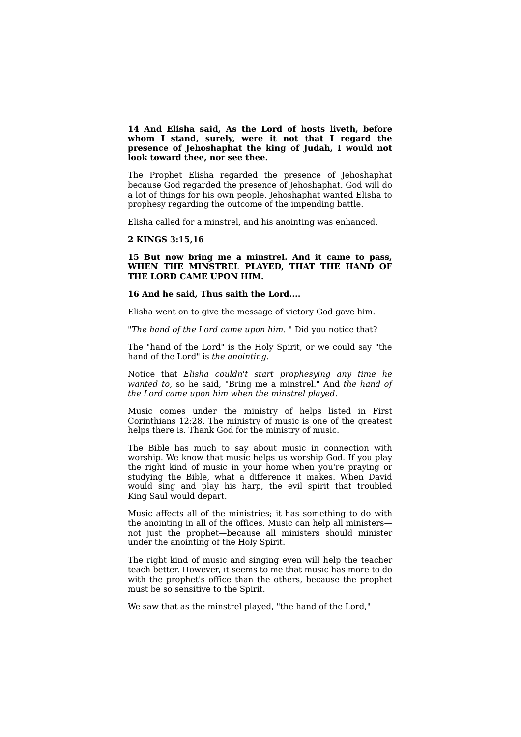### **14 And Elisha said, As the Lord of hosts liveth, before whom I stand, surely, were it not that I regard the presence of Jehoshaphat the king of Judah, I would not look toward thee, nor see thee.**

The Prophet Elisha regarded the presence of Jehoshaphat because God regarded the presence of Jehoshaphat. God will do a lot of things for his own people. Jehoshaphat wanted Elisha to prophesy regarding the outcome of the impending battle.

Elisha called for a minstrel, and his anointing was enhanced.

### **2 KINGS 3:15,16**

### **15 But now bring me a minstrel. And it came to pass, WHEN THE MINSTREL PLAYED, THAT THE HAND OF THE LORD CAME UPON HIM.**

#### **16 And he said, Thus saith the Lord....**

Elisha went on to give the message of victory God gave him.

*"The hand of the Lord came upon him.* " Did you notice that?

The "hand of the Lord" is the Holy Spirit, or we could say "the hand of the Lord" is *the anointing.*

Notice that *Elisha couldn't start prophesying any time he wanted to,* so he said, "Bring me a minstrel." And *the hand of the Lord came upon him when the minstrel played.*

Music comes under the ministry of helps listed in First Corinthians 12:28. The ministry of music is one of the greatest helps there is. Thank God for the ministry of music.

The Bible has much to say about music in connection with worship. We know that music helps us worship God. If you play the right kind of music in your home when you're praying or studying the Bible, what a difference it makes. When David would sing and play his harp, the evil spirit that troubled King Saul would depart.

Music affects all of the ministries; it has something to do with the anointing in all of the offices. Music can help all ministers not just the prophet—because all ministers should minister under the anointing of the Holy Spirit.

The right kind of music and singing even will help the teacher teach better. However, it seems to me that music has more to do with the prophet's office than the others, because the prophet must be so sensitive to the Spirit.

We saw that as the minstrel played, "the hand of the Lord,"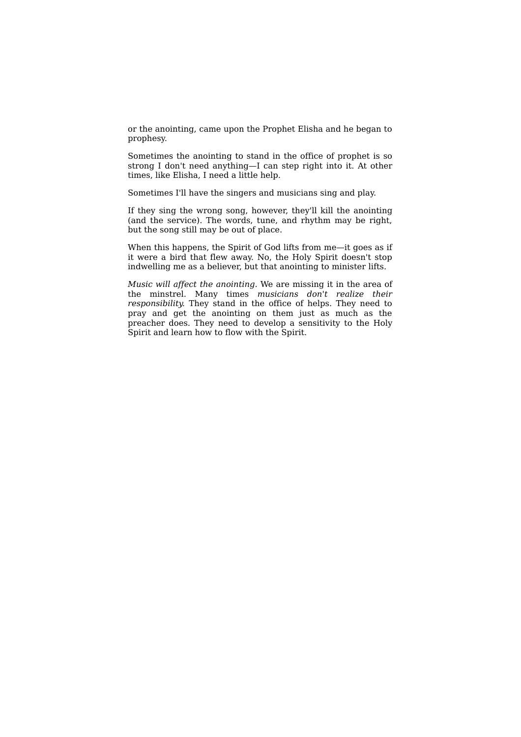or the anointing, came upon the Prophet Elisha and he began to prophesy.

Sometimes the anointing to stand in the office of prophet is so strong I don't need anything—I can step right into it. At other times, like Elisha, I need a little help.

Sometimes I'll have the singers and musicians sing and play.

If they sing the wrong song, however, they'll kill the anointing (and the service). The words, tune, and rhythm may be right, but the song still may be out of place.

When this happens, the Spirit of God lifts from me—it goes as if it were a bird that flew away. No, the Holy Spirit doesn't stop indwelling me as a believer, but that anointing to minister lifts.

*Music will affect the anointing.* We are missing it in the area of the minstrel. Many times *musicians don't realize their responsibility.* They stand in the office of helps. They need to pray and get the anointing on them just as much as the preacher does. They need to develop a sensitivity to the Holy Spirit and learn how to flow with the Spirit.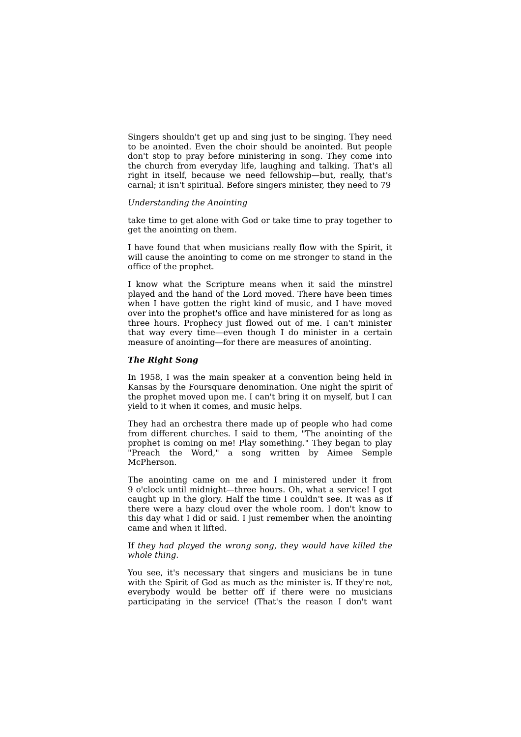Singers shouldn't get up and sing just to be singing. They need to be anointed. Even the choir should be anointed. But people don't stop to pray before ministering in song. They come into the church from everyday life, laughing and talking. That's all right in itself, because we need fellowship—but, really, that's carnal; it isn't spiritual. Before singers minister, they need to 79

#### *Understanding the Anointing*

take time to get alone with God or take time to pray together to get the anointing on them.

I have found that when musicians really flow with the Spirit, it will cause the anointing to come on me stronger to stand in the office of the prophet.

I know what the Scripture means when it said the minstrel played and the hand of the Lord moved. There have been times when I have gotten the right kind of music, and I have moved over into the prophet's office and have ministered for as long as three hours. Prophecy just flowed out of me. I can't minister that way every time—even though I do minister in a certain measure of anointing—for there are measures of anointing.

### *The Right Song*

In 1958, I was the main speaker at a convention being held in Kansas by the Foursquare denomination. One night the spirit of the prophet moved upon me. I can't bring it on myself, but I can yield to it when it comes, and music helps.

They had an orchestra there made up of people who had come from different churches. I said to them, "The anointing of the prophet is coming on me! Play something." They began to play "Preach the Word," a song written by Aimee Semple McPherson.

The anointing came on me and I ministered under it from 9 o'clock until midnight—three hours. Oh, what a service! I got caught up in the glory. Half the time I couldn't see. It was as if there were a hazy cloud over the whole room. I don't know to this day what I did or said. I just remember when the anointing came and when it lifted.

### If *they had played the wrong song, they would have killed the whole thing.*

You see, it's necessary that singers and musicians be in tune with the Spirit of God as much as the minister is. If they're not, everybody would be better off if there were no musicians participating in the service! (That's the reason I don't want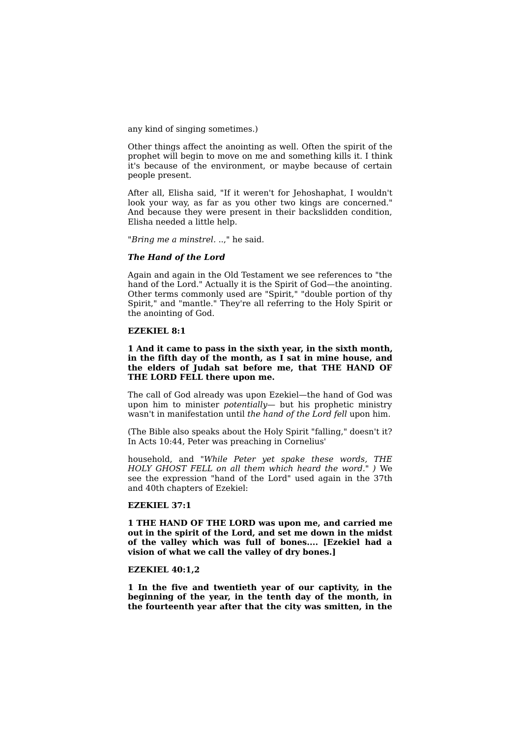any kind of singing sometimes.)

Other things affect the anointing as well. Often the spirit of the prophet will begin to move on me and something kills it. I think it's because of the environment, or maybe because of certain people present.

After all, Elisha said, "If it weren't for Jehoshaphat, I wouldn't look your way, as far as you other two kings are concerned." And because they were present in their backslidden condition, Elisha needed a little help.

*"Bring me a minstrel.* ..," he said.

# *The Hand of the Lord*

Again and again in the Old Testament we see references to "the hand of the Lord." Actually it is the Spirit of God—the anointing. Other terms commonly used are "Spirit," "double portion of thy Spirit," and "mantle." They're all referring to the Holy Spirit or the anointing of God.

#### **EZEKIEL 8:1**

**1 And it came to pass in the sixth year, in the sixth month, in the fifth day of the month, as I sat in mine house, and the elders of Judah sat before me, that THE HAND OF THE LORD FELL there upon me.**

The call of God already was upon Ezekiel—the hand of God was upon him to minister *potentially—* but his prophetic ministry wasn't in manifestation until *the hand of the Lord fell* upon him.

(The Bible also speaks about the Holy Spirit "falling," doesn't it? In Acts 10:44, Peter was preaching in Cornelius'

household, and *"While Peter yet spake these words, THE HOLY GHOST FELL on all them which heard the word." )* We see the expression "hand of the Lord" used again in the 37th and 40th chapters of Ezekiel:

#### **EZEKIEL 37:1**

**1 THE HAND OF THE LORD was upon me, and carried me out in the spirit of the Lord, and set me down in the midst of the valley which was full of bones.... [Ezekiel had a vision of what we call the valley of dry bones.]**

## **EZEKIEL 40:1,2**

**1 In the five and twentieth year of our captivity, in the beginning of the year, in the tenth day of the month, in the fourteenth year after that the city was smitten, in the**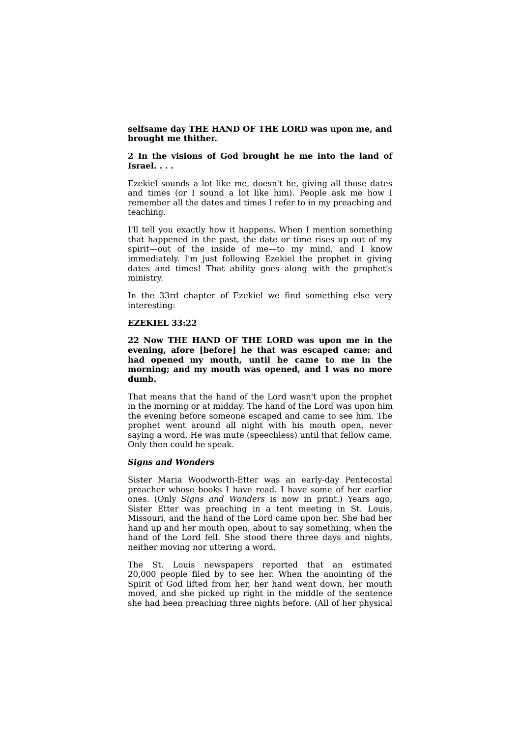# **selfsame day THE HAND OF THE LORD was upon me, and brought me thither.**

## **2 In the visions of God brought he me into the land of Israel. . . .**

Ezekiel sounds a lot like me, doesn't he, giving all those dates and times (or I sound a lot like him). People ask me how I remember all the dates and times I refer to in my preaching and teaching.

I'll tell you exactly how it happens. When I mention something that happened in the past, the date or time rises up out of my spirit—out of the inside of me—to my mind, and I know immediately. I'm just following Ezekiel the prophet in giving dates and times! That ability goes along with the prophet's ministry.

In the 33rd chapter of Ezekiel we find something else very interesting:

#### **EZEKIEL 33:22**

**22 Now THE HAND OF THE LORD was upon me in the evening, afore [before] he that was escaped came: and had opened my mouth, until he came to me in the morning; and my mouth was opened, and I was no more dumb.**

That means that the hand of the Lord wasn't upon the prophet in the morning or at midday. The hand of the Lord was upon him the evening before someone escaped and came to see him. The prophet went around all night with his mouth open, never saying a word. He was mute (speechless) until that fellow came. Only then could he speak.

#### *Signs and Wonders*

Sister Maria Woodworth-Etter was an early-day Pentecostal preacher whose books I have read. I have some of her earlier ones. (Only *Signs and Wonders* is now in print.) Years ago, Sister Etter was preaching in a tent meeting in St. Louis, Missouri, and the hand of the Lord came upon her. She had her hand up and her mouth open, about to say something, when the hand of the Lord fell. She stood there three days and nights, neither moving nor uttering a word.

The St. Louis newspapers reported that an estimated 20,000 people filed by to see her. When the anointing of the Spirit of God lifted from her, her hand went down, her mouth moved, and she picked up right in the middle of the sentence she had been preaching three nights before. (All of her physical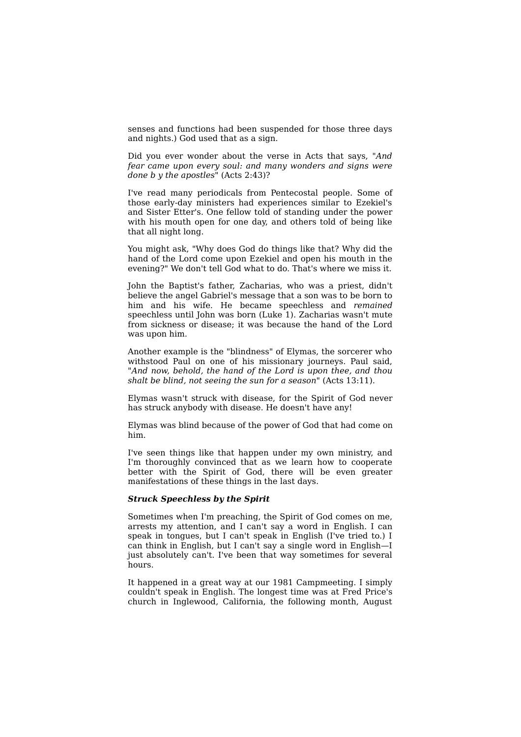senses and functions had been suspended for those three days and nights.) God used that as a sign.

Did you ever wonder about the verse in Acts that says, *"And fear came upon every soul: and many wonders and signs were done b y the apostles"* (Acts 2:43)?

I've read many periodicals from Pentecostal people. Some of those early-day ministers had experiences similar to Ezekiel's and Sister Etter's. One fellow told of standing under the power with his mouth open for one day, and others told of being like that all night long.

You might ask, "Why does God do things like that? Why did the hand of the Lord come upon Ezekiel and open his mouth in the evening?" We don't tell God what to do. That's where we miss it.

John the Baptist's father, Zacharias, who was a priest, didn't believe the angel Gabriel's message that a son was to be born to him and his wife. He became speechless and *remained* speechless until John was born (Luke 1). Zacharias wasn't mute from sickness or disease; it was because the hand of the Lord was upon him.

Another example is the "blindness" of Elymas, the sorcerer who withstood Paul on one of his missionary journeys. Paul said, *"And now, behold, the hand of the Lord is upon thee, and thou shalt be blind, not seeing the sun for a season"* (Acts 13:11).

Elymas wasn't struck with disease, for the Spirit of God never has struck anybody with disease. He doesn't have any!

Elymas was blind because of the power of God that had come on him.

I've seen things like that happen under my own ministry, and I'm thoroughly convinced that as we learn how to cooperate better with the Spirit of God, there will be even greater manifestations of these things in the last days.

# *Struck Speechless by the Spirit*

Sometimes when I'm preaching, the Spirit of God comes on me, arrests my attention, and I can't say a word in English. I can speak in tongues, but I can't speak in English (I've tried to.) I can think in English, but I can't say a single word in English—I just absolutely can't. I've been that way sometimes for several hours.

It happened in a great way at our 1981 Campmeeting. I simply couldn't speak in English. The longest time was at Fred Price's church in Inglewood, California, the following month, August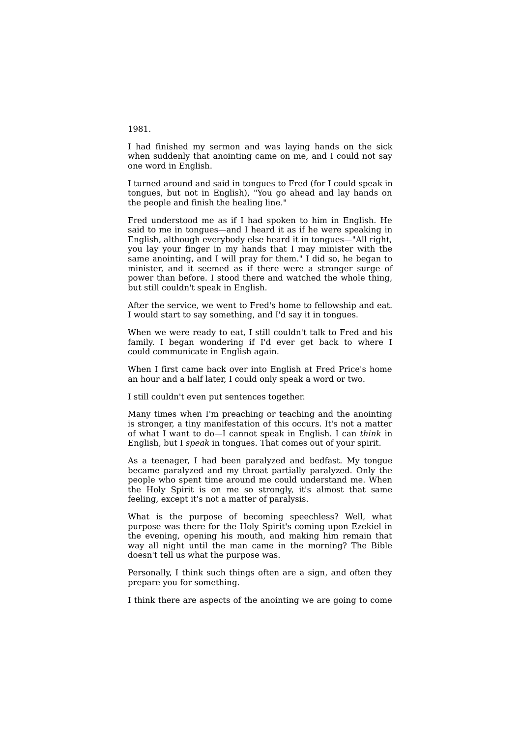# 1981.

I had finished my sermon and was laying hands on the sick when suddenly that anointing came on me, and I could not say one word in English.

I turned around and said in tongues to Fred (for I could speak in tongues, but not in English), "You go ahead and lay hands on the people and finish the healing line."

Fred understood me as if I had spoken to him in English. He said to me in tongues—and I heard it as if he were speaking in English, although everybody else heard it in tongues—"All right, you lay your finger in my hands that I may minister with the same anointing, and I will pray for them." I did so, he began to minister, and it seemed as if there were a stronger surge of power than before. I stood there and watched the whole thing, but still couldn't speak in English.

After the service, we went to Fred's home to fellowship and eat. I would start to say something, and I'd say it in tongues.

When we were ready to eat, I still couldn't talk to Fred and his family. I began wondering if I'd ever get back to where I could communicate in English again.

When I first came back over into English at Fred Price's home an hour and a half later, I could only speak a word or two.

I still couldn't even put sentences together.

Many times when I'm preaching or teaching and the anointing is stronger, a tiny manifestation of this occurs. It's not a matter of what I want to do—I cannot speak in English. I can *think* in English, but I *speak* in tongues. That comes out of your spirit.

As a teenager, I had been paralyzed and bedfast. My tongue became paralyzed and my throat partially paralyzed. Only the people who spent time around me could understand me. When the Holy Spirit is on me so strongly, it's almost that same feeling, except it's not a matter of paralysis.

What is the purpose of becoming speechless? Well, what purpose was there for the Holy Spirit's coming upon Ezekiel in the evening, opening his mouth, and making him remain that way all night until the man came in the morning? The Bible doesn't tell us what the purpose was.

Personally, I think such things often are a sign, and often they prepare you for something.

I think there are aspects of the anointing we are going to come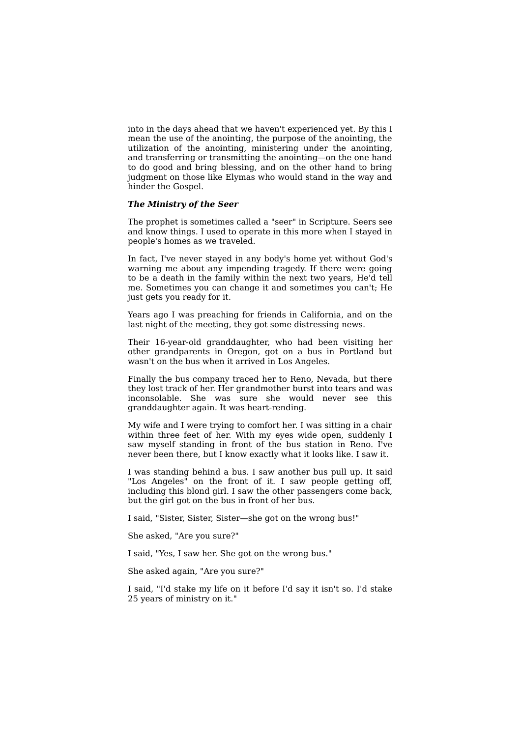into in the days ahead that we haven't experienced yet. By this I mean the use of the anointing, the purpose of the anointing, the utilization of the anointing, ministering under the anointing, and transferring or transmitting the anointing—on the one hand to do good and bring blessing, and on the other hand to bring judgment on those like Elymas who would stand in the way and hinder the Gospel.

#### *The Ministry of the Seer*

The prophet is sometimes called a "seer" in Scripture. Seers see and know things. I used to operate in this more when I stayed in people's homes as we traveled.

In fact, I've never stayed in any body's home yet without God's warning me about any impending tragedy. If there were going to be a death in the family within the next two years, He'd tell me. Sometimes you can change it and sometimes you can't; He just gets you ready for it.

Years ago I was preaching for friends in California, and on the last night of the meeting, they got some distressing news.

Their 16-year-old granddaughter, who had been visiting her other grandparents in Oregon, got on a bus in Portland but wasn't on the bus when it arrived in Los Angeles.

Finally the bus company traced her to Reno, Nevada, but there they lost track of her. Her grandmother burst into tears and was inconsolable. She was sure she would never see this granddaughter again. It was heart-rending.

My wife and I were trying to comfort her. I was sitting in a chair within three feet of her. With my eyes wide open, suddenly I saw myself standing in front of the bus station in Reno. I've never been there, but I know exactly what it looks like. I saw it.

I was standing behind a bus. I saw another bus pull up. It said "Los Angeles" on the front of it. I saw people getting off, including this blond girl. I saw the other passengers come back, but the girl got on the bus in front of her bus.

I said, "Sister, Sister, Sister—she got on the wrong bus!"

She asked, "Are you sure?"

I said, "Yes, I saw her. She got on the wrong bus."

She asked again, "Are you sure?"

I said, "I'd stake my life on it before I'd say it isn't so. I'd stake 25 years of ministry on it."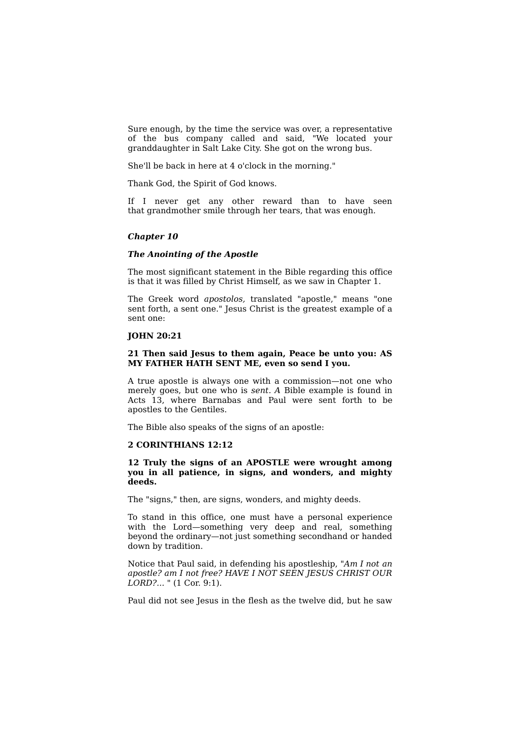Sure enough, by the time the service was over, a representative of the bus company called and said, "We located your granddaughter in Salt Lake City. She got on the wrong bus.

She'll be back in here at 4 o'clock in the morning."

Thank God, the Spirit of God knows.

If I never get any other reward than to have seen that grandmother smile through her tears, that was enough.

#### *Chapter 10*

#### *The Anointing of the Apostle*

The most significant statement in the Bible regarding this office is that it was filled by Christ Himself, as we saw in Chapter 1.

The Greek word *apostolos,* translated "apostle," means "one sent forth, a sent one." Jesus Christ is the greatest example of a sent one:

#### **JOHN 20:21**

#### **21 Then said Jesus to them again, Peace be unto you: AS MY FATHER HATH SENT ME, even so send I you.**

A true apostle is always one with a commission—not one who merely goes, but one who is *sent. A* Bible example is found in Acts 13, where Barnabas and Paul were sent forth to be apostles to the Gentiles.

The Bible also speaks of the signs of an apostle:

### **2 CORINTHIANS 12:12**

**12 Truly the signs of an APOSTLE were wrought among you in all patience, in signs, and wonders, and mighty deeds.**

The "signs," then, are signs, wonders, and mighty deeds.

To stand in this office, one must have a personal experience with the Lord—something very deep and real, something beyond the ordinary—not just something secondhand or handed down by tradition.

Notice that Paul said, in defending his apostleship, *"Am I not an apostle? am I not free? HAVE I NOT SEEN JESUS CHRIST OUR LORD?...* " (1 Cor. 9:1).

Paul did not see Jesus in the flesh as the twelve did, but he saw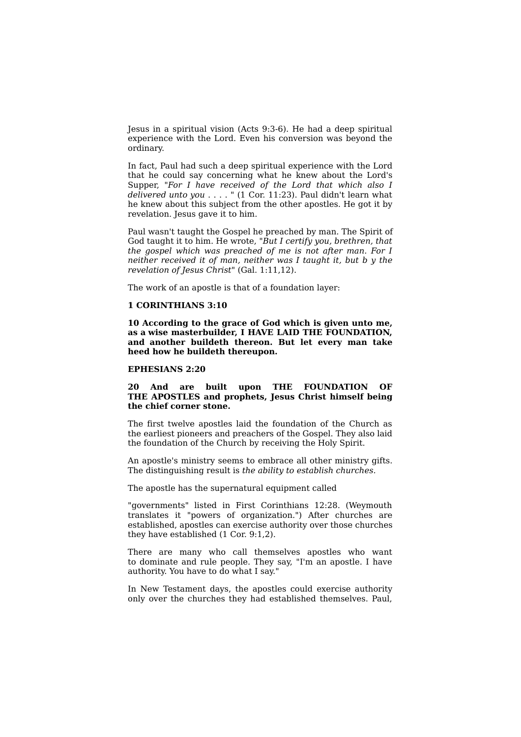Jesus in a spiritual vision (Acts 9:3-6). He had a deep spiritual experience with the Lord. Even his conversion was beyond the ordinary.

In fact, Paul had such a deep spiritual experience with the Lord that he could say concerning what he knew about the Lord's Supper, *"For I have received of the Lord that which also I delivered unto you* . . . . " (1 Cor. 11:23). Paul didn't learn what he knew about this subject from the other apostles. He got it by revelation. Jesus gave it to him.

Paul wasn't taught the Gospel he preached by man. The Spirit of God taught it to him. He wrote, *"But I certify you, brethren, that the gospel which was preached of me is not after man. For I neither received it of man, neither was I taught it, but b y the revelation of Jesus Christ"* (Gal. 1:11,12).

The work of an apostle is that of a foundation layer:

## **1 CORINTHIANS 3:10**

**10 According to the grace of God which is given unto me, as a wise masterbuilder, I HAVE LAID THE FOUNDATION, and another buildeth thereon. But let every man take heed how he buildeth thereupon.**

## **EPHESIANS 2:20**

# **20 And are built upon THE FOUNDATION OF THE APOSTLES and prophets, Jesus Christ himself being the chief corner stone.**

The first twelve apostles laid the foundation of the Church as the earliest pioneers and preachers of the Gospel. They also laid the foundation of the Church by receiving the Holy Spirit.

An apostle's ministry seems to embrace all other ministry gifts. The distinguishing result is *the ability to establish churches.*

The apostle has the supernatural equipment called

"governments" listed in First Corinthians 12:28. (Weymouth translates it "powers of organization.") After churches are established, apostles can exercise authority over those churches they have established (1 Cor. 9:1,2).

There are many who call themselves apostles who want to dominate and rule people. They say, "I'm an apostle. I have authority. You have to do what I say."

In New Testament days, the apostles could exercise authority only over the churches they had established themselves. Paul,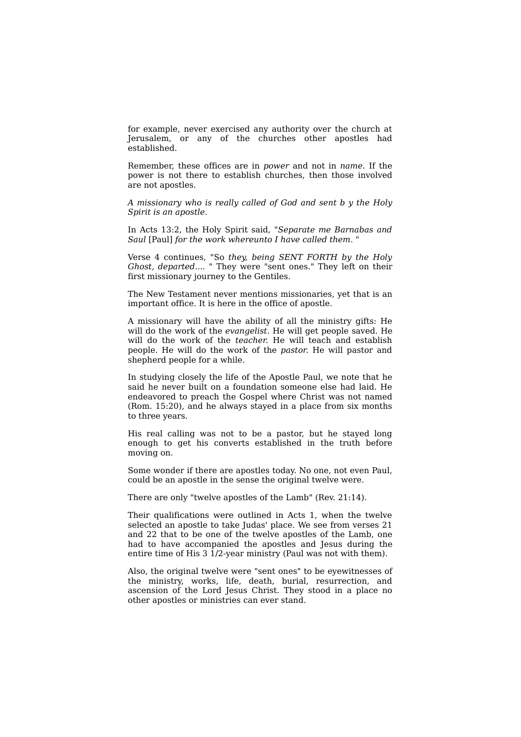for example, never exercised any authority over the church at Jerusalem, or any of the churches other apostles had established.

Remember, these offices are in *power* and not in *name.* If the power is not there to establish churches, then those involved are not apostles.

*A missionary who is really called of God and sent b y the Holy Spirit is an apostle.*

In Acts 13:2, the Holy Spirit said, *"Separate me Barnabas and Saul* [Paul] *for the work whereunto I have called them.* "

Verse 4 continues, "So *they, being SENT FORTH by the Holy Ghost, departed....* " They were "sent ones." They left on their first missionary journey to the Gentiles.

The New Testament never mentions missionaries, yet that is an important office. It is here in the office of apostle.

A missionary will have the ability of all the ministry gifts: He will do the work of the *evangelist.* He will get people saved. He will do the work of the *teacher.* He will teach and establish people. He will do the work of the *pastor.* He will pastor and shepherd people for a while.

In studying closely the life of the Apostle Paul, we note that he said he never built on a foundation someone else had laid. He endeavored to preach the Gospel where Christ was not named (Rom. 15:20), and he always stayed in a place from six months to three years.

His real calling was not to be a pastor, but he stayed long enough to get his converts established in the truth before moving on.

Some wonder if there are apostles today. No one, not even Paul, could be an apostle in the sense the original twelve were.

There are only "twelve apostles of the Lamb" (Rev. 21:14).

Their qualifications were outlined in Acts 1, when the twelve selected an apostle to take Judas' place. We see from verses 21 and 22 that to be one of the twelve apostles of the Lamb, one had to have accompanied the apostles and Jesus during the entire time of His 3 1/2-year ministry (Paul was not with them).

Also, the original twelve were "sent ones" to be eyewitnesses of the ministry, works, life, death, burial, resurrection, and ascension of the Lord Jesus Christ. They stood in a place no other apostles or ministries can ever stand.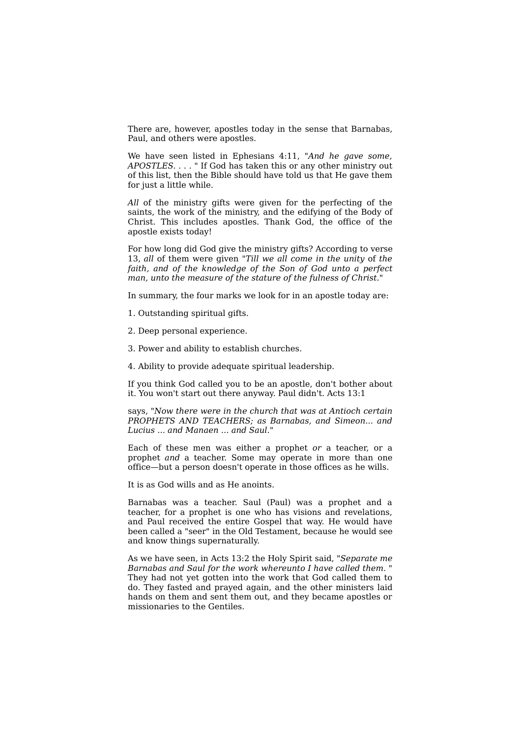There are, however, apostles today in the sense that Barnabas, Paul, and others were apostles.

We have seen listed in Ephesians 4:11, *"And he gave some, APOSTLES.* . . . " If God has taken this or any other ministry out of this list, then the Bible should have told us that He gave them for just a little while.

*All* of the ministry gifts were given for the perfecting of the saints, the work of the ministry, and the edifying of the Body of Christ. This includes apostles. Thank God, the office of the apostle exists today!

For how long did God give the ministry gifts? According to verse 13, *all* of them were given *"Till we all come in the unity* of *the faith, and of the knowledge of the Son of God unto a perfect man, unto the measure of the stature of the fulness of Christ."*

In summary, the four marks we look for in an apostle today are:

1. Outstanding spiritual gifts.

2. Deep personal experience.

3. Power and ability to establish churches.

4. Ability to provide adequate spiritual leadership.

If you think God called you to be an apostle, don't bother about it. You won't start out there anyway. Paul didn't. Acts 13:1

says, *"Now there were in the church that was at Antioch certain PROPHETS AND TEACHERS; as Barnabas, and Simeon... and Lucius ... and Manaen ... and Saul."*

Each of these men was either a prophet *or* a teacher, or a prophet *and* a teacher. Some may operate in more than one office—but a person doesn't operate in those offices as he wills.

It is as God wills and as He anoints.

Barnabas was a teacher. Saul (Paul) was a prophet and a teacher, for a prophet is one who has visions and revelations, and Paul received the entire Gospel that way. He would have been called a "seer" in the Old Testament, because he would see and know things supernaturally.

As we have seen, in Acts 13:2 the Holy Spirit said, *"Separate me Barnabas and Saul for the work whereunto I have called them.* " They had not yet gotten into the work that God called them to do. They fasted and prayed again, and the other ministers laid hands on them and sent them out, and they became apostles or missionaries to the Gentiles.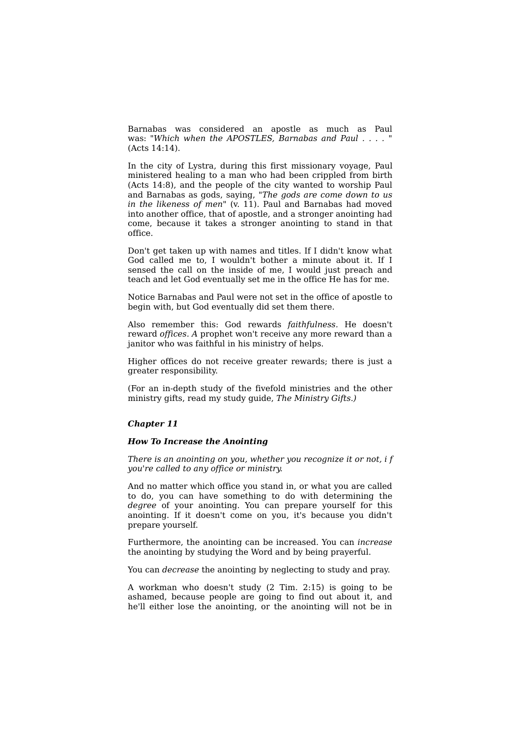Barnabas was considered an apostle as much as Paul was: *"Which when the APOSTLES, Barnabas and Paul . . . .* " (Acts 14:14).

In the city of Lystra, during this first missionary voyage, Paul ministered healing to a man who had been crippled from birth (Acts 14:8), and the people of the city wanted to worship Paul and Barnabas as gods, saying, *"The gods are come down to us in the likeness of men"* (v. 11). Paul and Barnabas had moved into another office, that of apostle, and a stronger anointing had come, because it takes a stronger anointing to stand in that office.

Don't get taken up with names and titles. If I didn't know what God called me to, I wouldn't bother a minute about it. If I sensed the call on the inside of me, I would just preach and teach and let God eventually set me in the office He has for me.

Notice Barnabas and Paul were not set in the office of apostle to begin with, but God eventually did set them there.

Also remember this: God rewards *faithfulness.* He doesn't reward *offices. A* prophet won't receive any more reward than a janitor who was faithful in his ministry of helps.

Higher offices do not receive greater rewards; there is just a greater responsibility.

(For an in-depth study of the fivefold ministries and the other ministry gifts, read my study guide, *The Ministry Gifts.)*

### *Chapter 11*

#### *How To Increase the Anointing*

*There is an anointing on you, whether you recognize it or not, i f you're called to any office or ministry.*

And no matter which office you stand in, or what you are called to do, you can have something to do with determining the *degree* of your anointing. You can prepare yourself for this anointing. If it doesn't come on you, it's because you didn't prepare yourself.

Furthermore, the anointing can be increased. You can *increase* the anointing by studying the Word and by being prayerful.

You can *decrease* the anointing by neglecting to study and pray.

A workman who doesn't study (2 Tim. 2:15) is going to be ashamed, because people are going to find out about it, and he'll either lose the anointing, or the anointing will not be in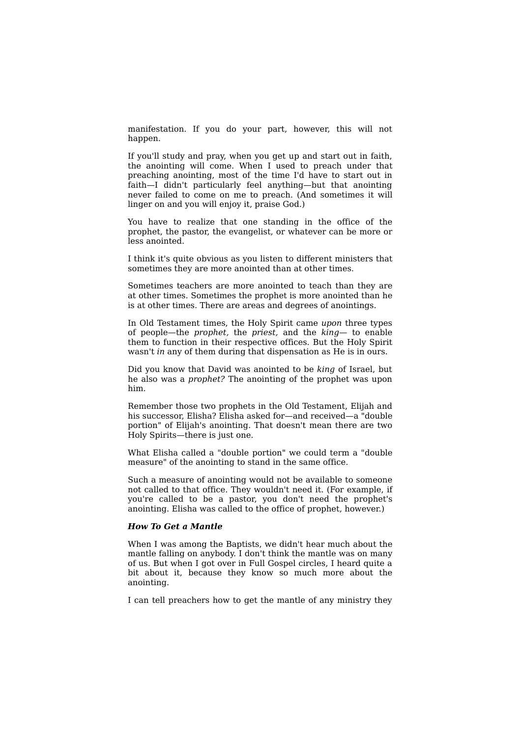manifestation. If you do your part, however, this will not happen.

If you'll study and pray, when you get up and start out in faith, the anointing will come. When I used to preach under that preaching anointing, most of the time I'd have to start out in faith—I didn't particularly feel anything—but that anointing never failed to come on me to preach. (And sometimes it will linger on and you will enjoy it, praise God.)

You have to realize that one standing in the office of the prophet, the pastor, the evangelist, or whatever can be more or less anointed.

I think it's quite obvious as you listen to different ministers that sometimes they are more anointed than at other times.

Sometimes teachers are more anointed to teach than they are at other times. Sometimes the prophet is more anointed than he is at other times. There are areas and degrees of anointings.

In Old Testament times, the Holy Spirit came *upon* three types of people—the *prophet,* the *priest,* and the *king—* to enable them to function in their respective offices. But the Holy Spirit wasn't *in* any of them during that dispensation as He is in ours.

Did you know that David was anointed to be *king* of Israel, but he also was a *prophet?* The anointing of the prophet was upon him.

Remember those two prophets in the Old Testament, Elijah and his successor, Elisha? Elisha asked for—and received—a "double portion" of Elijah's anointing. That doesn't mean there are two Holy Spirits—there is just one.

What Elisha called a "double portion" we could term a "double measure" of the anointing to stand in the same office.

Such a measure of anointing would not be available to someone not called to that office. They wouldn't need it. (For example, if you're called to be a pastor, you don't need the prophet's anointing. Elisha was called to the office of prophet, however.)

## *How To Get a Mantle*

When I was among the Baptists, we didn't hear much about the mantle falling on anybody. I don't think the mantle was on many of us. But when I got over in Full Gospel circles, I heard quite a bit about it, because they know so much more about the anointing.

I can tell preachers how to get the mantle of any ministry they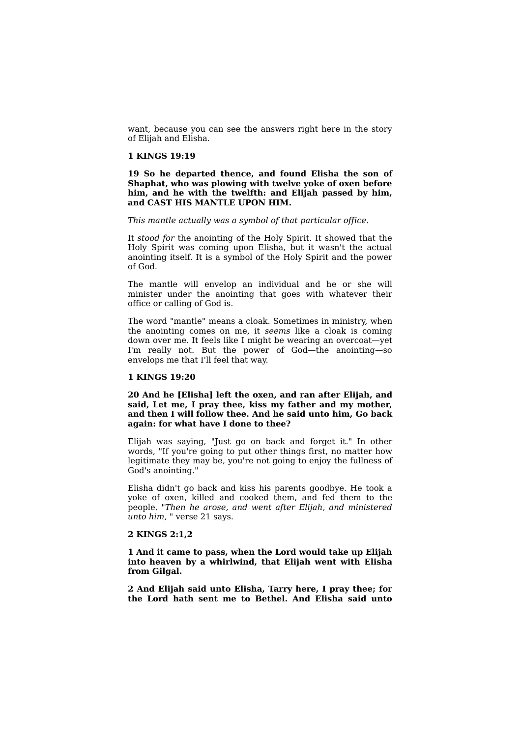want, because you can see the answers right here in the story of Elijah and Elisha.

# **1 KINGS 19:19**

**19 So he departed thence, and found Elisha the son of Shaphat, who was plowing with twelve yoke of oxen before him, and he with the twelfth: and Elijah passed by him, and CAST HIS MANTLE UPON HIM.**

*This mantle actually was a symbol of that particular office.*

It *stood for* the anointing of the Holy Spirit. It showed that the Holy Spirit was coming upon Elisha, but it wasn't the actual anointing itself. It is a symbol of the Holy Spirit and the power of God.

The mantle will envelop an individual and he or she will minister under the anointing that goes with whatever their office or calling of God is.

The word "mantle" means a cloak. Sometimes in ministry, when the anointing comes on me, it *seems* like a cloak is coming down over me. It feels like I might be wearing an overcoat—yet I'm really not. But the power of God—the anointing—so envelops me that I'll feel that way.

#### **1 KINGS 19:20**

### **20 And he [Elisha] left the oxen, and ran after Elijah, and said, Let me, I pray thee, kiss my father and my mother, and then I will follow thee. And he said unto him, Go back again: for what have I done to thee?**

Elijah was saying, "Just go on back and forget it." In other words, "If you're going to put other things first, no matter how legitimate they may be, you're not going to enjoy the fullness of God's anointing."

Elisha didn't go back and kiss his parents goodbye. He took a yoke of oxen, killed and cooked them, and fed them to the people. *"Then he arose, and went after Elijah, and ministered unto him,* " verse 21 says.

### **2 KINGS 2:1,2**

**1 And it came to pass, when the Lord would take up Elijah into heaven by a whirlwind, that Elijah went with Elisha from Gilgal.**

**2 And Elijah said unto Elisha, Tarry here, I pray thee; for the Lord hath sent me to Bethel. And Elisha said unto**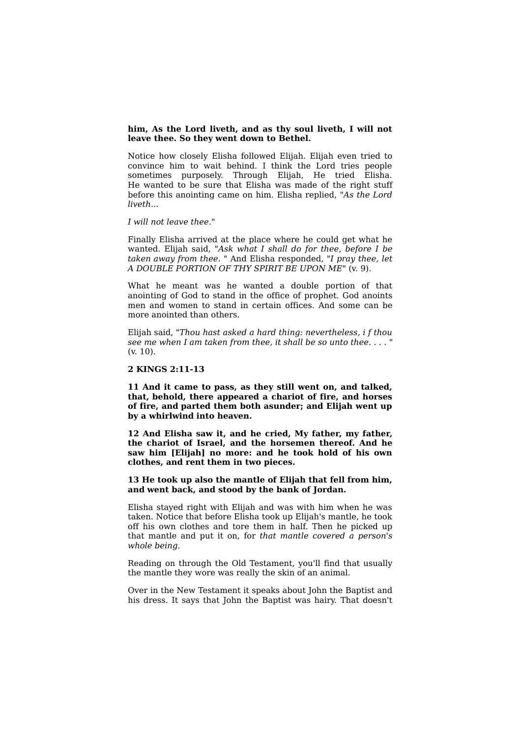## **him, As the Lord liveth, and as thy soul liveth, I will not leave thee. So they went down to Bethel.**

Notice how closely Elisha followed Elijah. Elijah even tried to convince him to wait behind. I think the Lord tries people sometimes purposely. Through Elijah, He tried Elisha. He wanted to be sure that Elisha was made of the right stuff before this anointing came on him. Elisha replied, *"As the Lord liveth...*

*I will not leave thee."*

Finally Elisha arrived at the place where he could get what he wanted. Elijah said, *"Ask what I shall do for thee, before I be taken away from thee.* " And Elisha responded, *"I pray thee, let A DOUBLE PORTION OF THY SPIRIT BE UPON ME"* (v. 9).

What he meant was he wanted a double portion of that anointing of God to stand in the office of prophet. God anoints men and women to stand in certain offices. And some can be more anointed than others.

Elijah said, *"Thou hast asked a hard thing: nevertheless, i f thou see me when I am taken from thee, it shall be so unto thee*. . . . "  $(x, 10)$ .

## **2 KINGS 2:11-13**

**11 And it came to pass, as they still went on, and talked, that, behold, there appeared a chariot of fire, and horses of fire, and parted them both asunder; and Elijah went up by a whirlwind into heaven.**

**12 And Elisha saw it, and he cried, My father, my father, the chariot of Israel, and the horsemen thereof. And he saw him [Elijah] no more: and he took hold of his own clothes, and rent them in two pieces.**

# **13 He took up also the mantle of Elijah that fell from him, and went back, and stood by the bank of Jordan.**

Elisha stayed right with Elijah and was with him when he was taken. Notice that before Elisha took up Elijah's mantle, he took off his own clothes and tore them in half. Then he picked up that mantle and put it on, for *that mantle covered a person's whole being.*

Reading on through the Old Testament, you'll find that usually the mantle they wore was really the skin of an animal.

Over in the New Testament it speaks about John the Baptist and his dress. It says that John the Baptist was hairy. That doesn't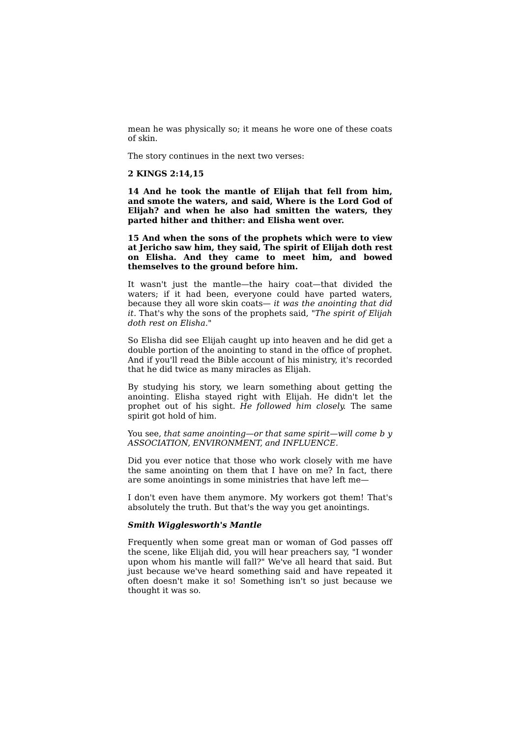mean he was physically so; it means he wore one of these coats of skin.

The story continues in the next two verses:

#### **2 KINGS 2:14,15**

**14 And he took the mantle of Elijah that fell from him, and smote the waters, and said, Where is the Lord God of Elijah? and when he also had smitten the waters, they parted hither and thither: and Elisha went over.**

**15 And when the sons of the prophets which were to view at Jericho saw him, they said, The spirit of Elijah doth rest on Elisha. And they came to meet him, and bowed themselves to the ground before him.**

It wasn't just the mantle—the hairy coat—that divided the waters; if it had been, everyone could have parted waters, because they all wore skin coats— *it was the anointing that did it.* That's why the sons of the prophets said, *"The spirit of Elijah doth rest on Elisha."*

So Elisha did see Elijah caught up into heaven and he did get a double portion of the anointing to stand in the office of prophet. And if you'll read the Bible account of his ministry, it's recorded that he did twice as many miracles as Elijah.

By studying his story, we learn something about getting the anointing. Elisha stayed right with Elijah. He didn't let the prophet out of his sight. *He followed him closely.* The same spirit got hold of him.

You see, *that same anointing—or that same spirit—will come b y ASSOCIATION, ENVIRONMENT, and INFLUENCE.*

Did you ever notice that those who work closely with me have the same anointing on them that I have on me? In fact, there are some anointings in some ministries that have left me—

I don't even have them anymore. My workers got them! That's absolutely the truth. But that's the way you get anointings.

# *Smith Wigglesworth's Mantle*

Frequently when some great man or woman of God passes off the scene, like Elijah did, you will hear preachers say, "I wonder upon whom his mantle will fall?" We've all heard that said. But just because we've heard something said and have repeated it often doesn't make it so! Something isn't so just because we thought it was so.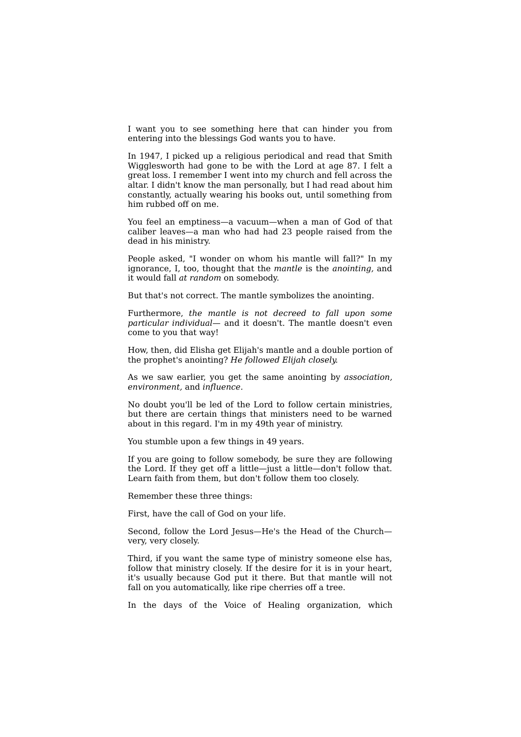I want you to see something here that can hinder you from entering into the blessings God wants you to have.

In 1947, I picked up a religious periodical and read that Smith Wigglesworth had gone to be with the Lord at age 87. I felt a great loss. I remember I went into my church and fell across the altar. I didn't know the man personally, but I had read about him constantly, actually wearing his books out, until something from him rubbed off on me.

You feel an emptiness—a vacuum—when a man of God of that caliber leaves—a man who had had 23 people raised from the dead in his ministry.

People asked, "I wonder on whom his mantle will fall?" In my ignorance, I, too, thought that the *mantle* is the *anointing,* and it would fall *at random* on somebody.

But that's not correct. The mantle symbolizes the anointing.

Furthermore, *the mantle is not decreed to fall upon some particular individual—* and it doesn't. The mantle doesn't even come to you that way!

How, then, did Elisha get Elijah's mantle and a double portion of the prophet's anointing? *He followed Elijah closely.*

As we saw earlier, you get the same anointing by *association, environment,* and *influence.*

No doubt you'll be led of the Lord to follow certain ministries, but there are certain things that ministers need to be warned about in this regard. I'm in my 49th year of ministry.

You stumble upon a few things in 49 years.

If you are going to follow somebody, be sure they are following the Lord. If they get off a little—just a little—don't follow that. Learn faith from them, but don't follow them too closely.

Remember these three things:

First, have the call of God on your life.

Second, follow the Lord Jesus—He's the Head of the Church very, very closely.

Third, if you want the same type of ministry someone else has, follow that ministry closely. If the desire for it is in your heart, it's usually because God put it there. But that mantle will not fall on you automatically, like ripe cherries off a tree.

In the days of the Voice of Healing organization, which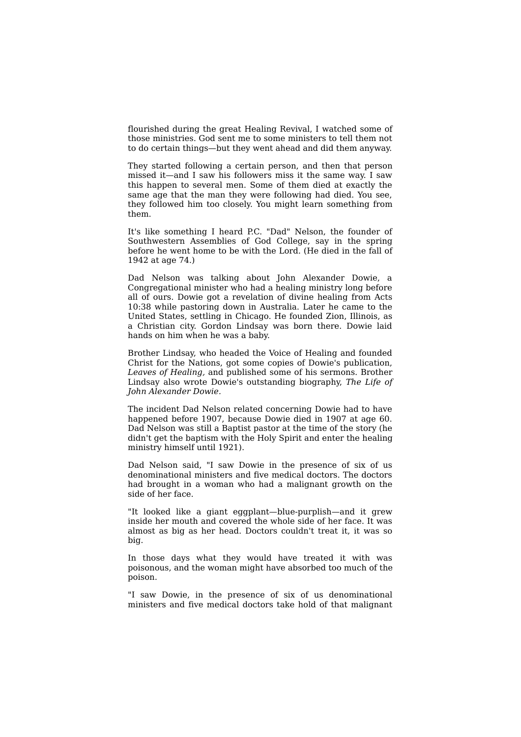flourished during the great Healing Revival, I watched some of those ministries. God sent me to some ministers to tell them not to do certain things—but they went ahead and did them anyway.

They started following a certain person, and then that person missed it—and I saw his followers miss it the same way. I saw this happen to several men. Some of them died at exactly the same age that the man they were following had died. You see, they followed him too closely. You might learn something from them.

It's like something I heard P.C. "Dad" Nelson, the founder of Southwestern Assemblies of God College, say in the spring before he went home to be with the Lord. (He died in the fall of 1942 at age 74.)

Dad Nelson was talking about John Alexander Dowie, a Congregational minister who had a healing ministry long before all of ours. Dowie got a revelation of divine healing from Acts 10:38 while pastoring down in Australia. Later he came to the United States, settling in Chicago. He founded Zion, Illinois, as a Christian city. Gordon Lindsay was born there. Dowie laid hands on him when he was a baby.

Brother Lindsay, who headed the Voice of Healing and founded Christ for the Nations, got some copies of Dowie's publication, *Leaves of Healing,* and published some of his sermons. Brother Lindsay also wrote Dowie's outstanding biography, *The Life of John Alexander Dowie.*

The incident Dad Nelson related concerning Dowie had to have happened before 1907, because Dowie died in 1907 at age 60. Dad Nelson was still a Baptist pastor at the time of the story (he didn't get the baptism with the Holy Spirit and enter the healing ministry himself until 1921).

Dad Nelson said, "I saw Dowie in the presence of six of us denominational ministers and five medical doctors. The doctors had brought in a woman who had a malignant growth on the side of her face.

"It looked like a giant eggplant—blue-purplish—and it grew inside her mouth and covered the whole side of her face. It was almost as big as her head. Doctors couldn't treat it, it was so big.

In those days what they would have treated it with was poisonous, and the woman might have absorbed too much of the poison.

"I saw Dowie, in the presence of six of us denominational ministers and five medical doctors take hold of that malignant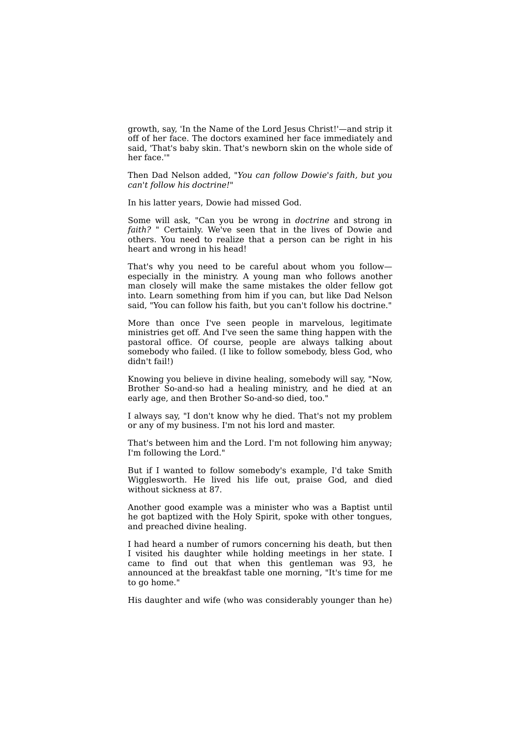growth, say, 'In the Name of the Lord Jesus Christ!'—and strip it off of her face. The doctors examined her face immediately and said, 'That's baby skin. That's newborn skin on the whole side of her face.'"

Then Dad Nelson added, *"You can follow Dowie's faith, but you can't follow his doctrine!"*

In his latter years, Dowie had missed God.

Some will ask, "Can you be wrong in *doctrine* and strong in *faith?* " Certainly. We've seen that in the lives of Dowie and others. You need to realize that a person can be right in his heart and wrong in his head!

That's why you need to be careful about whom you follow especially in the ministry. A young man who follows another man closely will make the same mistakes the older fellow got into. Learn something from him if you can, but like Dad Nelson said, "You can follow his faith, but you can't follow his doctrine."

More than once I've seen people in marvelous, legitimate ministries get off. And I've seen the same thing happen with the pastoral office. Of course, people are always talking about somebody who failed. (I like to follow somebody, bless God, who didn't fail!)

Knowing you believe in divine healing, somebody will say, "Now, Brother So-and-so had a healing ministry, and he died at an early age, and then Brother So-and-so died, too."

I always say, "I don't know why he died. That's not my problem or any of my business. I'm not his lord and master.

That's between him and the Lord. I'm not following him anyway; I'm following the Lord."

But if I wanted to follow somebody's example, I'd take Smith Wigglesworth. He lived his life out, praise God, and died without sickness at 87.

Another good example was a minister who was a Baptist until he got baptized with the Holy Spirit, spoke with other tongues, and preached divine healing.

I had heard a number of rumors concerning his death, but then I visited his daughter while holding meetings in her state. I came to find out that when this gentleman was 93, he announced at the breakfast table one morning, "It's time for me to go home."

His daughter and wife (who was considerably younger than he)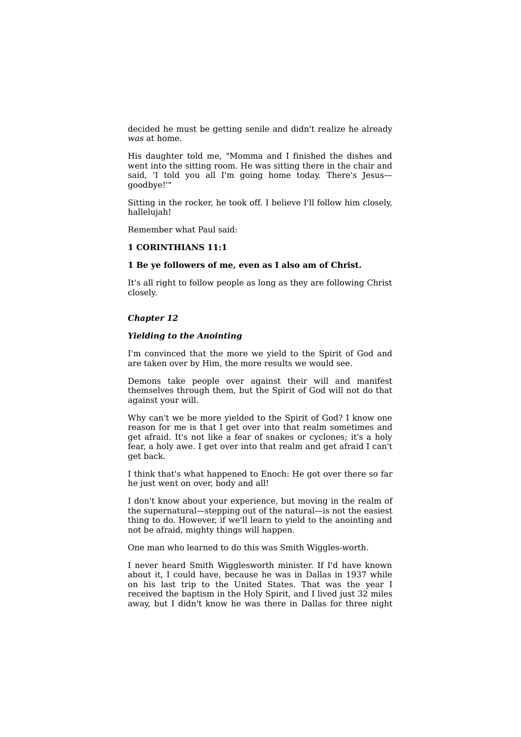decided he must be getting senile and didn't realize he already *was* at home.

His daughter told me, "Momma and I finished the dishes and went into the sitting room. He was sitting there in the chair and said, 'I told you all I'm going home today. There's Jesus goodbye!'"

Sitting in the rocker, he took off. I believe I'll follow him closely, hallelujah!

Remember what Paul said:

## **1 CORINTHIANS 11:1**

## **1 Be ye followers of me, even as I also am of Christ.**

It's all right to follow people as long as they are following Christ closely.

## *Chapter 12*

# *Yielding to the Anointing*

I'm convinced that the more we yield to the Spirit of God and are taken over by Him, the more results we would see.

Demons take people over against their will and manifest themselves through them, but the Spirit of God will not do that against your will.

Why can't we be more yielded to the Spirit of God? I know one reason for me is that I get over into that realm sometimes and get afraid. It's not like a fear of snakes or cyclones; it's a holy fear, a holy awe. I get over into that realm and get afraid I can't get back.

I think that's what happened to Enoch: He got over there so far he just went on over, body and all!

I don't know about your experience, but moving in the realm of the supernatural—stepping out of the natural—is not the easiest thing to do. However, if we'll learn to yield to the anointing and not be afraid, mighty things will happen.

One man who learned to do this was Smith Wiggles-worth.

I never heard Smith Wigglesworth minister. If I'd have known about it, I could have, because he was in Dallas in 1937 while on his last trip to the United States. That was the year I received the baptism in the Holy Spirit, and I lived just 32 miles away, but I didn't know he was there in Dallas for three night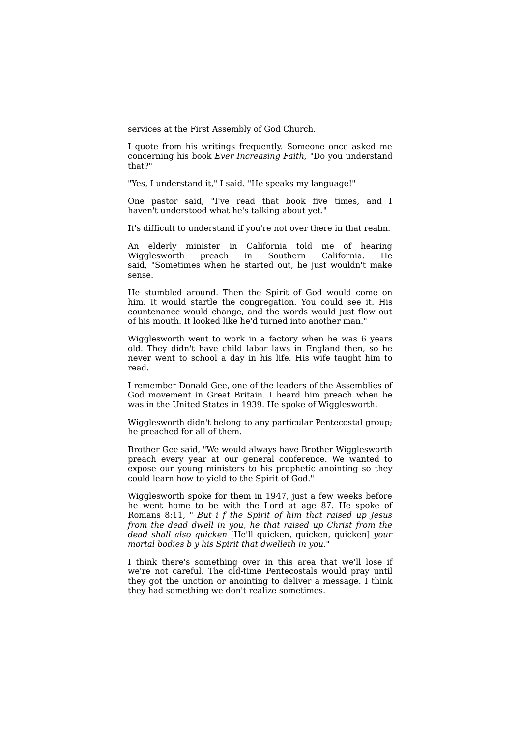services at the First Assembly of God Church.

I quote from his writings frequently. Someone once asked me concerning his book *Ever Increasing Faith,* "Do you understand that?"

"Yes, I understand it," I said. "He speaks my language!"

One pastor said, "I've read that book five times, and I haven't understood what he's talking about yet."

It's difficult to understand if you're not over there in that realm.

An elderly minister in California told me of hearing Wigglesworth preach in Southern California. He said, "Sometimes when he started out, he just wouldn't make sense.

He stumbled around. Then the Spirit of God would come on him. It would startle the congregation. You could see it. His countenance would change, and the words would just flow out of his mouth. It looked like he'd turned into another man."

Wigglesworth went to work in a factory when he was 6 years old. They didn't have child labor laws in England then, so he never went to school a day in his life. His wife taught him to read.

I remember Donald Gee, one of the leaders of the Assemblies of God movement in Great Britain. I heard him preach when he was in the United States in 1939. He spoke of Wigglesworth.

Wigglesworth didn't belong to any particular Pentecostal group; he preached for all of them.

Brother Gee said, "We would always have Brother Wigglesworth preach every year at our general conference. We wanted to expose our young ministers to his prophetic anointing so they could learn how to yield to the Spirit of God."

Wigglesworth spoke for them in 1947, just a few weeks before he went home to be with the Lord at age 87. He spoke of Romans 8:11, " *But i f the Spirit of him that raised up Jesus from the dead dwell in you, he that raised up Christ from the dead shall also quicken* [He'll quicken, quicken, quicken] *your mortal bodies b y his Spirit that dwelleth in you."*

I think there's something over in this area that we'll lose if we're not careful. The old-time Pentecostals would pray until they got the unction or anointing to deliver a message. I think they had something we don't realize sometimes.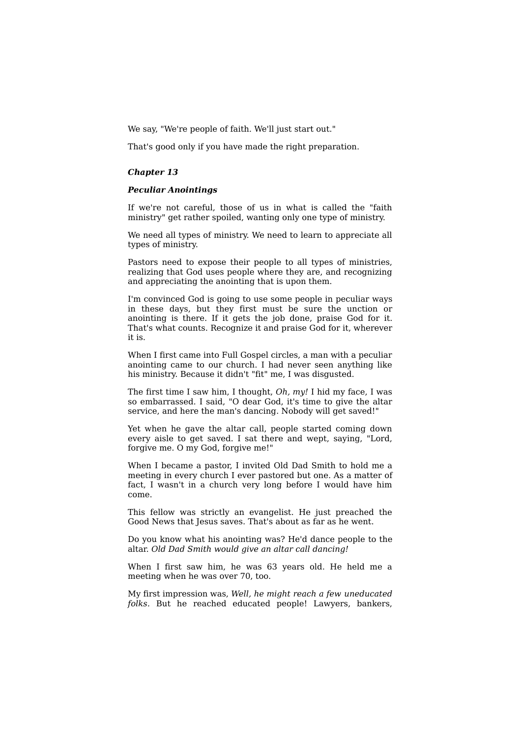We say, "We're people of faith. We'll just start out."

That's good only if you have made the right preparation.

# *Chapter 13*

# *Peculiar Anointings*

If we're not careful, those of us in what is called the "faith ministry" get rather spoiled, wanting only one type of ministry.

We need all types of ministry. We need to learn to appreciate all types of ministry.

Pastors need to expose their people to all types of ministries, realizing that God uses people where they are, and recognizing and appreciating the anointing that is upon them.

I'm convinced God is going to use some people in peculiar ways in these days, but they first must be sure the unction or anointing is there. If it gets the job done, praise God for it. That's what counts. Recognize it and praise God for it, wherever it is.

When I first came into Full Gospel circles, a man with a peculiar anointing came to our church. I had never seen anything like his ministry. Because it didn't "fit" me, I was disgusted.

The first time I saw him, I thought, *Oh, my!* I hid my face, I was so embarrassed. I said, "O dear God, it's time to give the altar service, and here the man's dancing. Nobody will get saved!"

Yet when he gave the altar call, people started coming down every aisle to get saved. I sat there and wept, saying, "Lord, forgive me. O my God, forgive me!"

When I became a pastor, I invited Old Dad Smith to hold me a meeting in every church I ever pastored but one. As a matter of fact, I wasn't in a church very long before I would have him come.

This fellow was strictly an evangelist. He just preached the Good News that Jesus saves. That's about as far as he went.

Do you know what his anointing was? He'd dance people to the altar. *Old Dad Smith would give an altar call dancing!*

When I first saw him, he was 63 years old. He held me a meeting when he was over 70, too.

My first impression was, *Well, he might reach a few uneducated folks.* But he reached educated people! Lawyers, bankers,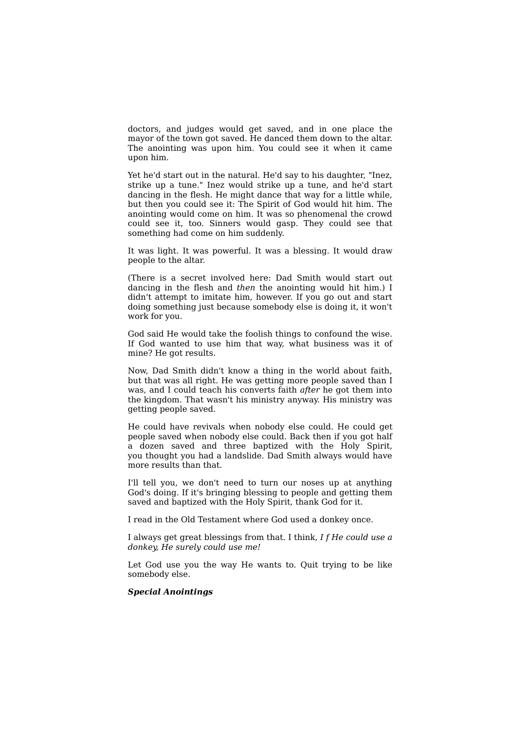doctors, and judges would get saved, and in one place the mayor of the town got saved. He danced them down to the altar. The anointing was upon him. You could see it when it came upon him.

Yet he'd start out in the natural. He'd say to his daughter, "Inez, strike up a tune." Inez would strike up a tune, and he'd start dancing in the flesh. He might dance that way for a little while, but then you could see it: The Spirit of God would hit him. The anointing would come on him. It was so phenomenal the crowd could see it, too. Sinners would gasp. They could see that something had come on him suddenly.

It was light. It was powerful. It was a blessing. It would draw people to the altar.

(There is a secret involved here: Dad Smith would start out dancing in the flesh and *then* the anointing would hit him.) I didn't attempt to imitate him, however. If you go out and start doing something just because somebody else is doing it, it won't work for you.

God said He would take the foolish things to confound the wise. If God wanted to use him that way, what business was it of mine? He got results.

Now, Dad Smith didn't know a thing in the world about faith, but that was all right. He was getting more people saved than I was, and I could teach his converts faith *after* he got them into the kingdom. That wasn't his ministry anyway. His ministry was getting people saved.

He could have revivals when nobody else could. He could get people saved when nobody else could. Back then if you got half a dozen saved and three baptized with the Holy Spirit, you thought you had a landslide. Dad Smith always would have more results than that.

I'll tell you, we don't need to turn our noses up at anything God's doing. If it's bringing blessing to people and getting them saved and baptized with the Holy Spirit, thank God for it.

I read in the Old Testament where God used a donkey once.

I always get great blessings from that. I think, *I f He could use a donkey, He surely could use me!*

Let God use you the way He wants to. Quit trying to be like somebody else.

# *Special Anointings*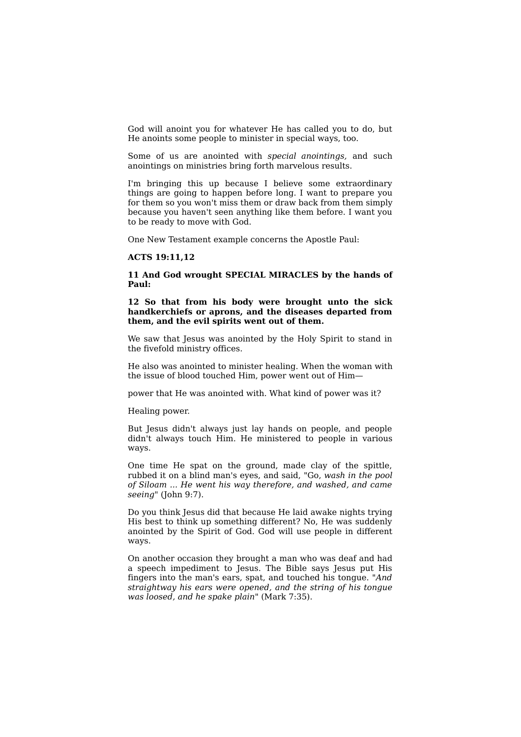God will anoint you for whatever He has called you to do, but He anoints some people to minister in special ways, too.

Some of us are anointed with *special anointings,* and such anointings on ministries bring forth marvelous results.

I'm bringing this up because I believe some extraordinary things are going to happen before long. I want to prepare you for them so you won't miss them or draw back from them simply because you haven't seen anything like them before. I want you to be ready to move with God.

One New Testament example concerns the Apostle Paul:

#### **ACTS 19:11,12**

**11 And God wrought SPECIAL MIRACLES by the hands of Paul:**

**12 So that from his body were brought unto the sick handkerchiefs or aprons, and the diseases departed from them, and the evil spirits went out of them.**

We saw that Jesus was anointed by the Holy Spirit to stand in the fivefold ministry offices.

He also was anointed to minister healing. When the woman with the issue of blood touched Him, power went out of Him—

power that He was anointed with. What kind of power was it?

Healing power.

But Jesus didn't always just lay hands on people, and people didn't always touch Him. He ministered to people in various ways.

One time He spat on the ground, made clay of the spittle, rubbed it on a blind man's eyes, and said, "Go, *wash in the pool of Siloam ... He went his way therefore, and washed, and came seeing"* (John 9:7).

Do you think Jesus did that because He laid awake nights trying His best to think up something different? No, He was suddenly anointed by the Spirit of God. God will use people in different ways.

On another occasion they brought a man who was deaf and had a speech impediment to Jesus. The Bible says Jesus put His fingers into the man's ears, spat, and touched his tongue. *"And straightway his ears were opened, and the string of his tongue was loosed, and he spake plain"* (Mark 7:35).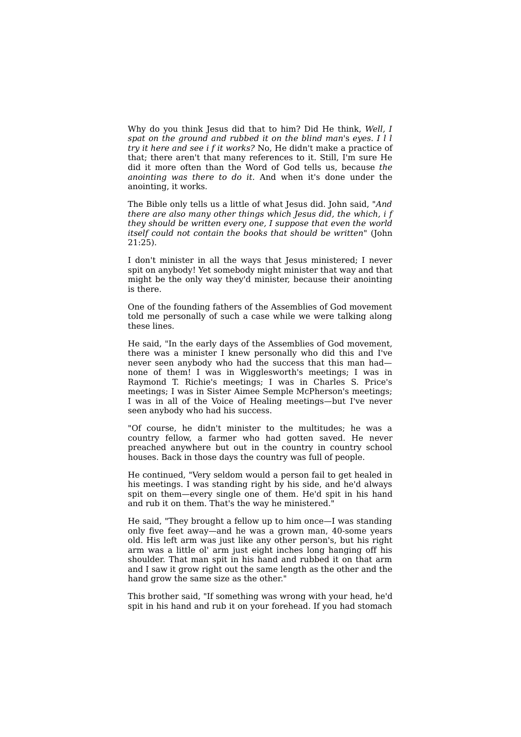Why do you think Jesus did that to him? Did He think, *Well, I spat on the ground and rubbed it on the blind man*'s *eyes. I l l try it here and see i f it works?* No, He didn't make a practice of that; there aren't that many references to it. Still, I'm sure He did it more often than the Word of God tells us, because *the anointing was there to do it.* And when it's done under the anointing, it works.

The Bible only tells us a little of what Jesus did. John said, *"And there are also many other things which Jesus did, the which, i f they should be written every one, I suppose that even the world itself could not contain the books that should be written"* (John 21:25).

I don't minister in all the ways that Jesus ministered; I never spit on anybody! Yet somebody might minister that way and that might be the only way they'd minister, because their anointing is there.

One of the founding fathers of the Assemblies of God movement told me personally of such a case while we were talking along these lines.

He said, "In the early days of the Assemblies of God movement, there was a minister I knew personally who did this and I've never seen anybody who had the success that this man had none of them! I was in Wigglesworth's meetings; I was in Raymond T. Richie's meetings; I was in Charles S. Price's meetings; I was in Sister Aimee Semple McPherson's meetings; I was in all of the Voice of Healing meetings—but I've never seen anybody who had his success.

"Of course, he didn't minister to the multitudes; he was a country fellow, a farmer who had gotten saved. He never preached anywhere but out in the country in country school houses. Back in those days the country was full of people.

He continued, "Very seldom would a person fail to get healed in his meetings. I was standing right by his side, and he'd always spit on them—every single one of them. He'd spit in his hand and rub it on them. That's the way he ministered."

He said, "They brought a fellow up to him once—I was standing only five feet away—and he was a grown man, 40-some years old. His left arm was just like any other person's, but his right arm was a little ol' arm just eight inches long hanging off his shoulder. That man spit in his hand and rubbed it on that arm and I saw it grow right out the same length as the other and the hand grow the same size as the other."

This brother said, "If something was wrong with your head, he'd spit in his hand and rub it on your forehead. If you had stomach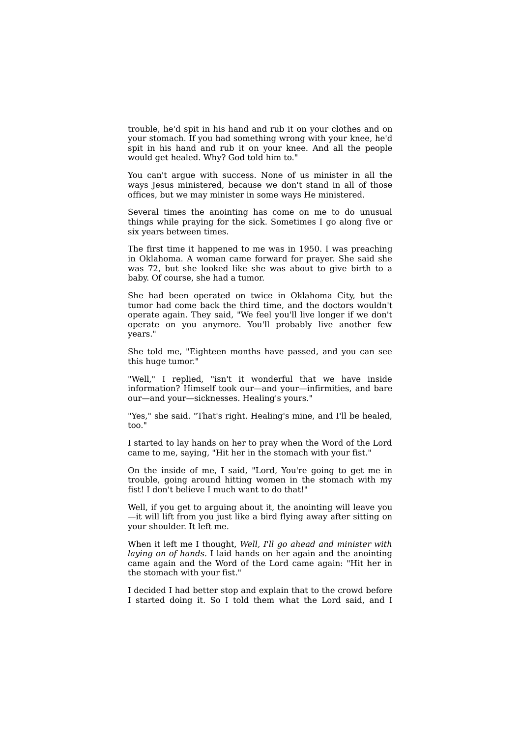trouble, he'd spit in his hand and rub it on your clothes and on your stomach. If you had something wrong with your knee, he'd spit in his hand and rub it on your knee. And all the people would get healed. Why? God told him to."

You can't argue with success. None of us minister in all the ways Jesus ministered, because we don't stand in all of those offices, but we may minister in some ways He ministered.

Several times the anointing has come on me to do unusual things while praying for the sick. Sometimes I go along five or six years between times.

The first time it happened to me was in 1950. I was preaching in Oklahoma. A woman came forward for prayer. She said she was 72, but she looked like she was about to give birth to a baby. Of course, she had a tumor.

She had been operated on twice in Oklahoma City, but the tumor had come back the third time, and the doctors wouldn't operate again. They said, "We feel you'll live longer if we don't operate on you anymore. You'll probably live another few years."

She told me, "Eighteen months have passed, and you can see this huge tumor."

"Well," I replied, "isn't it wonderful that we have inside information? Himself took our—and your—infirmities, and bare our—and your—sicknesses. Healing's yours."

"Yes," she said. "That's right. Healing's mine, and I'll be healed, too."

I started to lay hands on her to pray when the Word of the Lord came to me, saying, "Hit her in the stomach with your fist."

On the inside of me, I said, "Lord, You're going to get me in trouble, going around hitting women in the stomach with my fist! I don't believe I much want to do that!"

Well, if you get to arguing about it, the anointing will leave you —it will lift from you just like a bird flying away after sitting on your shoulder. It left me.

When it left me I thought, *Well, I'll go ahead and minister with laying on of hands.* I laid hands on her again and the anointing came again and the Word of the Lord came again: "Hit her in the stomach with your fist."

I decided I had better stop and explain that to the crowd before I started doing it. So I told them what the Lord said, and I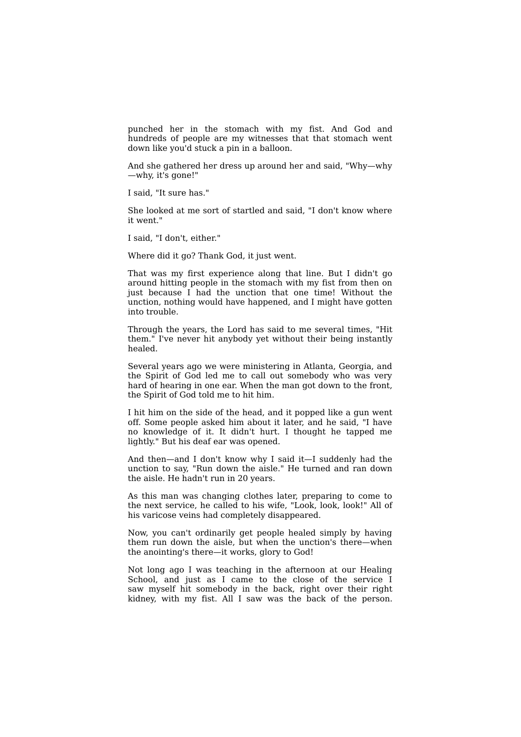punched her in the stomach with my fist. And God and hundreds of people are my witnesses that that stomach went down like you'd stuck a pin in a balloon.

And she gathered her dress up around her and said, "Why—why —why, it's gone!"

I said, "It sure has."

She looked at me sort of startled and said, "I don't know where it went."

I said, "I don't, either."

Where did it go? Thank God, it just went.

That was my first experience along that line. But I didn't go around hitting people in the stomach with my fist from then on just because I had the unction that one time! Without the unction, nothing would have happened, and I might have gotten into trouble.

Through the years, the Lord has said to me several times, "Hit them." I've never hit anybody yet without their being instantly healed.

Several years ago we were ministering in Atlanta, Georgia, and the Spirit of God led me to call out somebody who was very hard of hearing in one ear. When the man got down to the front, the Spirit of God told me to hit him.

I hit him on the side of the head, and it popped like a gun went off. Some people asked him about it later, and he said, "I have no knowledge of it. It didn't hurt. I thought he tapped me lightly." But his deaf ear was opened.

And then—and I don't know why I said it—I suddenly had the unction to say, "Run down the aisle." He turned and ran down the aisle. He hadn't run in 20 years.

As this man was changing clothes later, preparing to come to the next service, he called to his wife, "Look, look, look!" All of his varicose veins had completely disappeared.

Now, you can't ordinarily get people healed simply by having them run down the aisle, but when the unction's there—when the anointing's there—it works, glory to God!

Not long ago I was teaching in the afternoon at our Healing School, and just as I came to the close of the service I saw myself hit somebody in the back, right over their right kidney, with my fist. All I saw was the back of the person.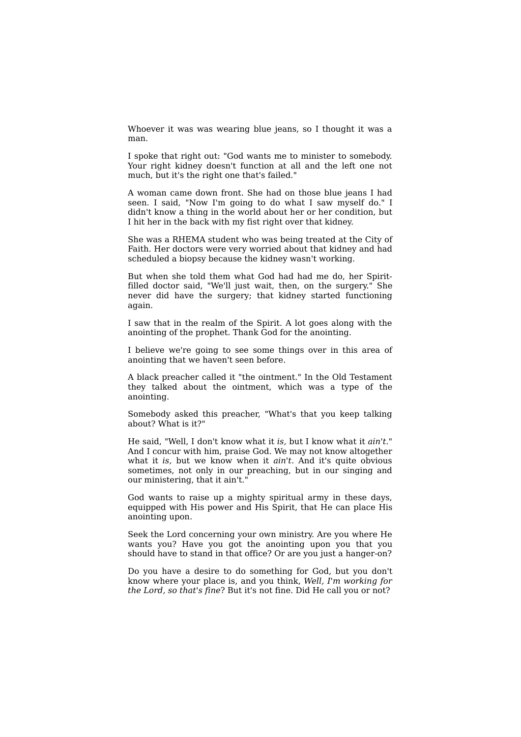Whoever it was was wearing blue jeans, so I thought it was a man.

I spoke that right out: "God wants me to minister to somebody. Your right kidney doesn't function at all and the left one not much, but it's the right one that's failed."

A woman came down front. She had on those blue jeans I had seen. I said, "Now I'm going to do what I saw myself do." I didn't know a thing in the world about her or her condition, but I hit her in the back with my fist right over that kidney.

She was a RHEMA student who was being treated at the City of Faith. Her doctors were very worried about that kidney and had scheduled a biopsy because the kidney wasn't working.

But when she told them what God had had me do, her Spiritfilled doctor said, "We'll just wait, then, on the surgery." She never did have the surgery; that kidney started functioning again.

I saw that in the realm of the Spirit. A lot goes along with the anointing of the prophet. Thank God for the anointing.

I believe we're going to see some things over in this area of anointing that we haven't seen before.

A black preacher called it "the ointment." In the Old Testament they talked about the ointment, which was a type of the anointing.

Somebody asked this preacher, "What's that you keep talking about? What is it?"

He said, "Well, I don't know what it *is,* but I know what it *ain't."* And I concur with him, praise God. We may not know altogether what it *is,* but we know when it *ain't.* And it's quite obvious sometimes, not only in our preaching, but in our singing and our ministering, that it ain't."

God wants to raise up a mighty spiritual army in these days, equipped with His power and His Spirit, that He can place His anointing upon.

Seek the Lord concerning your own ministry. Are you where He wants you? Have you got the anointing upon you that you should have to stand in that office? Or are you just a hanger-on?

Do you have a desire to do something for God, but you don't know where your place is, and you think, *Well, I'm working for the Lord, so that's fine*? But it's not fine. Did He call you or not?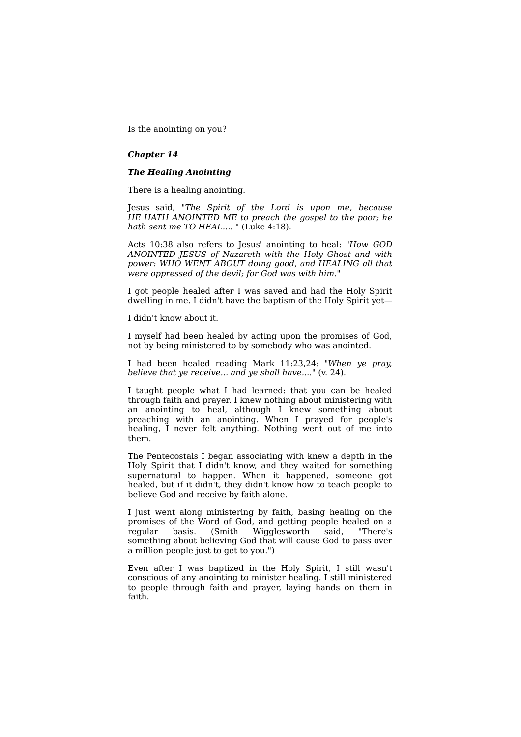Is the anointing on you?

#### *Chapter 14*

## *The Healing Anointing*

There is a healing anointing.

Jesus said, *"The Spirit of the Lord is upon me, because HE HATH ANOINTED ME to preach the gospel to the poor; he hath sent me TO HEAL....* " (Luke 4:18).

Acts 10:38 also refers to Jesus' anointing to heal: *"How GOD ANOINTED JESUS of Nazareth with the Holy Ghost and with power: WHO WENT ABOUT doing good, and HEALING all that were oppressed of the devil; for God was with him."*

I got people healed after I was saved and had the Holy Spirit dwelling in me. I didn't have the baptism of the Holy Spirit yet—

I didn't know about it.

I myself had been healed by acting upon the promises of God, not by being ministered to by somebody who was anointed.

I had been healed reading Mark 11:23,24: *"When ye pray, believe that ye receive... and ye shall have...."* (v. 24).

I taught people what I had learned: that you can be healed through faith and prayer. I knew nothing about ministering with an anointing to heal, although I knew something about preaching with an anointing. When I prayed for people's healing, I never felt anything. Nothing went out of me into them.

The Pentecostals I began associating with knew a depth in the Holy Spirit that I didn't know, and they waited for something supernatural to happen. When it happened, someone got healed, but if it didn't, they didn't know how to teach people to believe God and receive by faith alone.

I just went along ministering by faith, basing healing on the promises of the Word of God, and getting people healed on a regular basis. (Smith Wigglesworth said, "There's something about believing God that will cause God to pass over a million people just to get to you.")

Even after I was baptized in the Holy Spirit, I still wasn't conscious of any anointing to minister healing. I still ministered to people through faith and prayer, laying hands on them in faith.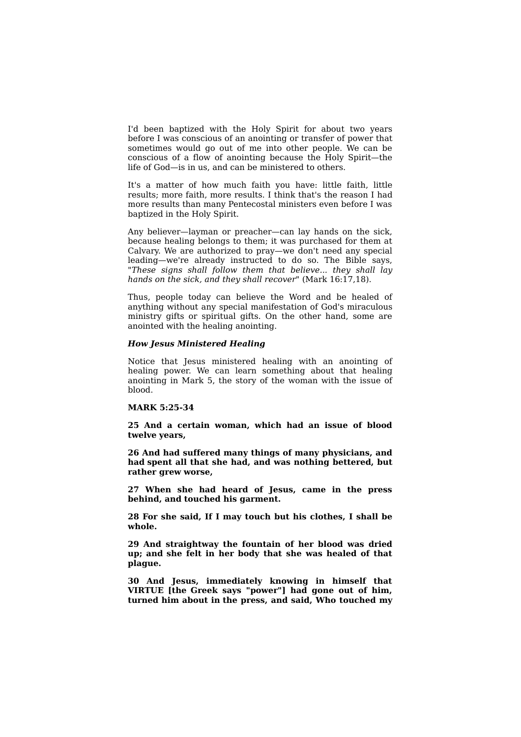I'd been baptized with the Holy Spirit for about two years before I was conscious of an anointing or transfer of power that sometimes would go out of me into other people. We can be conscious of a flow of anointing because the Holy Spirit—the life of God—is in us, and can be ministered to others.

It's a matter of how much faith you have: little faith, little results; more faith, more results. I think that's the reason I had more results than many Pentecostal ministers even before I was baptized in the Holy Spirit.

Any believer—layman or preacher—can lay hands on the sick, because healing belongs to them; it was purchased for them at Calvary. We are authorized to pray—we don't need any special leading—we're already instructed to do so. The Bible says, *"These signs shall follow them that believe... they shall lay hands on the sick, and they shall recover"* (Mark 16:17,18).

Thus, people today can believe the Word and be healed of anything without any special manifestation of God's miraculous ministry gifts or spiritual gifts. On the other hand, some are anointed with the healing anointing.

#### *How Jesus Ministered Healing*

Notice that Jesus ministered healing with an anointing of healing power. We can learn something about that healing anointing in Mark 5, the story of the woman with the issue of blood.

# **MARK 5:25-34**

**25 And a certain woman, which had an issue of blood twelve years,**

**26 And had suffered many things of many physicians, and had spent all that she had, and was nothing bettered, but rather grew worse,**

**27 When she had heard of Jesus, came in the press behind, and touched his garment.**

**28 For she said, If I may touch but his clothes, I shall be whole.**

**29 And straightway the fountain of her blood was dried up; and she felt in her body that she was healed of that plague.**

**30 And Jesus, immediately knowing in himself that VIRTUE [the Greek says "power"] had gone out of him, turned him about in the press, and said, Who touched my**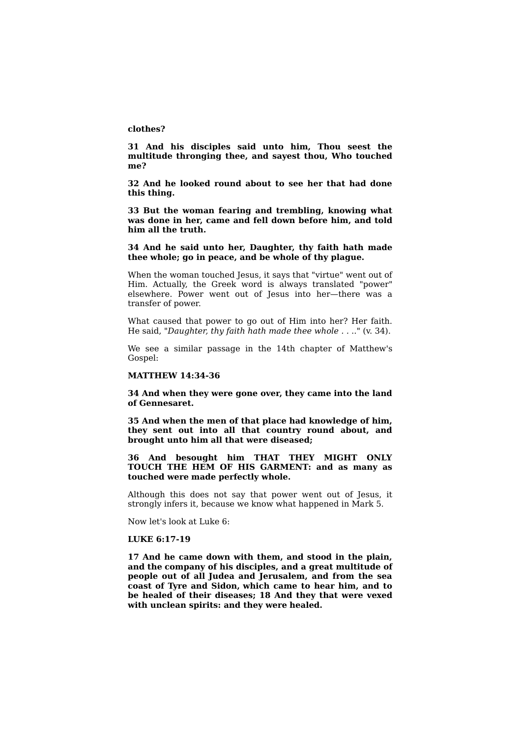# **clothes?**

**31 And his disciples said unto him, Thou seest the multitude thronging thee, and sayest thou, Who touched me?**

**32 And he looked round about to see her that had done this thing.**

**33 But the woman fearing and trembling, knowing what was done in her, came and fell down before him, and told him all the truth.**

**34 And he said unto her, Daughter, thy faith hath made thee whole; go in peace, and be whole of thy plague.**

When the woman touched Jesus, it says that "virtue" went out of Him. Actually, the Greek word is always translated "power" elsewhere. Power went out of Jesus into her—there was a transfer of power.

What caused that power to go out of Him into her? Her faith. He said, *"Daughter, thy faith hath made thee whole . .* .." (v. 34).

We see a similar passage in the 14th chapter of Matthew's Gospel:

### **MATTHEW 14:34-36**

**34 And when they were gone over, they came into the land of Gennesaret.**

**35 And when the men of that place had knowledge of him, they sent out into all that country round about, and brought unto him all that were diseased;**

**36 And besought him THAT THEY MIGHT ONLY TOUCH THE HEM OF HIS GARMENT: and as many as touched were made perfectly whole.**

Although this does not say that power went out of Jesus, it strongly infers it, because we know what happened in Mark 5.

Now let's look at Luke 6:

# **LUKE 6:17-19**

**17 And he came down with them, and stood in the plain, and the company of his disciples, and a great multitude of people out of all Judea and Jerusalem, and from the sea coast of Tyre and Sidon, which came to hear him, and to be healed of their diseases; 18 And they that were vexed with unclean spirits: and they were healed.**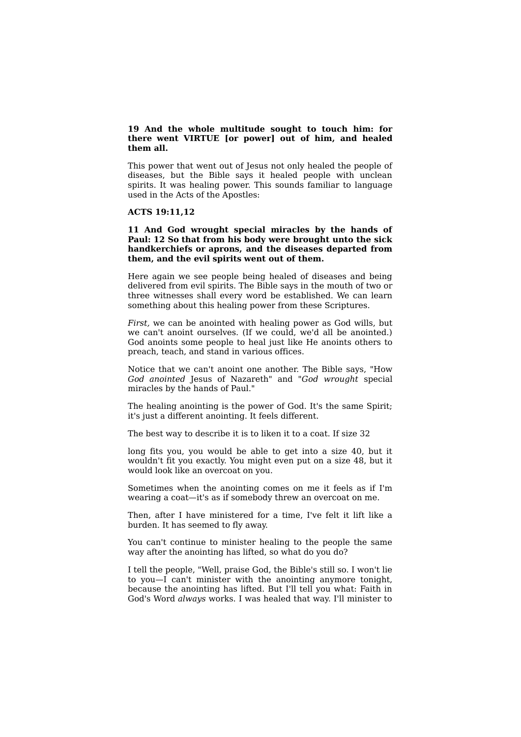# **19 And the whole multitude sought to touch him: for there went VIRTUE [or power] out of him, and healed them all.**

This power that went out of Jesus not only healed the people of diseases, but the Bible says it healed people with unclean spirits. It was healing power. This sounds familiar to language used in the Acts of the Apostles:

## **ACTS 19:11,12**

## **11 And God wrought special miracles by the hands of Paul: 12 So that from his body were brought unto the sick handkerchiefs or aprons, and the diseases departed from them, and the evil spirits went out of them.**

Here again we see people being healed of diseases and being delivered from evil spirits. The Bible says in the mouth of two or three witnesses shall every word be established. We can learn something about this healing power from these Scriptures.

*First,* we can be anointed with healing power as God wills, but we can't anoint ourselves. (If we could, we'd all be anointed.) God anoints some people to heal just like He anoints others to preach, teach, and stand in various offices.

Notice that we can't anoint one another. The Bible says, "How *God anointed* Jesus of Nazareth" and *"God wrought* special miracles by the hands of Paul."

The healing anointing is the power of God. It's the same Spirit; it's just a different anointing. It feels different.

The best way to describe it is to liken it to a coat. If size 32

long fits you, you would be able to get into a size 40, but it wouldn't fit you exactly. You might even put on a size 48, but it would look like an overcoat on you.

Sometimes when the anointing comes on me it feels as if I'm wearing a coat—it's as if somebody threw an overcoat on me.

Then, after I have ministered for a time, I've felt it lift like a burden. It has seemed to fly away.

You can't continue to minister healing to the people the same way after the anointing has lifted, so what do you do?

I tell the people, "Well, praise God, the Bible's still so. I won't lie to you—I can't minister with the anointing anymore tonight, because the anointing has lifted. But I'll tell you what: Faith in God's Word *always* works. I was healed that way. I'll minister to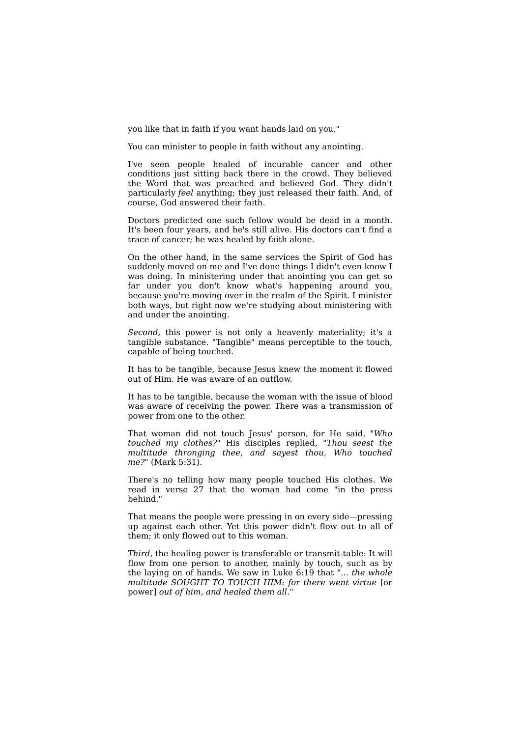you like that in faith if you want hands laid on you."

You can minister to people in faith without any anointing.

I've seen people healed of incurable cancer and other conditions just sitting back there in the crowd. They believed the Word that was preached and believed God. They didn't particularly *feel* anything; they just released their faith. And, of course, God answered their faith.

Doctors predicted one such fellow would be dead in a month. It's been four years, and he's still alive. His doctors can't find a trace of cancer; he was healed by faith alone.

On the other hand, in the same services the Spirit of God has suddenly moved on me and I've done things I didn't even know I was doing. In ministering under that anointing you can get so far under you don't know what's happening around you, because you're moving over in the realm of the Spirit. I minister both ways, but right now we're studying about ministering with and under the anointing.

*Second,* this power is not only a heavenly materiality; it's a tangible substance. "Tangible" means perceptible to the touch, capable of being touched.

It has to be tangible, because Jesus knew the moment it flowed out of Him. He was aware of an outflow.

It has to be tangible, because the woman with the issue of blood was aware of receiving the power. There was a transmission of power from one to the other.

That woman did not touch Jesus' person, for He said, *"Who touched my clothes?"* His disciples replied, *"Thou seest the multitude thronging thee, and sayest thou, Who touched me?"* (Mark 5:31).

There's no telling how many people touched His clothes. We read in verse 27 that the woman had come "in the press behind."

That means the people were pressing in on every side—pressing up against each other. Yet this power didn't flow out to all of them; it only flowed out to this woman.

*Third,* the healing power is transferable or transmit-table: It will flow from one person to another, mainly by touch, such as by the laying on of hands. We saw in Luke 6:19 that "... *the whole multitude SOUGHT TO TOUCH HIM: for there went virtue* [or power] *out of him, and healed them all."*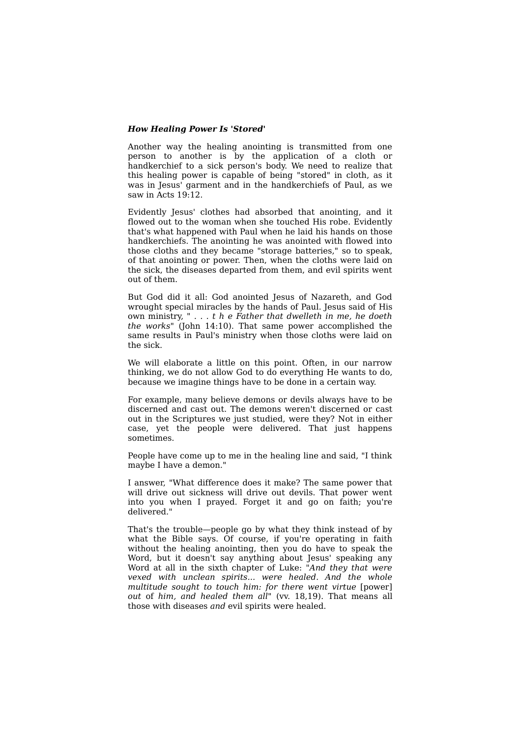#### *How Healing Power Is 'Stored'*

Another way the healing anointing is transmitted from one person to another is by the application of a cloth or handkerchief to a sick person's body. We need to realize that this healing power is capable of being "stored" in cloth, as it was in Jesus' garment and in the handkerchiefs of Paul, as we saw in Acts 19:12.

Evidently Jesus' clothes had absorbed that anointing, and it flowed out to the woman when she touched His robe. Evidently that's what happened with Paul when he laid his hands on those handkerchiefs. The anointing he was anointed with flowed into those cloths and they became "storage batteries," so to speak, of that anointing or power. Then, when the cloths were laid on the sick, the diseases departed from them, and evil spirits went out of them.

But God did it all: God anointed Jesus of Nazareth, and God wrought special miracles by the hands of Paul. Jesus said of His own ministry, *" . . . t h e Father that dwelleth in me, he doeth the works"* (John 14:10). That same power accomplished the same results in Paul's ministry when those cloths were laid on the sick.

We will elaborate a little on this point. Often, in our narrow thinking, we do not allow God to do everything He wants to do, because we imagine things have to be done in a certain way.

For example, many believe demons or devils always have to be discerned and cast out. The demons weren't discerned or cast out in the Scriptures we just studied, were they? Not in either case, yet the people were delivered. That just happens sometimes.

People have come up to me in the healing line and said, "I think maybe I have a demon."

I answer, "What difference does it make? The same power that will drive out sickness will drive out devils. That power went into you when I prayed. Forget it and go on faith; you're delivered."

That's the trouble—people go by what they think instead of by what the Bible says. Of course, if you're operating in faith without the healing anointing, then you do have to speak the Word, but it doesn't say anything about Jesus' speaking any Word at all in the sixth chapter of Luke: *"And they that were vexed with unclean spirits... were healed. And the whole multitude sought to touch him: for there went virtue* [power] *out* of *him, and healed them all"* (vv. 18,19). That means all those with diseases *and* evil spirits were healed.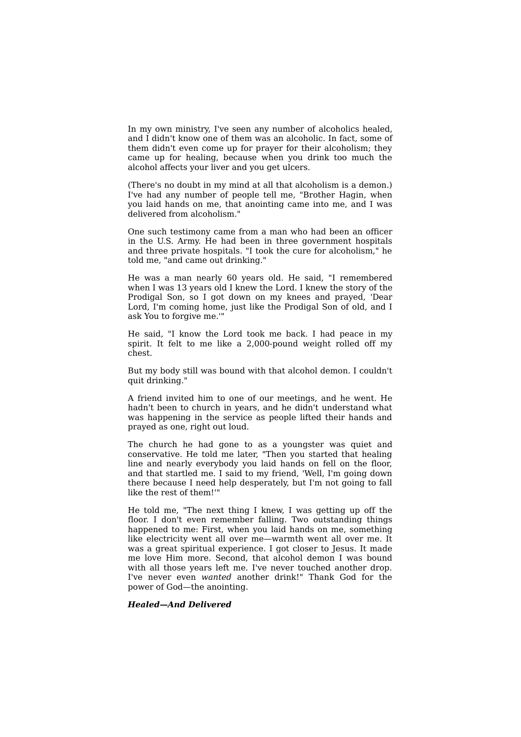In my own ministry, I've seen any number of alcoholics healed, and I didn't know one of them was an alcoholic. In fact, some of them didn't even come up for prayer for their alcoholism; they came up for healing, because when you drink too much the alcohol affects your liver and you get ulcers.

(There's no doubt in my mind at all that alcoholism is a demon.) I've had any number of people tell me, "Brother Hagin, when you laid hands on me, that anointing came into me, and I was delivered from alcoholism."

One such testimony came from a man who had been an officer in the U.S. Army. He had been in three government hospitals and three private hospitals. "I took the cure for alcoholism," he told me, "and came out drinking."

He was a man nearly 60 years old. He said, "I remembered when I was 13 years old I knew the Lord. I knew the story of the Prodigal Son, so I got down on my knees and prayed, 'Dear Lord, I'm coming home, just like the Prodigal Son of old, and I ask You to forgive me.'"

He said, "I know the Lord took me back. I had peace in my spirit. It felt to me like a 2,000-pound weight rolled off my chest.

But my body still was bound with that alcohol demon. I couldn't quit drinking."

A friend invited him to one of our meetings, and he went. He hadn't been to church in years, and he didn't understand what was happening in the service as people lifted their hands and prayed as one, right out loud.

The church he had gone to as a youngster was quiet and conservative. He told me later, "Then you started that healing line and nearly everybody you laid hands on fell on the floor, and that startled me. I said to my friend, 'Well, I'm going down there because I need help desperately, but I'm not going to fall like the rest of them!'"

He told me, "The next thing I knew, I was getting up off the floor. I don't even remember falling. Two outstanding things happened to me: First, when you laid hands on me, something like electricity went all over me—warmth went all over me. It was a great spiritual experience. I got closer to Jesus. It made me love Him more. Second, that alcohol demon I was bound with all those years left me. I've never touched another drop. I've never even *wanted* another drink!" Thank God for the power of God—the anointing.

## *Healed—And Delivered*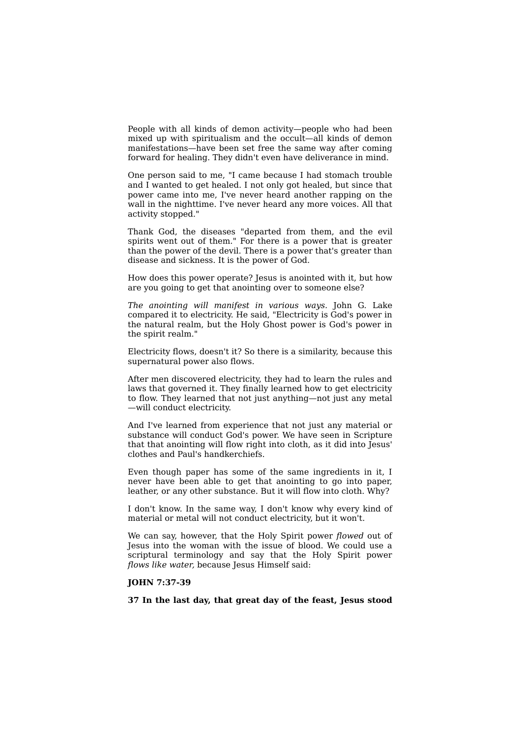People with all kinds of demon activity—people who had been mixed up with spiritualism and the occult—all kinds of demon manifestations—have been set free the same way after coming forward for healing. They didn't even have deliverance in mind.

One person said to me, "I came because I had stomach trouble and I wanted to get healed. I not only got healed, but since that power came into me, I've never heard another rapping on the wall in the nighttime. I've never heard any more voices. All that activity stopped."

Thank God, the diseases "departed from them, and the evil spirits went out of them." For there is a power that is greater than the power of the devil. There is a power that's greater than disease and sickness. It is the power of God.

How does this power operate? Jesus is anointed with it, but how are you going to get that anointing over to someone else?

*The anointing will manifest in various ways.* John G. Lake compared it to electricity. He said, "Electricity is God's power in the natural realm, but the Holy Ghost power is God's power in the spirit realm."

Electricity flows, doesn't it? So there is a similarity, because this supernatural power also flows.

After men discovered electricity, they had to learn the rules and laws that governed it. They finally learned how to get electricity to flow. They learned that not just anything—not just any metal —will conduct electricity.

And I've learned from experience that not just any material or substance will conduct God's power. We have seen in Scripture that that anointing will flow right into cloth, as it did into Jesus' clothes and Paul's handkerchiefs.

Even though paper has some of the same ingredients in it, I never have been able to get that anointing to go into paper, leather, or any other substance. But it will flow into cloth. Why?

I don't know. In the same way, I don't know why every kind of material or metal will not conduct electricity, but it won't.

We can say, however, that the Holy Spirit power *flowed* out of Jesus into the woman with the issue of blood. We could use a scriptural terminology and say that the Holy Spirit power *flows like water,* because Jesus Himself said:

# **JOHN 7:37-39**

**37 In the last day, that great day of the feast, Jesus stood**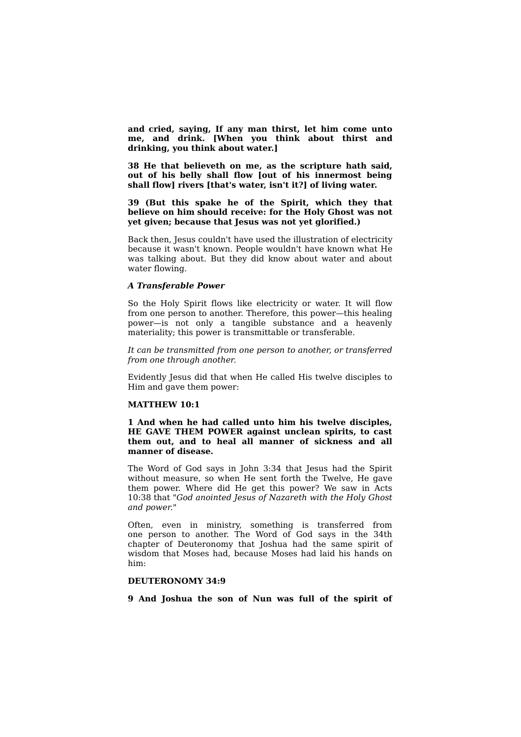**and cried, saying, If any man thirst, let him come unto me, and drink. [When you think about thirst and drinking, you think about water.]**

**38 He that believeth on me, as the scripture hath said, out of his belly shall flow [out of his innermost being shall flow] rivers [that's water, isn't it?] of living water.**

**39 (But this spake he of the Spirit, which they that believe on him should receive: for the Holy Ghost was not yet given; because that Jesus was not yet glorified.)**

Back then, Jesus couldn't have used the illustration of electricity because it wasn't known. People wouldn't have known what He was talking about. But they did know about water and about water flowing.

# *A Transferable Power*

So the Holy Spirit flows like electricity or water. It will flow from one person to another. Therefore, this power—this healing power—is not only a tangible substance and a heavenly materiality; this power is transmittable or transferable.

*It can be transmitted from one person to another, or transferred from one through another.*

Evidently Jesus did that when He called His twelve disciples to Him and gave them power:

#### **MATTHEW 10:1**

**1 And when he had called unto him his twelve disciples, HE GAVE THEM POWER against unclean spirits, to cast them out, and to heal all manner of sickness and all manner of disease.**

The Word of God says in John 3:34 that Jesus had the Spirit without measure, so when He sent forth the Twelve, He gave them power. Where did He get this power? We saw in Acts 10:38 that *"God anointed Jesus of Nazareth with the Holy Ghost and power."*

Often, even in ministry, something is transferred from one person to another. The Word of God says in the 34th chapter of Deuteronomy that Joshua had the same spirit of wisdom that Moses had, because Moses had laid his hands on him:

# **DEUTERONOMY 34:9**

**9 And Joshua the son of Nun was full of the spirit of**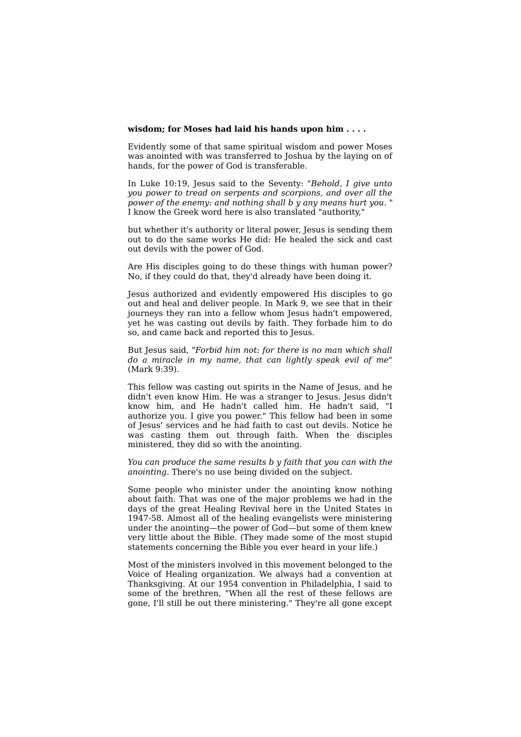## **wisdom; for Moses had laid his hands upon him . . . .**

Evidently some of that same spiritual wisdom and power Moses was anointed with was transferred to Joshua by the laying on of hands, for the power of God is transferable.

In Luke 10:19, Jesus said to the Seventy: *"Behold, I give unto you power to tread on serpents and scorpions, and over all the power of the enemy: and nothing shall b y any means hurt you.* " I know the Greek word here is also translated "authority,"

but whether it's authority or literal power, Jesus is sending them out to do the same works He did: He healed the sick and cast out devils with the power of God.

Are His disciples going to do these things with human power? No, if they could do that, they'd already have been doing it.

Jesus authorized and evidently empowered His disciples to go out and heal and deliver people. In Mark 9, we see that in their journeys they ran into a fellow whom Jesus hadn't empowered, yet he was casting out devils by faith. They forbade him to do so, and came back and reported this to Jesus.

But Jesus said, *"Forbid him not: for there is no man which shall do a miracle in my name, that can lightly speak evil of me"* (Mark 9:39).

This fellow was casting out spirits in the Name of Jesus, and he didn't even know Him. He was a stranger to Jesus. Jesus didn't know him, and He hadn't called him. He hadn't said, "I authorize you. I give you power." This fellow had been in some of Jesus' services and he had faith to cast out devils. Notice he was casting them out through faith. When the disciples ministered, they did so with the anointing.

*You can produce the same results b y faith that you can with the anointing.* There's no use being divided on the subject.

Some people who minister under the anointing know nothing about faith. That was one of the major problems we had in the days of the great Healing Revival here in the United States in 1947-58. Almost all of the healing evangelists were ministering under the anointing—the power of God—but some of them knew very little about the Bible. (They made some of the most stupid statements concerning the Bible you ever heard in your life.)

Most of the ministers involved in this movement belonged to the Voice of Healing organization. We always had a convention at Thanksgiving. At our 1954 convention in Philadelphia, I said to some of the brethren, "When all the rest of these fellows are gone, I'll still be out there ministering." They're all gone except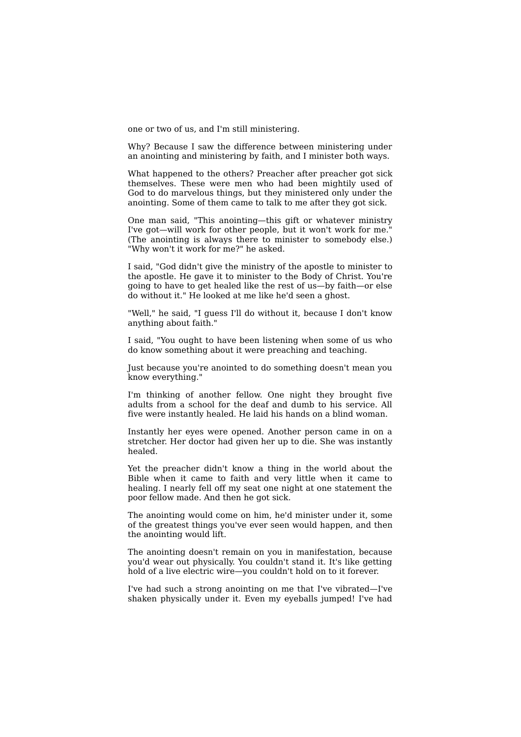one or two of us, and I'm still ministering.

Why? Because I saw the difference between ministering under an anointing and ministering by faith, and I minister both ways.

What happened to the others? Preacher after preacher got sick themselves. These were men who had been mightily used of God to do marvelous things, but they ministered only under the anointing. Some of them came to talk to me after they got sick.

One man said, "This anointing—this gift or whatever ministry I've got—will work for other people, but it won't work for me." (The anointing is always there to minister to somebody else.) "Why won't it work for me?" he asked.

I said, "God didn't give the ministry of the apostle to minister to the apostle. He gave it to minister to the Body of Christ. You're going to have to get healed like the rest of us—by faith—or else do without it." He looked at me like he'd seen a ghost.

"Well," he said, "I guess I'll do without it, because I don't know anything about faith."

I said, "You ought to have been listening when some of us who do know something about it were preaching and teaching.

Just because you're anointed to do something doesn't mean you know everything."

I'm thinking of another fellow. One night they brought five adults from a school for the deaf and dumb to his service. All five were instantly healed. He laid his hands on a blind woman.

Instantly her eyes were opened. Another person came in on a stretcher. Her doctor had given her up to die. She was instantly healed.

Yet the preacher didn't know a thing in the world about the Bible when it came to faith and very little when it came to healing. I nearly fell off my seat one night at one statement the poor fellow made. And then he got sick.

The anointing would come on him, he'd minister under it, some of the greatest things you've ever seen would happen, and then the anointing would lift.

The anointing doesn't remain on you in manifestation, because you'd wear out physically. You couldn't stand it. It's like getting hold of a live electric wire—you couldn't hold on to it forever.

I've had such a strong anointing on me that I've vibrated—I've shaken physically under it. Even my eyeballs jumped! I've had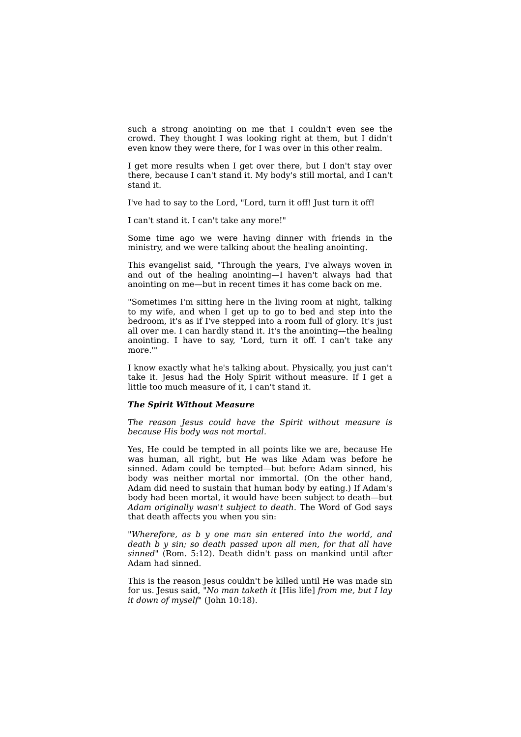such a strong anointing on me that I couldn't even see the crowd. They thought I was looking right at them, but I didn't even know they were there, for I was over in this other realm.

I get more results when I get over there, but I don't stay over there, because I can't stand it. My body's still mortal, and I can't stand it.

I've had to say to the Lord, "Lord, turn it off! Just turn it off!

I can't stand it. I can't take any more!"

Some time ago we were having dinner with friends in the ministry, and we were talking about the healing anointing.

This evangelist said, "Through the years, I've always woven in and out of the healing anointing—I haven't always had that anointing on me—but in recent times it has come back on me.

"Sometimes I'm sitting here in the living room at night, talking to my wife, and when I get up to go to bed and step into the bedroom, it's as if I've stepped into a room full of glory. It's just all over me. I can hardly stand it. It's the anointing—the healing anointing. I have to say, 'Lord, turn it off. I can't take any more.'"

I know exactly what he's talking about. Physically, you just can't take it. Jesus had the Holy Spirit without measure. If I get a little too much measure of it, I can't stand it.

#### *The Spirit Without Measure*

*The reason Jesus could have the Spirit without measure is because His body was not mortal.*

Yes, He could be tempted in all points like we are, because He was human, all right, but He was like Adam was before he sinned. Adam could be tempted—but before Adam sinned, his body was neither mortal nor immortal. (On the other hand, Adam did need to sustain that human body by eating.) If Adam's body had been mortal, it would have been subject to death—but *Adam originally wasn't subject to death.* The Word of God says that death affects you when you sin:

*"Wherefore, as b y one man sin entered into the world, and death b y sin; so death passed upon all men, for that all have sinned"* (Rom. 5:12). Death didn't pass on mankind until after Adam had sinned.

This is the reason Jesus couldn't be killed until He was made sin for us. Jesus said, *"No man taketh it* [His life] *from me, but I lay it down of myself"* (John 10:18).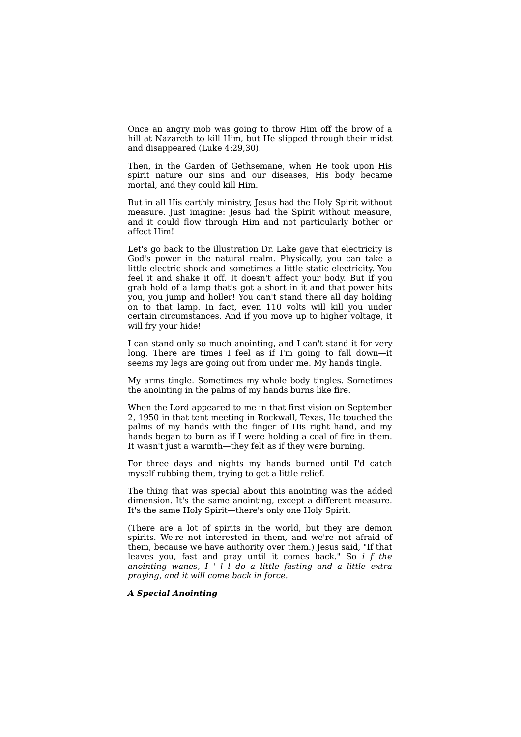Once an angry mob was going to throw Him off the brow of a hill at Nazareth to kill Him, but He slipped through their midst and disappeared (Luke 4:29,30).

Then, in the Garden of Gethsemane, when He took upon His spirit nature our sins and our diseases, His body became mortal, and they could kill Him.

But in all His earthly ministry, Jesus had the Holy Spirit without measure. Just imagine: Jesus had the Spirit without measure, and it could flow through Him and not particularly bother or affect Him!

Let's go back to the illustration Dr. Lake gave that electricity is God's power in the natural realm. Physically, you can take a little electric shock and sometimes a little static electricity. You feel it and shake it off. It doesn't affect your body. But if you grab hold of a lamp that's got a short in it and that power hits you, you jump and holler! You can't stand there all day holding on to that lamp. In fact, even 110 volts will kill you under certain circumstances. And if you move up to higher voltage, it will fry your hide!

I can stand only so much anointing, and I can't stand it for very long. There are times I feel as if I'm going to fall down—it seems my legs are going out from under me. My hands tingle.

My arms tingle. Sometimes my whole body tingles. Sometimes the anointing in the palms of my hands burns like fire.

When the Lord appeared to me in that first vision on September 2, 1950 in that tent meeting in Rockwall, Texas, He touched the palms of my hands with the finger of His right hand, and my hands began to burn as if I were holding a coal of fire in them. It wasn't just a warmth—they felt as if they were burning.

For three days and nights my hands burned until I'd catch myself rubbing them, trying to get a little relief.

The thing that was special about this anointing was the added dimension. It's the same anointing, except a different measure. It's the same Holy Spirit—there's only one Holy Spirit.

(There are a lot of spirits in the world, but they are demon spirits. We're not interested in them, and we're not afraid of them, because we have authority over them.) Jesus said, "If that leaves you, fast and pray until it comes back." So *i f the anointing wanes, I ' l l do a little fasting and a little extra praying, and it will come back in force.*

## *A Special Anointing*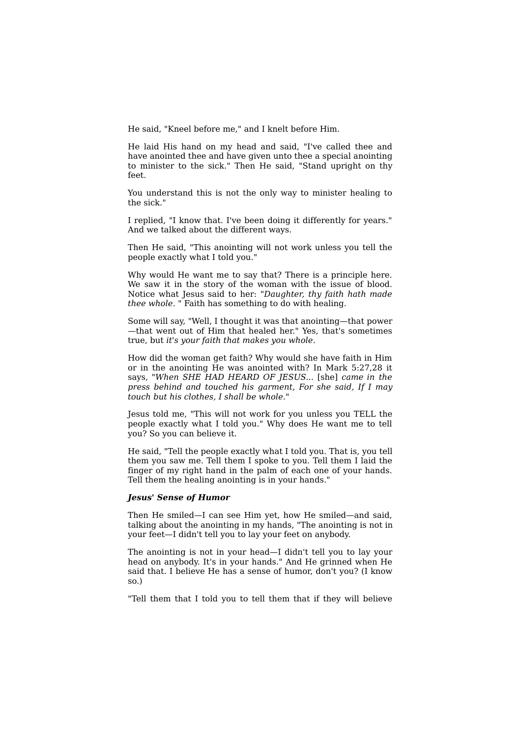He said, "Kneel before me," and I knelt before Him.

He laid His hand on my head and said, "I've called thee and have anointed thee and have given unto thee a special anointing to minister to the sick." Then He said, "Stand upright on thy feet.

You understand this is not the only way to minister healing to the sick."

I replied, "I know that. I've been doing it differently for years." And we talked about the different ways.

Then He said, "This anointing will not work unless you tell the people exactly what I told you."

Why would He want me to say that? There is a principle here. We saw it in the story of the woman with the issue of blood. Notice what Jesus said to her: *"Daughter, thy faith hath made thee whole.* " Faith has something to do with healing.

Some will say, "Well, I thought it was that anointing—that power —that went out of Him that healed her." Yes, that's sometimes true, but *it's your faith that makes you whole.*

How did the woman get faith? Why would she have faith in Him or in the anointing He was anointed with? In Mark 5:27,28 it says, *"When SHE HAD HEARD OF JESUS...* [she] *came in the press behind and touched his garment, For she said, If I may touch but his clothes, I shall be whole."*

Jesus told me, "This will not work for you unless you TELL the people exactly what I told you." Why does He want me to tell you? So you can believe it.

He said, "Tell the people exactly what I told you. That is, you tell them you saw me. Tell them I spoke to you. Tell them I laid the finger of my right hand in the palm of each one of your hands. Tell them the healing anointing is in your hands."

#### *Jesus' Sense of Humor*

Then He smiled—I can see Him yet, how He smiled—and said, talking about the anointing in my hands, "The anointing is not in your feet—I didn't tell you to lay your feet on anybody.

The anointing is not in your head—I didn't tell you to lay your head on anybody. It's in your hands." And He grinned when He said that. I believe He has a sense of humor, don't you? (I know so.)

"Tell them that I told you to tell them that if they will believe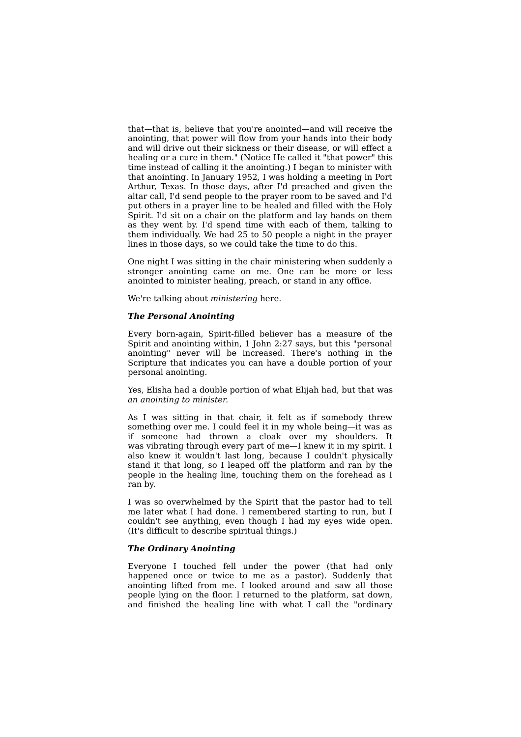that—that is, believe that you're anointed—and will receive the anointing, that power will flow from your hands into their body and will drive out their sickness or their disease, or will effect a healing or a cure in them." (Notice He called it "that power" this time instead of calling it the anointing.) I began to minister with that anointing. In January 1952, I was holding a meeting in Port Arthur, Texas. In those days, after I'd preached and given the altar call, I'd send people to the prayer room to be saved and I'd put others in a prayer line to be healed and filled with the Holy Spirit. I'd sit on a chair on the platform and lay hands on them as they went by. I'd spend time with each of them, talking to them individually. We had 25 to 50 people a night in the prayer lines in those days, so we could take the time to do this.

One night I was sitting in the chair ministering when suddenly a stronger anointing came on me. One can be more or less anointed to minister healing, preach, or stand in any office.

We're talking about *ministering* here.

## *The Personal Anointing*

Every born-again, Spirit-filled believer has a measure of the Spirit and anointing within, 1 John 2:27 says, but this "personal anointing" never will be increased. There's nothing in the Scripture that indicates you can have a double portion of your personal anointing.

Yes, Elisha had a double portion of what Elijah had, but that was *an anointing to minister.*

As I was sitting in that chair, it felt as if somebody threw something over me. I could feel it in my whole being—it was as if someone had thrown a cloak over my shoulders. It was vibrating through every part of me—I knew it in my spirit. I also knew it wouldn't last long, because I couldn't physically stand it that long, so I leaped off the platform and ran by the people in the healing line, touching them on the forehead as I ran by.

I was so overwhelmed by the Spirit that the pastor had to tell me later what I had done. I remembered starting to run, but I couldn't see anything, even though I had my eyes wide open. (It's difficult to describe spiritual things.)

## *The Ordinary Anointing*

Everyone I touched fell under the power (that had only happened once or twice to me as a pastor). Suddenly that anointing lifted from me. I looked around and saw all those people lying on the floor. I returned to the platform, sat down, and finished the healing line with what I call the "ordinary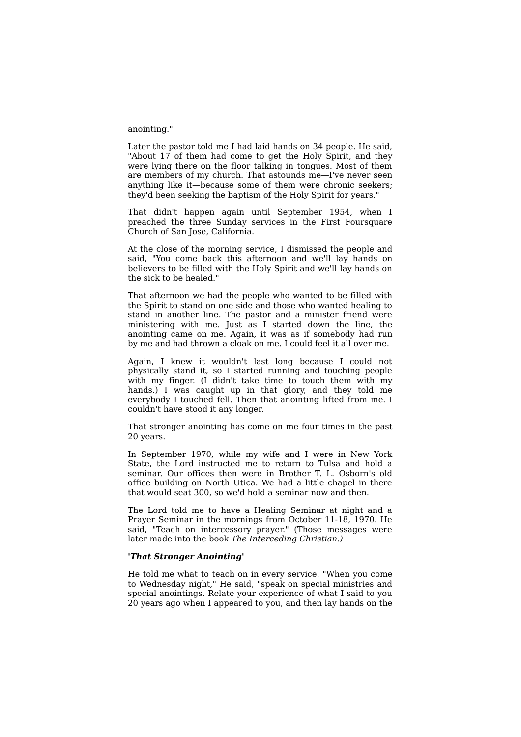## anointing."

Later the pastor told me I had laid hands on 34 people. He said, "About 17 of them had come to get the Holy Spirit, and they were lying there on the floor talking in tongues. Most of them are members of my church. That astounds me—I've never seen anything like it—because some of them were chronic seekers; they'd been seeking the baptism of the Holy Spirit for years."

That didn't happen again until September 1954, when I preached the three Sunday services in the First Foursquare Church of San Jose, California.

At the close of the morning service, I dismissed the people and said, "You come back this afternoon and we'll lay hands on believers to be filled with the Holy Spirit and we'll lay hands on the sick to be healed."

That afternoon we had the people who wanted to be filled with the Spirit to stand on one side and those who wanted healing to stand in another line. The pastor and a minister friend were ministering with me. Just as I started down the line, the anointing came on me. Again, it was as if somebody had run by me and had thrown a cloak on me. I could feel it all over me.

Again, I knew it wouldn't last long because I could not physically stand it, so I started running and touching people with my finger. (I didn't take time to touch them with my hands.) I was caught up in that glory, and they told me everybody I touched fell. Then that anointing lifted from me. I couldn't have stood it any longer.

That stronger anointing has come on me four times in the past 20 years.

In September 1970, while my wife and I were in New York State, the Lord instructed me to return to Tulsa and hold a seminar. Our offices then were in Brother T. L. Osborn's old office building on North Utica. We had a little chapel in there that would seat 300, so we'd hold a seminar now and then.

The Lord told me to have a Healing Seminar at night and a Prayer Seminar in the mornings from October 11-18, 1970. He said, "Teach on intercessory prayer." (Those messages were later made into the book *The Interceding Christian.)*

#### *'That Stronger Anointing'*

He told me what to teach on in every service. "When you come to Wednesday night," He said, "speak on special ministries and special anointings. Relate your experience of what I said to you 20 years ago when I appeared to you, and then lay hands on the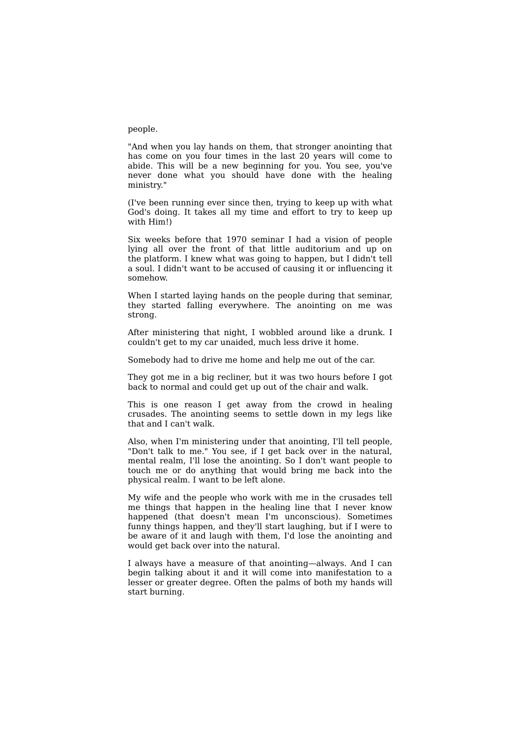#### people.

"And when you lay hands on them, that stronger anointing that has come on you four times in the last 20 years will come to abide. This will be a new beginning for you. You see, you've never done what you should have done with the healing ministry."

(I've been running ever since then, trying to keep up with what God's doing. It takes all my time and effort to try to keep up with Him!)

Six weeks before that 1970 seminar I had a vision of people lying all over the front of that little auditorium and up on the platform. I knew what was going to happen, but I didn't tell a soul. I didn't want to be accused of causing it or influencing it somehow.

When I started laying hands on the people during that seminar, they started falling everywhere. The anointing on me was strong.

After ministering that night, I wobbled around like a drunk. I couldn't get to my car unaided, much less drive it home.

Somebody had to drive me home and help me out of the car.

They got me in a big recliner, but it was two hours before I got back to normal and could get up out of the chair and walk.

This is one reason I get away from the crowd in healing crusades. The anointing seems to settle down in my legs like that and I can't walk.

Also, when I'm ministering under that anointing, I'll tell people, "Don't talk to me." You see, if I get back over in the natural, mental realm, I'll lose the anointing. So I don't want people to touch me or do anything that would bring me back into the physical realm. I want to be left alone.

My wife and the people who work with me in the crusades tell me things that happen in the healing line that I never know happened (that doesn't mean I'm unconscious). Sometimes funny things happen, and they'll start laughing, but if I were to be aware of it and laugh with them, I'd lose the anointing and would get back over into the natural.

I always have a measure of that anointing—always. And I can begin talking about it and it will come into manifestation to a lesser or greater degree. Often the palms of both my hands will start burning.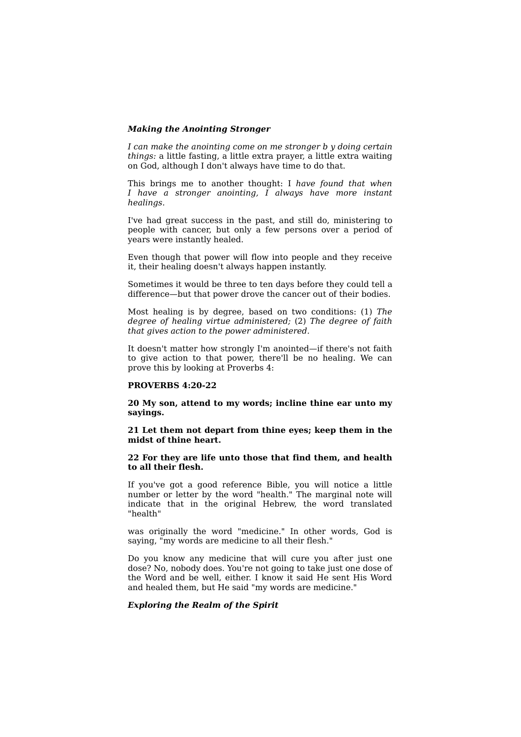## *Making the Anointing Stronger*

*I can make the anointing come on me stronger b y doing certain things:* a little fasting, a little extra prayer, a little extra waiting on God, although I don't always have time to do that.

This brings me to another thought: I *have found that when I have a stronger anointing, I always have more instant healings.*

I've had great success in the past, and still do, ministering to people with cancer, but only a few persons over a period of years were instantly healed.

Even though that power will flow into people and they receive it, their healing doesn't always happen instantly.

Sometimes it would be three to ten days before they could tell a difference—but that power drove the cancer out of their bodies.

Most healing is by degree, based on two conditions: (1) *The degree of healing virtue administered;* (2) *The degree of faith that gives action to the power administered.*

It doesn't matter how strongly I'm anointed—if there's not faith to give action to that power, there'll be no healing. We can prove this by looking at Proverbs 4:

#### **PROVERBS 4:20-22**

**20 My son, attend to my words; incline thine ear unto my sayings.**

**21 Let them not depart from thine eyes; keep them in the midst of thine heart.**

# **22 For they are life unto those that find them, and health to all their flesh.**

If you've got a good reference Bible, you will notice a little number or letter by the word "health." The marginal note will indicate that in the original Hebrew, the word translated "health"

was originally the word "medicine." In other words, God is saying, "my words are medicine to all their flesh."

Do you know any medicine that will cure you after just one dose? No, nobody does. You're not going to take just one dose of the Word and be well, either. I know it said He sent His Word and healed them, but He said "my words are medicine."

# *Exploring the Realm of the Spirit*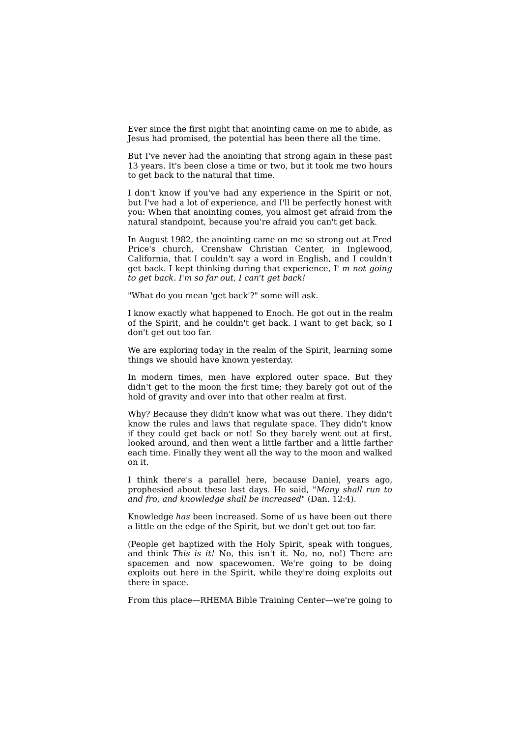Ever since the first night that anointing came on me to abide, as Jesus had promised, the potential has been there all the time.

But I've never had the anointing that strong again in these past 13 years. It's been close a time or two, but it took me two hours to get back to the natural that time.

I don't know if you've had any experience in the Spirit or not, but I've had a lot of experience, and I'll be perfectly honest with you: When that anointing comes, you almost get afraid from the natural standpoint, because you're afraid you can't get back.

In August 1982, the anointing came on me so strong out at Fred Price's church, Crenshaw Christian Center, in Inglewood, California, that I couldn't say a word in English, and I couldn't get back. I kept thinking during that experience, I' *m not going to get back. I'm so far out, I can't get back!*

"What do you mean 'get back'?" some will ask.

I know exactly what happened to Enoch. He got out in the realm of the Spirit, and he couldn't get back. I want to get back, so I don't get out too far.

We are exploring today in the realm of the Spirit, learning some things we should have known yesterday.

In modern times, men have explored outer space. But they didn't get to the moon the first time; they barely got out of the hold of gravity and over into that other realm at first.

Why? Because they didn't know what was out there. They didn't know the rules and laws that regulate space. They didn't know if they could get back or not! So they barely went out at first, looked around, and then went a little farther and a little farther each time. Finally they went all the way to the moon and walked on it.

I think there's a parallel here, because Daniel, years ago, prophesied about these last days. He said, *"Many shall run to and fro, and knowledge shall be increased"* (Dan. 12:4).

Knowledge *has* been increased. Some of us have been out there a little on the edge of the Spirit, but we don't get out too far.

(People get baptized with the Holy Spirit, speak with tongues, and think *This is it!* No, this isn't it. No, no, no!) There are spacemen and now spacewomen. We're going to be doing exploits out here in the Spirit, while they're doing exploits out there in space.

From this place—RHEMA Bible Training Center—we're going to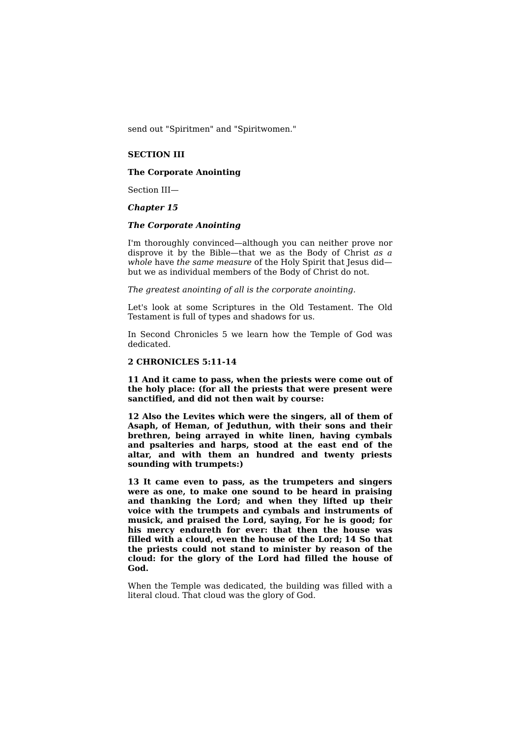send out "Spiritmen" and "Spiritwomen."

#### **SECTION III**

## **The Corporate Anointing**

Section III—

# *Chapter 15*

#### *The Corporate Anointing*

I'm thoroughly convinced—although you can neither prove nor disprove it by the Bible—that we as the Body of Christ *as a whole* have *the same measure* of the Holy Spirit that Jesus did but we as individual members of the Body of Christ do not.

*The greatest anointing of all is the corporate anointing.*

Let's look at some Scriptures in the Old Testament. The Old Testament is full of types and shadows for us.

In Second Chronicles 5 we learn how the Temple of God was dedicated.

# **2 CHRONICLES 5:11-14**

**11 And it came to pass, when the priests were come out of the holy place: (for all the priests that were present were sanctified, and did not then wait by course:**

**12 Also the Levites which were the singers, all of them of Asaph, of Heman, of Jeduthun, with their sons and their brethren, being arrayed in white linen, having cymbals and psalteries and harps, stood at the east end of the altar, and with them an hundred and twenty priests sounding with trumpets:)**

**13 It came even to pass, as the trumpeters and singers were as one, to make one sound to be heard in praising and thanking the Lord; and when they lifted up their voice with the trumpets and cymbals and instruments of musick, and praised the Lord, saying, For he is good; for his mercy endureth for ever: that then the house was filled with a cloud, even the house of the Lord; 14 So that the priests could not stand to minister by reason of the cloud: for the glory of the Lord had filled the house of God.**

When the Temple was dedicated, the building was filled with a literal cloud. That cloud was the glory of God.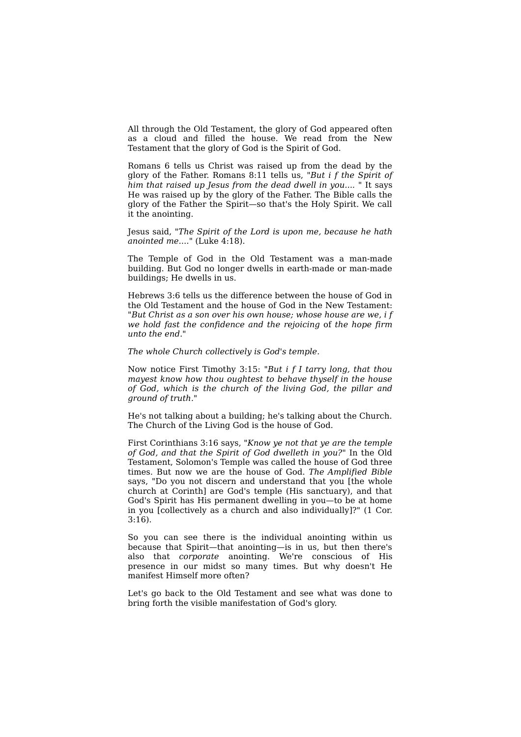All through the Old Testament, the glory of God appeared often as a cloud and filled the house. We read from the New Testament that the glory of God is the Spirit of God.

Romans 6 tells us Christ was raised up from the dead by the glory of the Father. Romans 8:11 tells us, *"But i f the Spirit of him that raised up Jesus from the dead dwell in you....* " It says He was raised up by the glory of the Father. The Bible calls the glory of the Father the Spirit—so that's the Holy Spirit. We call it the anointing.

Jesus said, *"The Spirit of the Lord is upon me, because he hath anointed me*...." (Luke 4:18).

The Temple of God in the Old Testament was a man-made building. But God no longer dwells in earth-made or man-made buildings; He dwells in us.

Hebrews 3:6 tells us the difference between the house of God in the Old Testament and the house of God in the New Testament: *"But Christ as a son over his own house; whose house are we, i f we hold fast the confidence and the rejoicing* of *the hope firm unto the end."*

## *The whole Church collectively is God's temple.*

Now notice First Timothy 3:15: *"But i f I tarry long, that thou mayest know how thou oughtest to behave thyself in the house of God, which is the church of the living God, the pillar and ground of truth."*

He's not talking about a building; he's talking about the Church. The Church of the Living God is the house of God.

First Corinthians 3:16 says, *"Know ye not that ye are the temple of God, and that the Spirit of God dwelleth in you?"* In the Old Testament, Solomon's Temple was called the house of God three times. But now we are the house of God. *The Amplified Bible* says, "Do you not discern and understand that you [the whole church at Corinth] are God's temple (His sanctuary), and that God's Spirit has His permanent dwelling in you—to be at home in you [collectively as a church and also individually]?" (1 Cor. 3:16).

So you can see there is the individual anointing within us because that Spirit—that anointing—is in us, but then there's also that *corporate* anointing. We're conscious of His presence in our midst so many times. But why doesn't He manifest Himself more often?

Let's go back to the Old Testament and see what was done to bring forth the visible manifestation of God's glory.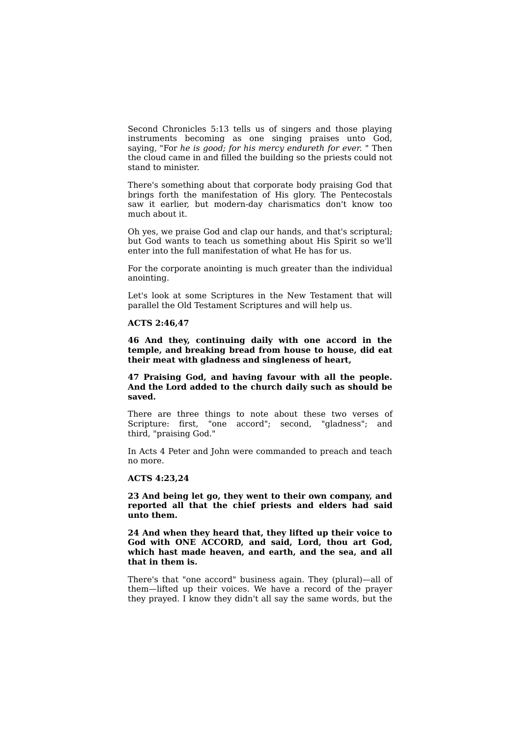Second Chronicles 5:13 tells us of singers and those playing instruments becoming as one singing praises unto God, saying, "For *he is good; for his mercy endureth for ever.* " Then the cloud came in and filled the building so the priests could not stand to minister.

There's something about that corporate body praising God that brings forth the manifestation of His glory. The Pentecostals saw it earlier, but modern-day charismatics don't know too much about it.

Oh yes, we praise God and clap our hands, and that's scriptural; but God wants to teach us something about His Spirit so we'll enter into the full manifestation of what He has for us.

For the corporate anointing is much greater than the individual anointing.

Let's look at some Scriptures in the New Testament that will parallel the Old Testament Scriptures and will help us.

# **ACTS 2:46,47**

**46 And they, continuing daily with one accord in the temple, and breaking bread from house to house, did eat their meat with gladness and singleness of heart,**

**47 Praising God, and having favour with all the people. And the Lord added to the church daily such as should be saved.**

There are three things to note about these two verses of Scripture: first, "one accord"; second, "gladness"; and third, "praising God."

In Acts 4 Peter and John were commanded to preach and teach no more.

## **ACTS 4:23,24**

**23 And being let go, they went to their own company, and reported all that the chief priests and elders had said unto them.**

**24 And when they heard that, they lifted up their voice to God with ONE ACCORD, and said, Lord, thou art God, which hast made heaven, and earth, and the sea, and all that in them is.**

There's that "one accord" business again. They (plural)—all of them—lifted up their voices. We have a record of the prayer they prayed. I know they didn't all say the same words, but the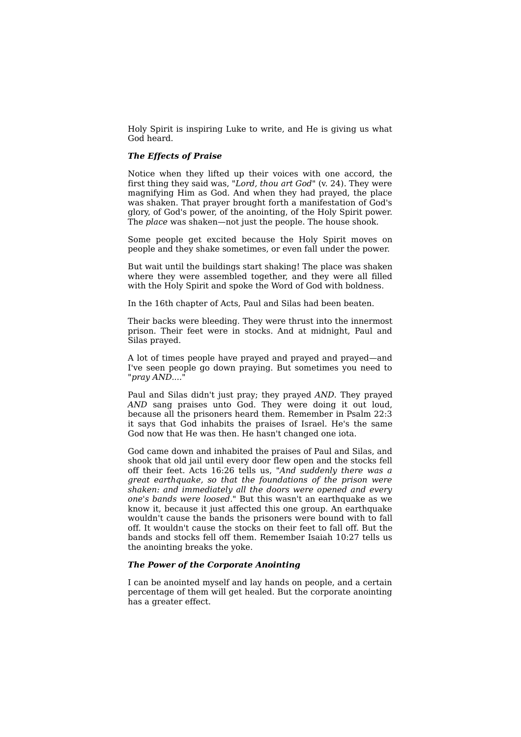Holy Spirit is inspiring Luke to write, and He is giving us what God heard.

# *The Effects of Praise*

Notice when they lifted up their voices with one accord, the first thing they said was, *"Lord, thou art God"* (v. 24). They were magnifying Him as God. And when they had prayed, the place was shaken. That prayer brought forth a manifestation of God's glory, of God's power, of the anointing, of the Holy Spirit power. The *place* was shaken—not just the people. The house shook.

Some people get excited because the Holy Spirit moves on people and they shake sometimes, or even fall under the power.

But wait until the buildings start shaking! The place was shaken where they were assembled together, and they were all filled with the Holy Spirit and spoke the Word of God with boldness.

In the 16th chapter of Acts, Paul and Silas had been beaten.

Their backs were bleeding. They were thrust into the innermost prison. Their feet were in stocks. And at midnight, Paul and Silas prayed.

A lot of times people have prayed and prayed and prayed—and I've seen people go down praying. But sometimes you need to *"pray AND...."*

Paul and Silas didn't just pray; they prayed *AND.* They prayed *AND* sang praises unto God. They were doing it out loud, because all the prisoners heard them. Remember in Psalm 22:3 it says that God inhabits the praises of Israel. He's the same God now that He was then. He hasn't changed one iota.

God came down and inhabited the praises of Paul and Silas, and shook that old jail until every door flew open and the stocks fell off their feet. Acts 16:26 tells us, *"And suddenly there was a great earthquake, so that the foundations of the prison were shaken: and immediately all the doors were opened and every one's bands were loosed."* But this wasn't an earthquake as we know it, because it just affected this one group. An earthquake wouldn't cause the bands the prisoners were bound with to fall off. It wouldn't cause the stocks on their feet to fall off. But the bands and stocks fell off them. Remember Isaiah 10:27 tells us the anointing breaks the yoke.

#### *The Power of the Corporate Anointing*

I can be anointed myself and lay hands on people, and a certain percentage of them will get healed. But the corporate anointing has a greater effect.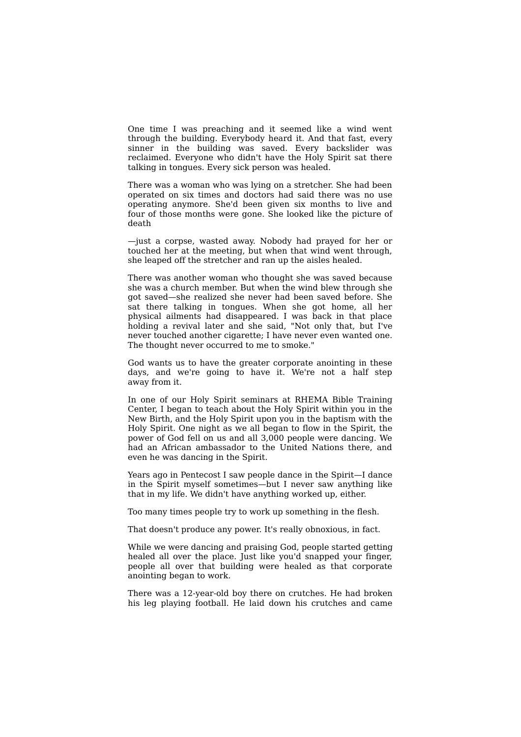One time I was preaching and it seemed like a wind went through the building. Everybody heard it. And that fast, every sinner in the building was saved. Every backslider was reclaimed. Everyone who didn't have the Holy Spirit sat there talking in tongues. Every sick person was healed.

There was a woman who was lying on a stretcher. She had been operated on six times and doctors had said there was no use operating anymore. She'd been given six months to live and four of those months were gone. She looked like the picture of death

—just a corpse, wasted away. Nobody had prayed for her or touched her at the meeting, but when that wind went through, she leaped off the stretcher and ran up the aisles healed.

There was another woman who thought she was saved because she was a church member. But when the wind blew through she got saved—she realized she never had been saved before. She sat there talking in tongues. When she got home, all her physical ailments had disappeared. I was back in that place holding a revival later and she said, "Not only that, but I've never touched another cigarette; I have never even wanted one. The thought never occurred to me to smoke."

God wants us to have the greater corporate anointing in these days, and we're going to have it. We're not a half step away from it.

In one of our Holy Spirit seminars at RHEMA Bible Training Center, I began to teach about the Holy Spirit within you in the New Birth, and the Holy Spirit upon you in the baptism with the Holy Spirit. One night as we all began to flow in the Spirit, the power of God fell on us and all 3,000 people were dancing. We had an African ambassador to the United Nations there, and even he was dancing in the Spirit.

Years ago in Pentecost I saw people dance in the Spirit—I dance in the Spirit myself sometimes—but I never saw anything like that in my life. We didn't have anything worked up, either.

Too many times people try to work up something in the flesh.

That doesn't produce any power. It's really obnoxious, in fact.

While we were dancing and praising God, people started getting healed all over the place. Just like you'd snapped your finger, people all over that building were healed as that corporate anointing began to work.

There was a 12-year-old boy there on crutches. He had broken his leg playing football. He laid down his crutches and came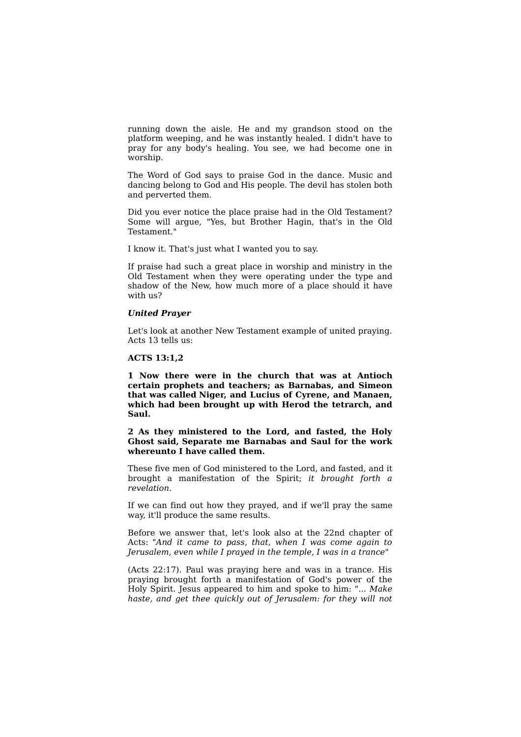running down the aisle. He and my grandson stood on the platform weeping, and he was instantly healed. I didn't have to pray for any body's healing. You see, we had become one in worship.

The Word of God says to praise God in the dance. Music and dancing belong to God and His people. The devil has stolen both and perverted them.

Did you ever notice the place praise had in the Old Testament? Some will argue, "Yes, but Brother Hagin, that's in the Old Testament."

I know it. That's just what I wanted you to say.

If praise had such a great place in worship and ministry in the Old Testament when they were operating under the type and shadow of the New, how much more of a place should it have with us?

## *United Prayer*

Let's look at another New Testament example of united praying. Acts 13 tells us:

## **ACTS 13:1,2**

**1 Now there were in the church that was at Antioch certain prophets and teachers; as Barnabas, and Simeon that was called Niger, and Lucius of Cyrene, and Manaen, which had been brought up with Herod the tetrarch, and Saul.**

**2 As they ministered to the Lord, and fasted, the Holy Ghost said, Separate me Barnabas and Saul for the work whereunto I have called them.**

These five men of God ministered to the Lord, and fasted, and it brought a manifestation of the Spirit; *it brought forth a revelation.*

If we can find out how they prayed, and if we'll pray the same way, it'll produce the same results.

Before we answer that, let's look also at the 22nd chapter of Acts: *"And it came to pass, that, when I was come again to Jerusalem, even while I prayed in the temple, I was in a trance"*

(Acts 22:17). Paul was praying here and was in a trance. His praying brought forth a manifestation of God's power of the Holy Spirit. Jesus appeared to him and spoke to him: "... *Make haste, and get thee quickly out of Jerusalem: for they will not*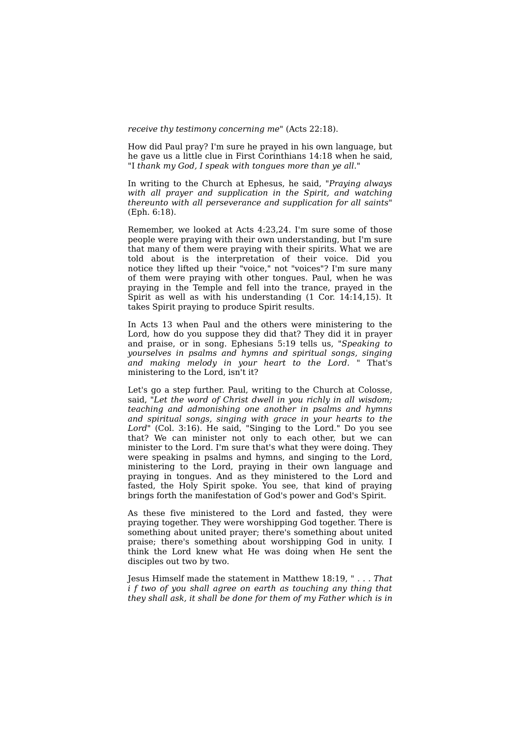*receive thy testimony concerning me"* (Acts 22:18).

How did Paul pray? I'm sure he prayed in his own language, but he gave us a little clue in First Corinthians 14:18 when he said, "I *thank my God, I speak with tongues more than ye all."*

In writing to the Church at Ephesus, he said, *"Praying always with all prayer and supplication in the Spirit, and watching thereunto with all perseverance and supplication for all saints"* (Eph. 6:18).

Remember, we looked at Acts 4:23,24. I'm sure some of those people were praying with their own understanding, but I'm sure that many of them were praying with their spirits. What we are told about is the interpretation of their voice. Did you notice they lifted up their "voice," not "voices"? I'm sure many of them were praying with other tongues. Paul, when he was praying in the Temple and fell into the trance, prayed in the Spirit as well as with his understanding (1 Cor. 14:14,15). It takes Spirit praying to produce Spirit results.

In Acts 13 when Paul and the others were ministering to the Lord, how do you suppose they did that? They did it in prayer and praise, or in song. Ephesians 5:19 tells us, *"Speaking to yourselves in psalms and hymns and spiritual songs, singing* and making melody in your heart to the Lord. ministering to the Lord, isn't it?

Let's go a step further. Paul, writing to the Church at Colosse, said, *"Let the word of Christ dwell in you richly in all wisdom; teaching and admonishing one another in psalms and hymns and spiritual songs, singing with grace in your hearts to the Lord"* (Col. 3:16). He said, "Singing to the Lord." Do you see that? We can minister not only to each other, but we can minister to the Lord. I'm sure that's what they were doing. They were speaking in psalms and hymns, and singing to the Lord, ministering to the Lord, praying in their own language and praying in tongues. And as they ministered to the Lord and fasted, the Holy Spirit spoke. You see, that kind of praying brings forth the manifestation of God's power and God's Spirit.

As these five ministered to the Lord and fasted, they were praying together. They were worshipping God together. There is something about united prayer; there's something about united praise; there's something about worshipping God in unity. I think the Lord knew what He was doing when He sent the disciples out two by two.

Jesus Himself made the statement in Matthew 18:19, *" . . . That i f two of you shall agree on earth as touching any thing that they shall ask, it shall be done for them of my Father which is in*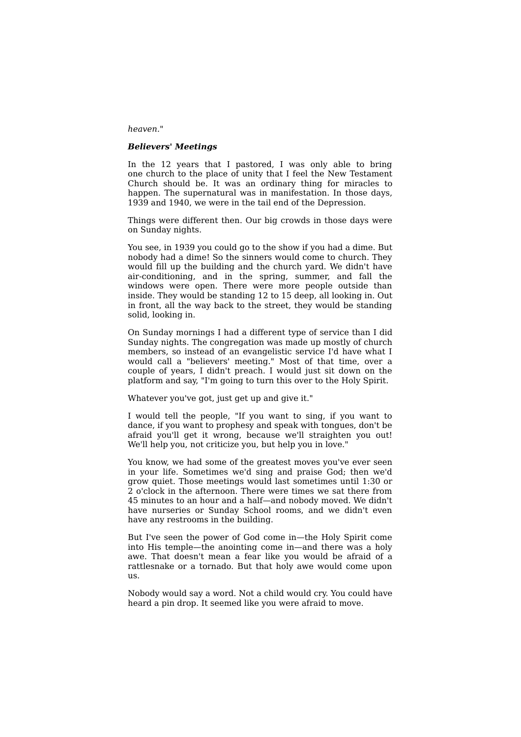## *heaven."*

## *Believers' Meetings*

In the 12 years that I pastored, I was only able to bring one church to the place of unity that I feel the New Testament Church should be. It was an ordinary thing for miracles to happen. The supernatural was in manifestation. In those days, 1939 and 1940, we were in the tail end of the Depression.

Things were different then. Our big crowds in those days were on Sunday nights.

You see, in 1939 you could go to the show if you had a dime. But nobody had a dime! So the sinners would come to church. They would fill up the building and the church yard. We didn't have air-conditioning, and in the spring, summer, and fall the windows were open. There were more people outside than inside. They would be standing 12 to 15 deep, all looking in. Out in front, all the way back to the street, they would be standing solid, looking in.

On Sunday mornings I had a different type of service than I did Sunday nights. The congregation was made up mostly of church members, so instead of an evangelistic service I'd have what I would call a "believers' meeting." Most of that time, over a couple of years, I didn't preach. I would just sit down on the platform and say, "I'm going to turn this over to the Holy Spirit.

Whatever you've got, just get up and give it."

I would tell the people, "If you want to sing, if you want to dance, if you want to prophesy and speak with tongues, don't be afraid you'll get it wrong, because we'll straighten you out! We'll help you, not criticize you, but help you in love."

You know, we had some of the greatest moves you've ever seen in your life. Sometimes we'd sing and praise God; then we'd grow quiet. Those meetings would last sometimes until 1:30 or 2 o'clock in the afternoon. There were times we sat there from 45 minutes to an hour and a half—and nobody moved. We didn't have nurseries or Sunday School rooms, and we didn't even have any restrooms in the building.

But I've seen the power of God come in—the Holy Spirit come into His temple—the anointing come in—and there was a holy awe. That doesn't mean a fear like you would be afraid of a rattlesnake or a tornado. But that holy awe would come upon us.

Nobody would say a word. Not a child would cry. You could have heard a pin drop. It seemed like you were afraid to move.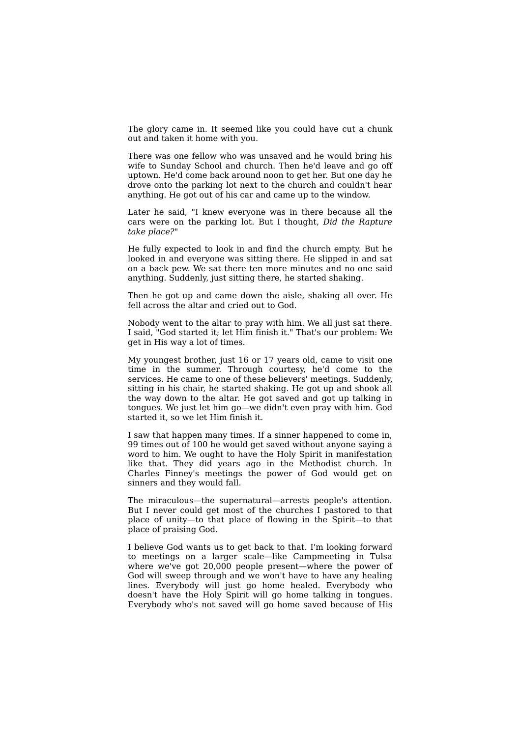The glory came in. It seemed like you could have cut a chunk out and taken it home with you.

There was one fellow who was unsaved and he would bring his wife to Sunday School and church. Then he'd leave and go off uptown. He'd come back around noon to get her. But one day he drove onto the parking lot next to the church and couldn't hear anything. He got out of his car and came up to the window.

Later he said, "I knew everyone was in there because all the cars were on the parking lot. But I thought, *Did the Rapture take place?"*

He fully expected to look in and find the church empty. But he looked in and everyone was sitting there. He slipped in and sat on a back pew. We sat there ten more minutes and no one said anything. Suddenly, just sitting there, he started shaking.

Then he got up and came down the aisle, shaking all over. He fell across the altar and cried out to God.

Nobody went to the altar to pray with him. We all just sat there. I said, "God started it; let Him finish it." That's our problem: We get in His way a lot of times.

My youngest brother, just 16 or 17 years old, came to visit one time in the summer. Through courtesy, he'd come to the services. He came to one of these believers' meetings. Suddenly, sitting in his chair, he started shaking. He got up and shook all the way down to the altar. He got saved and got up talking in tongues. We just let him go—we didn't even pray with him. God started it, so we let Him finish it.

I saw that happen many times. If a sinner happened to come in, 99 times out of 100 he would get saved without anyone saying a word to him. We ought to have the Holy Spirit in manifestation like that. They did years ago in the Methodist church. In Charles Finney's meetings the power of God would get on sinners and they would fall.

The miraculous—the supernatural—arrests people's attention. But I never could get most of the churches I pastored to that place of unity—to that place of flowing in the Spirit—to that place of praising God.

I believe God wants us to get back to that. I'm looking forward to meetings on a larger scale—like Campmeeting in Tulsa where we've got 20,000 people present—where the power of God will sweep through and we won't have to have any healing lines. Everybody will just go home healed. Everybody who doesn't have the Holy Spirit will go home talking in tongues. Everybody who's not saved will go home saved because of His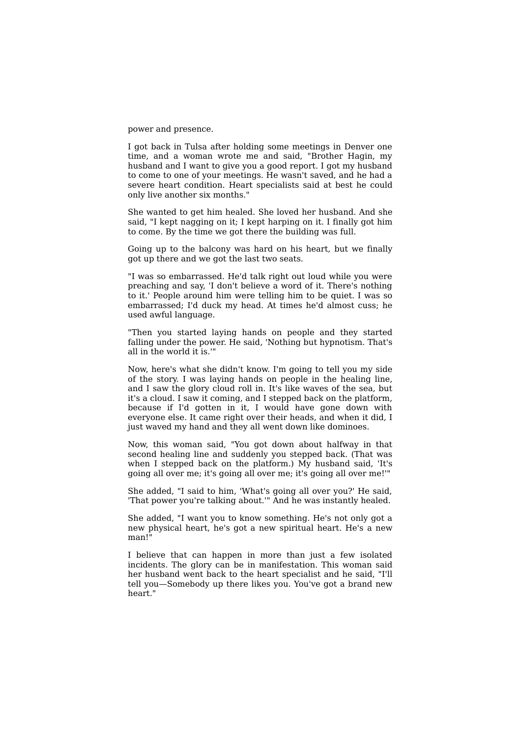power and presence.

I got back in Tulsa after holding some meetings in Denver one time, and a woman wrote me and said, "Brother Hagin, my husband and I want to give you a good report. I got my husband to come to one of your meetings. He wasn't saved, and he had a severe heart condition. Heart specialists said at best he could only live another six months."

She wanted to get him healed. She loved her husband. And she said, "I kept nagging on it; I kept harping on it. I finally got him to come. By the time we got there the building was full.

Going up to the balcony was hard on his heart, but we finally got up there and we got the last two seats.

"I was so embarrassed. He'd talk right out loud while you were preaching and say, 'I don't believe a word of it. There's nothing to it.' People around him were telling him to be quiet. I was so embarrassed; I'd duck my head. At times he'd almost cuss; he used awful language.

"Then you started laying hands on people and they started falling under the power. He said, 'Nothing but hypnotism. That's all in the world it is.'"

Now, here's what she didn't know. I'm going to tell you my side of the story. I was laying hands on people in the healing line, and I saw the glory cloud roll in. It's like waves of the sea, but it's a cloud. I saw it coming, and I stepped back on the platform, because if I'd gotten in it, I would have gone down with everyone else. It came right over their heads, and when it did, I just waved my hand and they all went down like dominoes.

Now, this woman said, "You got down about halfway in that second healing line and suddenly you stepped back. (That was when I stepped back on the platform.) My husband said, 'It's going all over me; it's going all over me; it's going all over me!'"

She added, "I said to him, 'What's going all over you?' He said, 'That power you're talking about.'" And he was instantly healed.

She added, "I want you to know something. He's not only got a new physical heart, he's got a new spiritual heart. He's a new man!"

I believe that can happen in more than just a few isolated incidents. The glory can be in manifestation. This woman said her husband went back to the heart specialist and he said, "I'll tell you—Somebody up there likes you. You've got a brand new heart."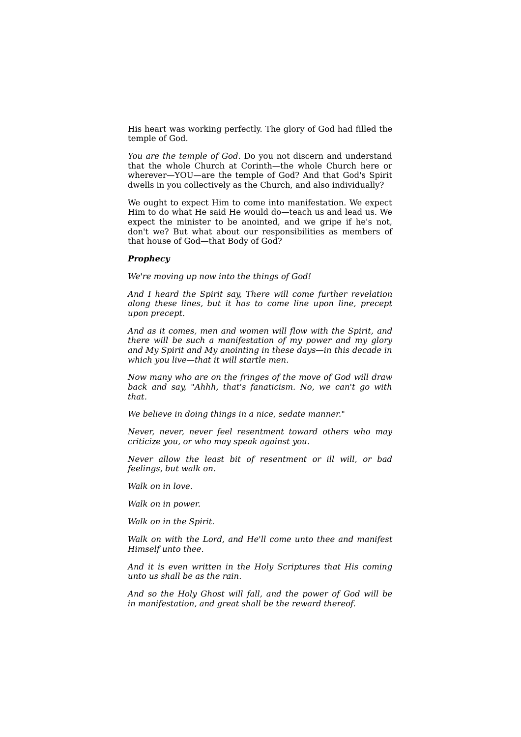His heart was working perfectly. The glory of God had filled the temple of God.

*You are the temple of God.* Do you not discern and understand that the whole Church at Corinth—the whole Church here or wherever—YOU—are the temple of God? And that God's Spirit dwells in you collectively as the Church, and also individually?

We ought to expect Him to come into manifestation. We expect Him to do what He said He would do—teach us and lead us. We expect the minister to be anointed, and we gripe if he's not, don't we? But what about our responsibilities as members of that house of God—that Body of God?

## *Prophecy*

*We're moving up now into the things of God!*

*And I heard the Spirit say, There will come further revelation along these lines, but it has to come line upon line, precept upon precept.*

*And as it comes, men and women will flow with the Spirit, and there will be such a manifestation of my power and my glory and My Spirit and My anointing in these days—in this decade in which you live—that it will startle men.*

*Now many who are on the fringes of the move of God will draw back and say, "Ahhh, that's fanaticism. No, we can't go with that.*

*We believe in doing things in a nice, sedate manner."*

*Never, never, never feel resentment toward others who may criticize you, or who may speak against you.*

*Never allow the least bit of resentment or ill will, or bad feelings, but walk on.*

*Walk on in love.*

*Walk on in power.*

*Walk on in the Spirit.*

*Walk on with the Lord, and He'll come unto thee and manifest Himself unto thee.*

*And it is even written in the Holy Scriptures that His coming unto us shall be as the rain.*

*And so the Holy Ghost will fall, and the power of God will be in manifestation, and great shall be the reward thereof.*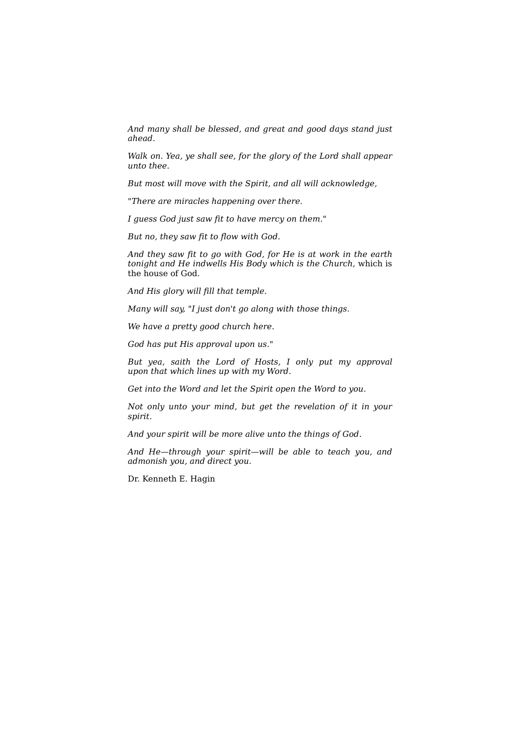*And many shall be blessed, and great and good days stand just ahead.*

*Walk on. Yea, ye shall see, for the glory of the Lord shall appear unto thee.*

*But most will move with the Spirit, and all will acknowledge,*

*"There are miracles happening over there.*

*I guess God just saw fit to have mercy on them."*

*But no, they saw fit to flow with God.*

*And they saw fit to go with God, for He is at work in the earth tonight and He indwells His Body which is the Church,* which is the house of God.

*And His glory will fill that temple.*

*Many will say, "I just don't go along with those things.*

*We have a pretty good church here.*

*God has put His approval upon us."*

*But yea, saith the Lord of Hosts, I only put my approval upon that which lines up with my Word.*

*Get into the Word and let the Spirit open the Word to you.*

*Not only unto your mind, but get the revelation of it in your spirit.*

*And your spirit will be more alive unto the things of God.*

*And He—through your spirit—will be able to teach you, and admonish you, and direct you.*

Dr. Kenneth E. Hagin